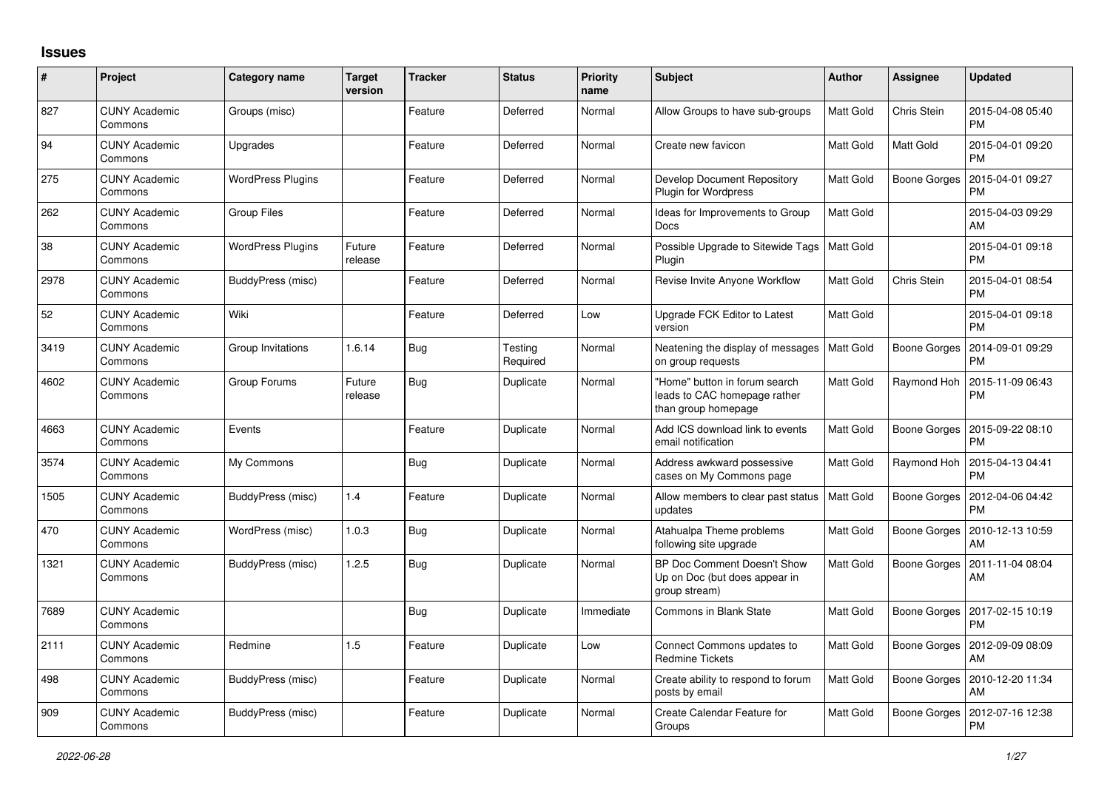## **Issues**

| $\#$ | Project                         | Category name            | <b>Target</b><br>version | <b>Tracker</b> | <b>Status</b>       | <b>Priority</b><br>name | <b>Subject</b>                                                                       | Author           | <b>Assignee</b>     | <b>Updated</b>                               |
|------|---------------------------------|--------------------------|--------------------------|----------------|---------------------|-------------------------|--------------------------------------------------------------------------------------|------------------|---------------------|----------------------------------------------|
| 827  | <b>CUNY Academic</b><br>Commons | Groups (misc)            |                          | Feature        | Deferred            | Normal                  | Allow Groups to have sub-groups                                                      | Matt Gold        | Chris Stein         | 2015-04-08 05:40<br><b>PM</b>                |
| 94   | <b>CUNY Academic</b><br>Commons | Upgrades                 |                          | Feature        | Deferred            | Normal                  | Create new favicon                                                                   | Matt Gold        | Matt Gold           | 2015-04-01 09:20<br><b>PM</b>                |
| 275  | <b>CUNY Academic</b><br>Commons | <b>WordPress Plugins</b> |                          | Feature        | Deferred            | Normal                  | Develop Document Repository<br>Plugin for Wordpress                                  | Matt Gold        | Boone Gorges        | 2015-04-01 09:27<br><b>PM</b>                |
| 262  | <b>CUNY Academic</b><br>Commons | Group Files              |                          | Feature        | Deferred            | Normal                  | Ideas for Improvements to Group<br>Docs                                              | Matt Gold        |                     | 2015-04-03 09:29<br>AM                       |
| 38   | CUNY Academic<br>Commons        | WordPress Plugins        | Future<br>release        | Feature        | Deferred            | Normal                  | Possible Upgrade to Sitewide Tags<br>Plugin                                          | Matt Gold        |                     | 2015-04-01 09:18<br><b>PM</b>                |
| 2978 | <b>CUNY Academic</b><br>Commons | BuddyPress (misc)        |                          | Feature        | Deferred            | Normal                  | Revise Invite Anyone Workflow                                                        | Matt Gold        | Chris Stein         | 2015-04-01 08:54<br><b>PM</b>                |
| 52   | <b>CUNY Academic</b><br>Commons | Wiki                     |                          | Feature        | Deferred            | Low                     | Upgrade FCK Editor to Latest<br>version                                              | Matt Gold        |                     | 2015-04-01 09:18<br><b>PM</b>                |
| 3419 | <b>CUNY Academic</b><br>Commons | Group Invitations        | 1.6.14                   | Bug            | Testing<br>Required | Normal                  | Neatening the display of messages<br>on group requests                               | <b>Matt Gold</b> | Boone Gorges        | 2014-09-01 09:29<br><b>PM</b>                |
| 4602 | <b>CUNY Academic</b><br>Commons | Group Forums             | Future<br>release        | Bug            | Duplicate           | Normal                  | "Home" button in forum search<br>leads to CAC homepage rather<br>than group homepage | Matt Gold        | Raymond Hoh         | 2015-11-09 06:43<br><b>PM</b>                |
| 4663 | <b>CUNY Academic</b><br>Commons | Events                   |                          | Feature        | Duplicate           | Normal                  | Add ICS download link to events<br>email notification                                | Matt Gold        | Boone Gorges        | 2015-09-22 08:10<br><b>PM</b>                |
| 3574 | <b>CUNY Academic</b><br>Commons | My Commons               |                          | <b>Bug</b>     | Duplicate           | Normal                  | Address awkward possessive<br>cases on My Commons page                               | Matt Gold        | Raymond Hoh         | 2015-04-13 04:41<br><b>PM</b>                |
| 1505 | <b>CUNY Academic</b><br>Commons | BuddyPress (misc)        | 1.4                      | Feature        | Duplicate           | Normal                  | Allow members to clear past status<br>updates                                        | Matt Gold        | Boone Gorges        | 2012-04-06 04:42<br><b>PM</b>                |
| 470  | <b>CUNY Academic</b><br>Commons | WordPress (misc)         | 1.0.3                    | Bug            | Duplicate           | Normal                  | Atahualpa Theme problems<br>following site upgrade                                   | Matt Gold        | Boone Gorges        | 2010-12-13 10:59<br>AM                       |
| 1321 | <b>CUNY Academic</b><br>Commons | BuddyPress (misc)        | 1.2.5                    | Bug            | Duplicate           | Normal                  | BP Doc Comment Doesn't Show<br>Up on Doc (but does appear in<br>group stream)        | Matt Gold        | Boone Gorges        | 2011-11-04 08:04<br>AM                       |
| 7689 | <b>CUNY Academic</b><br>Commons |                          |                          | Bug            | Duplicate           | Immediate               | <b>Commons in Blank State</b>                                                        | Matt Gold        |                     | Boone Gorges   2017-02-15 10:19<br><b>PM</b> |
| 2111 | <b>CUNY Academic</b><br>Commons | Redmine                  | 1.5                      | Feature        | Duplicate           | Low                     | Connect Commons updates to<br><b>Redmine Tickets</b>                                 | Matt Gold        |                     | Boone Gorges   2012-09-09 08:09<br>AM        |
| 498  | <b>CUNY Academic</b><br>Commons | BuddyPress (misc)        |                          | Feature        | Duplicate           | Normal                  | Create ability to respond to forum<br>posts by email                                 | Matt Gold        | Boone Gorges        | 2010-12-20 11:34<br>AM                       |
| 909  | <b>CUNY Academic</b><br>Commons | BuddyPress (misc)        |                          | Feature        | Duplicate           | Normal                  | Create Calendar Feature for<br>Groups                                                | Matt Gold        | <b>Boone Gorges</b> | 2012-07-16 12:38<br><b>PM</b>                |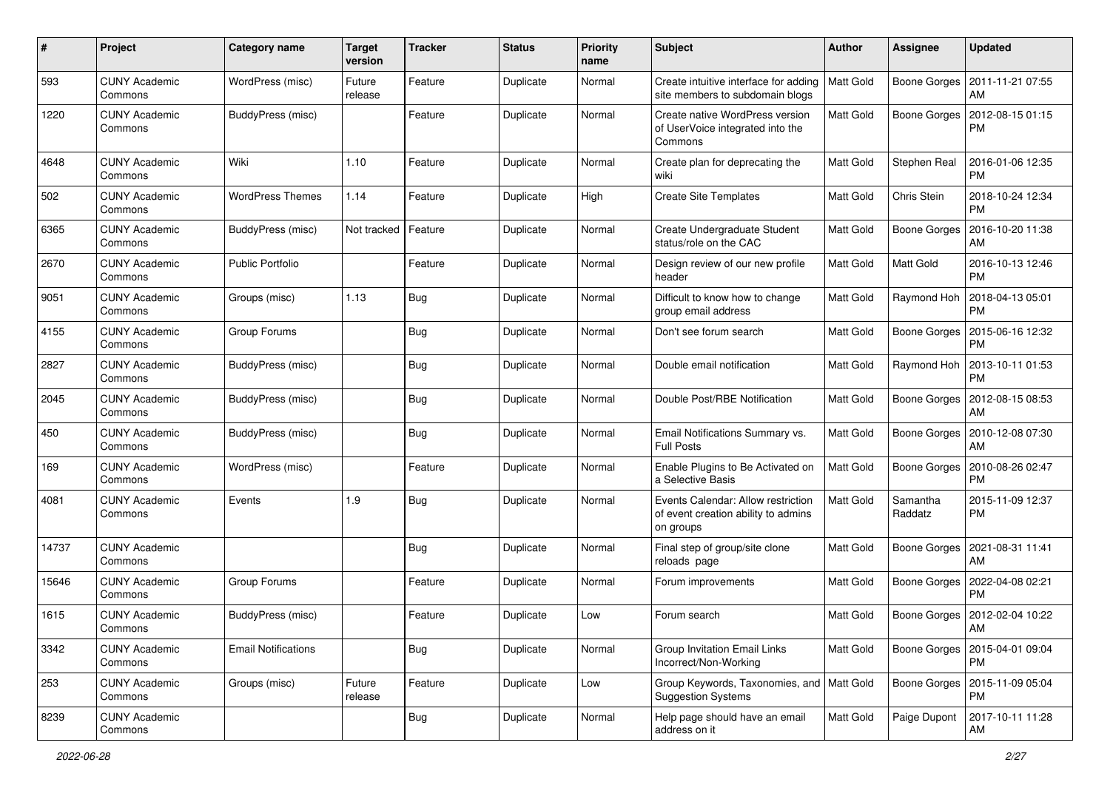| $\#$  | Project                         | Category name              | <b>Target</b><br>version | <b>Tracker</b> | <b>Status</b> | <b>Priority</b><br>name | Subject                                                                                | Author           | <b>Assignee</b>     | <b>Updated</b>                               |
|-------|---------------------------------|----------------------------|--------------------------|----------------|---------------|-------------------------|----------------------------------------------------------------------------------------|------------------|---------------------|----------------------------------------------|
| 593   | <b>CUNY Academic</b><br>Commons | WordPress (misc)           | Future<br>release        | Feature        | Duplicate     | Normal                  | Create intuitive interface for adding<br>site members to subdomain blogs               | <b>Matt Gold</b> | Boone Gorges        | 2011-11-21 07:55<br>AM                       |
| 1220  | <b>CUNY Academic</b><br>Commons | <b>BuddyPress (misc)</b>   |                          | Feature        | Duplicate     | Normal                  | Create native WordPress version<br>of UserVoice integrated into the<br>Commons         | Matt Gold        |                     | Boone Gorges   2012-08-15 01:15<br><b>PM</b> |
| 4648  | <b>CUNY Academic</b><br>Commons | Wiki                       | 1.10                     | Feature        | Duplicate     | Normal                  | Create plan for deprecating the<br>wiki                                                | Matt Gold        | Stephen Real        | 2016-01-06 12:35<br><b>PM</b>                |
| 502   | <b>CUNY Academic</b><br>Commons | <b>WordPress Themes</b>    | 1.14                     | Feature        | Duplicate     | High                    | <b>Create Site Templates</b>                                                           | Matt Gold        | Chris Stein         | 2018-10-24 12:34<br><b>PM</b>                |
| 6365  | <b>CUNY Academic</b><br>Commons | BuddyPress (misc)          | Not tracked              | Feature        | Duplicate     | Normal                  | Create Undergraduate Student<br>status/role on the CAC                                 | Matt Gold        | <b>Boone Gorges</b> | 2016-10-20 11:38<br>AM                       |
| 2670  | <b>CUNY Academic</b><br>Commons | <b>Public Portfolio</b>    |                          | Feature        | Duplicate     | Normal                  | Design review of our new profile<br>header                                             | Matt Gold        | Matt Gold           | 2016-10-13 12:46<br><b>PM</b>                |
| 9051  | <b>CUNY Academic</b><br>Commons | Groups (misc)              | 1.13                     | <b>Bug</b>     | Duplicate     | Normal                  | Difficult to know how to change<br>group email address                                 | Matt Gold        | Raymond Hoh         | 2018-04-13 05:01<br><b>PM</b>                |
| 4155  | <b>CUNY Academic</b><br>Commons | Group Forums               |                          | <b>Bug</b>     | Duplicate     | Normal                  | Don't see forum search                                                                 | Matt Gold        | Boone Gorges        | 2015-06-16 12:32<br><b>PM</b>                |
| 2827  | <b>CUNY Academic</b><br>Commons | BuddyPress (misc)          |                          | Bug            | Duplicate     | Normal                  | Double email notification                                                              | Matt Gold        | Raymond Hoh         | 2013-10-11 01:53<br><b>PM</b>                |
| 2045  | <b>CUNY Academic</b><br>Commons | BuddyPress (misc)          |                          | Bug            | Duplicate     | Normal                  | Double Post/RBE Notification                                                           | <b>Matt Gold</b> | Boone Gorges        | 2012-08-15 08:53<br>AM                       |
| 450   | CUNY Academic<br>Commons        | BuddyPress (misc)          |                          | Bug            | Duplicate     | Normal                  | Email Notifications Summary vs.<br><b>Full Posts</b>                                   | Matt Gold        | <b>Boone Gorges</b> | 2010-12-08 07:30<br>AM                       |
| 169   | <b>CUNY Academic</b><br>Commons | WordPress (misc)           |                          | Feature        | Duplicate     | Normal                  | Enable Plugins to Be Activated on<br>a Selective Basis                                 | Matt Gold        | <b>Boone Gorges</b> | 2010-08-26 02:47<br><b>PM</b>                |
| 4081  | <b>CUNY Academic</b><br>Commons | Events                     | 1.9                      | <b>Bug</b>     | Duplicate     | Normal                  | Events Calendar: Allow restriction<br>of event creation ability to admins<br>on groups | Matt Gold        | Samantha<br>Raddatz | 2015-11-09 12:37<br>PM                       |
| 14737 | <b>CUNY Academic</b><br>Commons |                            |                          | Bug            | Duplicate     | Normal                  | Final step of group/site clone<br>reloads page                                         | Matt Gold        | Boone Gorges        | 2021-08-31 11:41<br>AM                       |
| 15646 | <b>CUNY Academic</b><br>Commons | Group Forums               |                          | Feature        | Duplicate     | Normal                  | Forum improvements                                                                     | Matt Gold        |                     | Boone Gorges   2022-04-08 02:21<br><b>PM</b> |
| 1615  | <b>CUNY Academic</b><br>Commons | BuddyPress (misc)          |                          | Feature        | Duplicate     | Low                     | Forum search                                                                           | Matt Gold        |                     | Boone Gorges   2012-02-04 10:22<br>AM        |
| 3342  | <b>CUNY Academic</b><br>Commons | <b>Email Notifications</b> |                          | Bug            | Duplicate     | Normal                  | Group Invitation Email Links<br>Incorrect/Non-Working                                  | Matt Gold        |                     | Boone Gorges   2015-04-01 09:04<br><b>PM</b> |
| 253   | <b>CUNY Academic</b><br>Commons | Groups (misc)              | Future<br>release        | Feature        | Duplicate     | Low                     | Group Keywords, Taxonomies, and   Matt Gold<br><b>Suggestion Systems</b>               |                  |                     | Boone Gorges   2015-11-09 05:04<br><b>PM</b> |
| 8239  | <b>CUNY Academic</b><br>Commons |                            |                          | <b>Bug</b>     | Duplicate     | Normal                  | Help page should have an email<br>address on it                                        | Matt Gold        | Paige Dupont        | 2017-10-11 11:28<br>AM                       |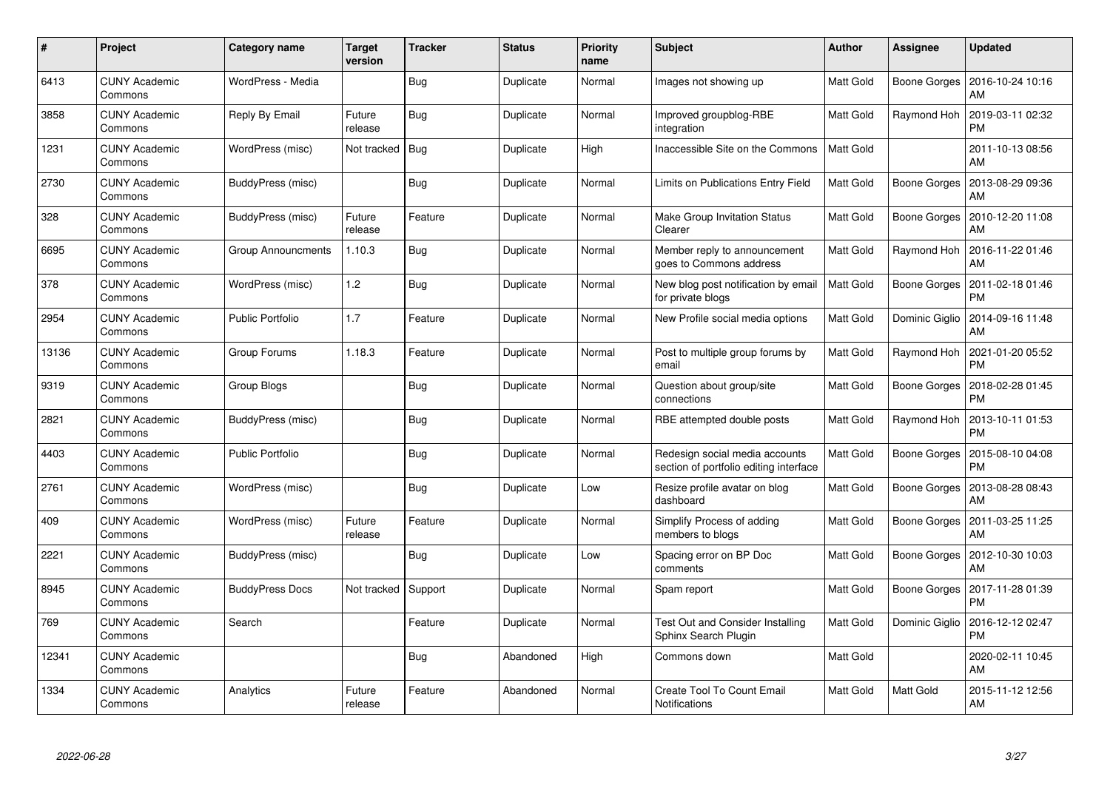| #     | Project                         | Category name             | <b>Target</b><br>version | <b>Tracker</b> | <b>Status</b> | <b>Priority</b><br>name | <b>Subject</b>                                                           | <b>Author</b> | Assignee       | <b>Updated</b>                               |
|-------|---------------------------------|---------------------------|--------------------------|----------------|---------------|-------------------------|--------------------------------------------------------------------------|---------------|----------------|----------------------------------------------|
| 6413  | <b>CUNY Academic</b><br>Commons | WordPress - Media         |                          | <b>Bug</b>     | Duplicate     | Normal                  | Images not showing up                                                    | Matt Gold     |                | Boone Gorges   2016-10-24 10:16<br>AM        |
| 3858  | <b>CUNY Academic</b><br>Commons | Reply By Email            | Future<br>release        | Bug            | Duplicate     | Normal                  | Improved groupblog-RBE<br>integration                                    | Matt Gold     | Raymond Hoh    | 2019-03-11 02:32<br><b>PM</b>                |
| 1231  | <b>CUNY Academic</b><br>Commons | WordPress (misc)          | Not tracked              | Bug            | Duplicate     | High                    | Inaccessible Site on the Commons                                         | Matt Gold     |                | 2011-10-13 08:56<br>AM                       |
| 2730  | <b>CUNY Academic</b><br>Commons | BuddyPress (misc)         |                          | <b>Bug</b>     | Duplicate     | Normal                  | Limits on Publications Entry Field                                       | Matt Gold     | Boone Gorges   | 2013-08-29 09:36<br>AM                       |
| 328   | <b>CUNY Academic</b><br>Commons | BuddyPress (misc)         | Future<br>release        | Feature        | Duplicate     | Normal                  | <b>Make Group Invitation Status</b><br>Clearer                           | Matt Gold     |                | Boone Gorges   2010-12-20 11:08<br>AM        |
| 6695  | <b>CUNY Academic</b><br>Commons | <b>Group Announcments</b> | 1.10.3                   | Bug            | Duplicate     | Normal                  | Member reply to announcement<br>goes to Commons address                  | Matt Gold     | Raymond Hoh    | 2016-11-22 01:46<br>AM                       |
| 378   | <b>CUNY Academic</b><br>Commons | WordPress (misc)          | $1.2$                    | <b>Bug</b>     | Duplicate     | Normal                  | New blog post notification by email<br>for private blogs                 | Matt Gold     | Boone Gorges   | 2011-02-18 01:46<br><b>PM</b>                |
| 2954  | <b>CUNY Academic</b><br>Commons | Public Portfolio          | 1.7                      | Feature        | Duplicate     | Normal                  | New Profile social media options                                         | Matt Gold     | Dominic Giglio | 2014-09-16 11:48<br>AM                       |
| 13136 | <b>CUNY Academic</b><br>Commons | Group Forums              | 1.18.3                   | Feature        | Duplicate     | Normal                  | Post to multiple group forums by<br>email                                | Matt Gold     | Raymond Hoh    | 2021-01-20 05:52<br><b>PM</b>                |
| 9319  | <b>CUNY Academic</b><br>Commons | Group Blogs               |                          | <b>Bug</b>     | Duplicate     | Normal                  | Question about group/site<br>connections                                 | Matt Gold     | Boone Gorges   | 2018-02-28 01:45<br><b>PM</b>                |
| 2821  | <b>CUNY Academic</b><br>Commons | BuddyPress (misc)         |                          | Bug            | Duplicate     | Normal                  | RBE attempted double posts                                               | Matt Gold     | Raymond Hoh    | 2013-10-11 01:53<br><b>PM</b>                |
| 4403  | <b>CUNY Academic</b><br>Commons | Public Portfolio          |                          | <b>Bug</b>     | Duplicate     | Normal                  | Redesign social media accounts<br>section of portfolio editing interface | Matt Gold     | Boone Gorges   | 2015-08-10 04:08<br><b>PM</b>                |
| 2761  | <b>CUNY Academic</b><br>Commons | WordPress (misc)          |                          | <b>Bug</b>     | Duplicate     | Low                     | Resize profile avatar on blog<br>dashboard                               | Matt Gold     | Boone Gorges   | 2013-08-28 08:43<br>AM                       |
| 409   | <b>CUNY Academic</b><br>Commons | WordPress (misc)          | Future<br>release        | Feature        | Duplicate     | Normal                  | Simplify Process of adding<br>members to blogs                           | Matt Gold     | Boone Gorges   | 2011-03-25 11:25<br>AM                       |
| 2221  | <b>CUNY Academic</b><br>Commons | BuddyPress (misc)         |                          | Bug            | Duplicate     | Low                     | Spacing error on BP Doc<br>comments                                      | Matt Gold     |                | Boone Gorges   2012-10-30 10:03<br>AM        |
| 8945  | <b>CUNY Academic</b><br>Commons | <b>BuddyPress Docs</b>    | Not tracked              | Support        | Duplicate     | Normal                  | Spam report                                                              | Matt Gold     |                | Boone Gorges   2017-11-28 01:39<br><b>PM</b> |
| 769   | <b>CUNY Academic</b><br>Commons | Search                    |                          | Feature        | Duplicate     | Normal                  | <b>Test Out and Consider Installing</b><br>Sphinx Search Plugin          | Matt Gold     | Dominic Giglio | 2016-12-12 02:47<br><b>PM</b>                |
| 12341 | <b>CUNY Academic</b><br>Commons |                           |                          | <b>Bug</b>     | Abandoned     | High                    | Commons down                                                             | Matt Gold     |                | 2020-02-11 10:45<br>AM                       |
| 1334  | <b>CUNY Academic</b><br>Commons | Analytics                 | Future<br>release        | Feature        | Abandoned     | Normal                  | Create Tool To Count Email<br>Notifications                              | Matt Gold     | Matt Gold      | 2015-11-12 12:56<br>AM                       |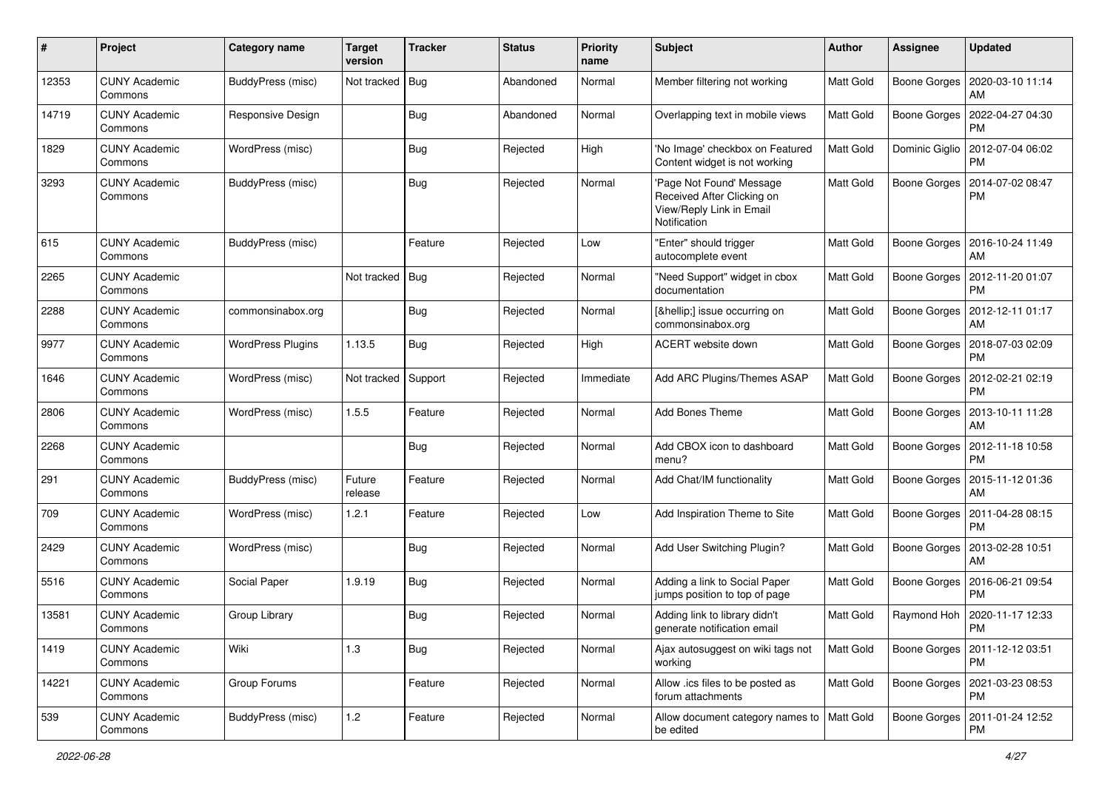| #     | Project                         | Category name            | <b>Target</b><br>version | <b>Tracker</b> | <b>Status</b> | <b>Priority</b><br>name | Subject                                                                                            | Author           | <b>Assignee</b>     | <b>Updated</b>                       |
|-------|---------------------------------|--------------------------|--------------------------|----------------|---------------|-------------------------|----------------------------------------------------------------------------------------------------|------------------|---------------------|--------------------------------------|
| 12353 | <b>CUNY Academic</b><br>Commons | BuddyPress (misc)        | Not tracked              | Bug            | Abandoned     | Normal                  | Member filtering not working                                                                       | Matt Gold        | Boone Gorges        | 2020-03-10 11:14<br>AM               |
| 14719 | <b>CUNY Academic</b><br>Commons | <b>Responsive Design</b> |                          | Bug            | Abandoned     | Normal                  | Overlapping text in mobile views                                                                   | Matt Gold        | Boone Gorges        | 2022-04-27 04:30<br><b>PM</b>        |
| 1829  | CUNY Academic<br>Commons        | WordPress (misc)         |                          | Bug            | Rejected      | High                    | 'No Image' checkbox on Featured<br>Content widget is not working                                   | Matt Gold        | Dominic Giglio      | 2012-07-04 06:02<br><b>PM</b>        |
| 3293  | <b>CUNY Academic</b><br>Commons | BuddyPress (misc)        |                          | <b>Bug</b>     | Rejected      | Normal                  | 'Page Not Found' Message<br>Received After Clicking on<br>View/Reply Link in Email<br>Notification | Matt Gold        | <b>Boone Gorges</b> | 2014-07-02 08:47<br><b>PM</b>        |
| 615   | <b>CUNY Academic</b><br>Commons | <b>BuddyPress (misc)</b> |                          | Feature        | Rejected      | Low                     | 'Enter" should trigger<br>autocomplete event                                                       | Matt Gold        | Boone Gorges        | 2016-10-24 11:49<br>AM               |
| 2265  | <b>CUNY Academic</b><br>Commons |                          | Not tracked              | Bug            | Rejected      | Normal                  | "Need Support" widget in cbox<br>documentation                                                     | Matt Gold        | Boone Gorges        | 2012-11-20 01:07<br><b>PM</b>        |
| 2288  | <b>CUNY Academic</b><br>Commons | commonsinabox.org        |                          | Bug            | Rejected      | Normal                  | […] issue occurring on<br>commonsinabox.org                                                        | Matt Gold        | Boone Gorges        | 2012-12-11 01:17<br>AM               |
| 9977  | <b>CUNY Academic</b><br>Commons | <b>WordPress Plugins</b> | 1.13.5                   | Bug            | Rejected      | High                    | ACERT website down                                                                                 | Matt Gold        | Boone Gorges        | 2018-07-03 02:09<br><b>PM</b>        |
| 1646  | <b>CUNY Academic</b><br>Commons | WordPress (misc)         | Not tracked              | Support        | Rejected      | Immediate               | Add ARC Plugins/Themes ASAP                                                                        | Matt Gold        | Boone Gorges        | 2012-02-21 02:19<br><b>PM</b>        |
| 2806  | <b>CUNY Academic</b><br>Commons | WordPress (misc)         | 1.5.5                    | Feature        | Rejected      | Normal                  | <b>Add Bones Theme</b>                                                                             | Matt Gold        | Boone Gorges        | 2013-10-11 11:28<br>AM               |
| 2268  | <b>CUNY Academic</b><br>Commons |                          |                          | Bug            | Rejected      | Normal                  | Add CBOX icon to dashboard<br>menu?                                                                | Matt Gold        | Boone Gorges        | 2012-11-18 10:58<br><b>PM</b>        |
| 291   | <b>CUNY Academic</b><br>Commons | BuddyPress (misc)        | Future<br>release        | Feature        | Rejected      | Normal                  | Add Chat/IM functionality                                                                          | Matt Gold        | Boone Gorges        | 2015-11-12 01:36<br>AM               |
| 709   | <b>CUNY Academic</b><br>Commons | WordPress (misc)         | 1.2.1                    | Feature        | Rejected      | Low                     | Add Inspiration Theme to Site                                                                      | Matt Gold        | Boone Gorges        | 2011-04-28 08:15<br><b>PM</b>        |
| 2429  | <b>CUNY Academic</b><br>Commons | WordPress (misc)         |                          | Bug            | Rejected      | Normal                  | Add User Switching Plugin?                                                                         | Matt Gold        | Boone Gorges        | 2013-02-28 10:51<br>AM               |
| 5516  | <b>CUNY Academic</b><br>Commons | Social Paper             | 1.9.19                   | Bug            | Rejected      | Normal                  | Adding a link to Social Paper<br>jumps position to top of page                                     | Matt Gold        | Boone Gorges        | 2016-06-21 09:54<br><b>PM</b>        |
| 13581 | <b>CUNY Academic</b><br>Commons | Group Library            |                          | <b>Bug</b>     | Rejected      | Normal                  | Adding link to library didn't<br>generate notification email                                       | Matt Gold        |                     | Raymond Hoh   2020-11-17 12:33<br>PM |
| 1419  | <b>CUNY Academic</b><br>Commons | Wiki                     | 1.3                      | <b>Bug</b>     | Rejected      | Normal                  | Ajax autosuggest on wiki tags not<br>working                                                       | <b>Matt Gold</b> | Boone Gorges        | 2011-12-12 03:51<br><b>PM</b>        |
| 14221 | <b>CUNY Academic</b><br>Commons | Group Forums             |                          | Feature        | Rejected      | Normal                  | Allow .ics files to be posted as<br>forum attachments                                              | Matt Gold        | Boone Gorges        | 2021-03-23 08:53<br><b>PM</b>        |
| 539   | <b>CUNY Academic</b><br>Commons | BuddyPress (misc)        | $1.2\,$                  | Feature        | Rejected      | Normal                  | Allow document category names to   Matt Gold<br>be edited                                          |                  | Boone Gorges        | 2011-01-24 12:52<br>PM               |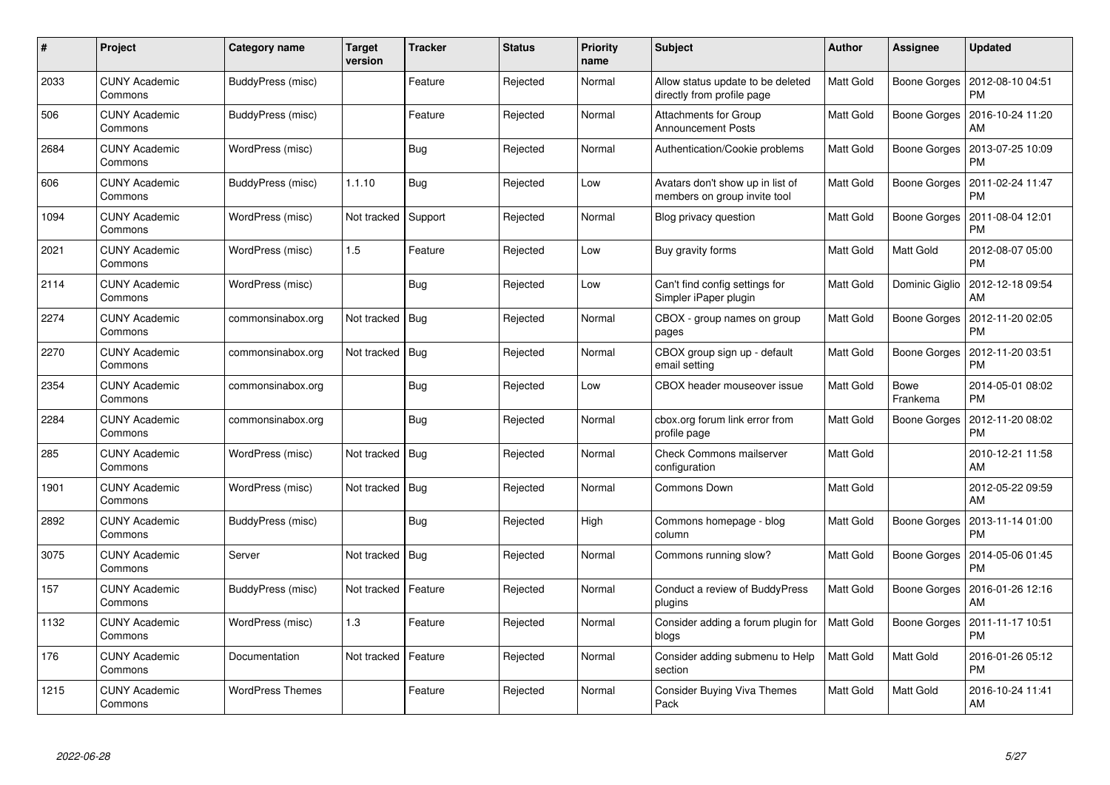| #    | Project                         | Category name           | <b>Target</b><br>version | <b>Tracker</b> | <b>Status</b> | <b>Priority</b><br>name | <b>Subject</b>                                                   | Author           | Assignee                | <b>Updated</b>                |
|------|---------------------------------|-------------------------|--------------------------|----------------|---------------|-------------------------|------------------------------------------------------------------|------------------|-------------------------|-------------------------------|
| 2033 | <b>CUNY Academic</b><br>Commons | BuddyPress (misc)       |                          | Feature        | Rejected      | Normal                  | Allow status update to be deleted<br>directly from profile page  | Matt Gold        | Boone Gorges            | 2012-08-10 04:51<br><b>PM</b> |
| 506  | <b>CUNY Academic</b><br>Commons | BuddyPress (misc)       |                          | Feature        | Rejected      | Normal                  | <b>Attachments for Group</b><br><b>Announcement Posts</b>        | Matt Gold        | Boone Gorges            | 2016-10-24 11:20<br>AM        |
| 2684 | <b>CUNY Academic</b><br>Commons | WordPress (misc)        |                          | <b>Bug</b>     | Rejected      | Normal                  | Authentication/Cookie problems                                   | Matt Gold        | Boone Gorges            | 2013-07-25 10:09<br><b>PM</b> |
| 606  | <b>CUNY Academic</b><br>Commons | BuddyPress (misc)       | 1.1.10                   | <b>Bug</b>     | Rejected      | Low                     | Avatars don't show up in list of<br>members on group invite tool | Matt Gold        | Boone Gorges            | 2011-02-24 11:47<br><b>PM</b> |
| 1094 | <b>CUNY Academic</b><br>Commons | WordPress (misc)        | Not tracked              | Support        | Rejected      | Normal                  | Blog privacy question                                            | Matt Gold        | Boone Gorges            | 2011-08-04 12:01<br><b>PM</b> |
| 2021 | <b>CUNY Academic</b><br>Commons | WordPress (misc)        | 1.5                      | Feature        | Rejected      | Low                     | Buy gravity forms                                                | Matt Gold        | Matt Gold               | 2012-08-07 05:00<br><b>PM</b> |
| 2114 | <b>CUNY Academic</b><br>Commons | WordPress (misc)        |                          | <b>Bug</b>     | Rejected      | Low                     | Can't find config settings for<br>Simpler iPaper plugin          | Matt Gold        | Dominic Giglio          | 2012-12-18 09:54<br>AM        |
| 2274 | <b>CUNY Academic</b><br>Commons | commonsinabox.org       | Not tracked Bug          |                | Rejected      | Normal                  | CBOX - group names on group<br>pages                             | Matt Gold        | Boone Gorges            | 2012-11-20 02:05<br><b>PM</b> |
| 2270 | <b>CUNY Academic</b><br>Commons | commonsinabox.org       | Not tracked   Bug        |                | Rejected      | Normal                  | CBOX group sign up - default<br>email setting                    | Matt Gold        | Boone Gorges            | 2012-11-20 03:51<br><b>PM</b> |
| 2354 | <b>CUNY Academic</b><br>Commons | commonsinabox.org       |                          | Bug            | Rejected      | Low                     | CBOX header mouseover issue                                      | Matt Gold        | <b>Bowe</b><br>Frankema | 2014-05-01 08:02<br><b>PM</b> |
| 2284 | <b>CUNY Academic</b><br>Commons | commonsinabox.org       |                          | Bug            | Rejected      | Normal                  | cbox.org forum link error from<br>profile page                   | Matt Gold        | Boone Gorges            | 2012-11-20 08:02<br><b>PM</b> |
| 285  | <b>CUNY Academic</b><br>Commons | WordPress (misc)        | Not tracked   Bug        |                | Rejected      | Normal                  | <b>Check Commons mailserver</b><br>configuration                 | Matt Gold        |                         | 2010-12-21 11:58<br>AM        |
| 1901 | <b>CUNY Academic</b><br>Commons | WordPress (misc)        | Not tracked              | <b>Bug</b>     | Rejected      | Normal                  | <b>Commons Down</b>                                              | <b>Matt Gold</b> |                         | 2012-05-22 09:59<br>AM        |
| 2892 | <b>CUNY Academic</b><br>Commons | BuddyPress (misc)       |                          | Bug            | Rejected      | High                    | Commons homepage - blog<br>column                                | Matt Gold        | Boone Gorges            | 2013-11-14 01:00<br><b>PM</b> |
| 3075 | <b>CUNY Academic</b><br>Commons | Server                  | Not tracked              | Bug            | Rejected      | Normal                  | Commons running slow?                                            | Matt Gold        | Boone Gorges            | 2014-05-06 01:45<br><b>PM</b> |
| 157  | <b>CUNY Academic</b><br>Commons | BuddyPress (misc)       | Not tracked              | Feature        | Rejected      | Normal                  | Conduct a review of BuddyPress<br>plugins                        | Matt Gold        | Boone Gorges            | 2016-01-26 12:16<br>AM        |
| 1132 | <b>CUNY Academic</b><br>Commons | WordPress (misc)        | 1.3                      | Feature        | Rejected      | Normal                  | Consider adding a forum plugin for<br>blogs                      | <b>Matt Gold</b> | Boone Gorges            | 2011-11-17 10:51<br><b>PM</b> |
| 176  | <b>CUNY Academic</b><br>Commons | Documentation           | Not tracked              | Feature        | Rejected      | Normal                  | Consider adding submenu to Help<br>section                       | Matt Gold        | Matt Gold               | 2016-01-26 05:12<br><b>PM</b> |
| 1215 | <b>CUNY Academic</b><br>Commons | <b>WordPress Themes</b> |                          | Feature        | Rejected      | Normal                  | <b>Consider Buying Viva Themes</b><br>Pack                       | Matt Gold        | Matt Gold               | 2016-10-24 11:41<br>AM        |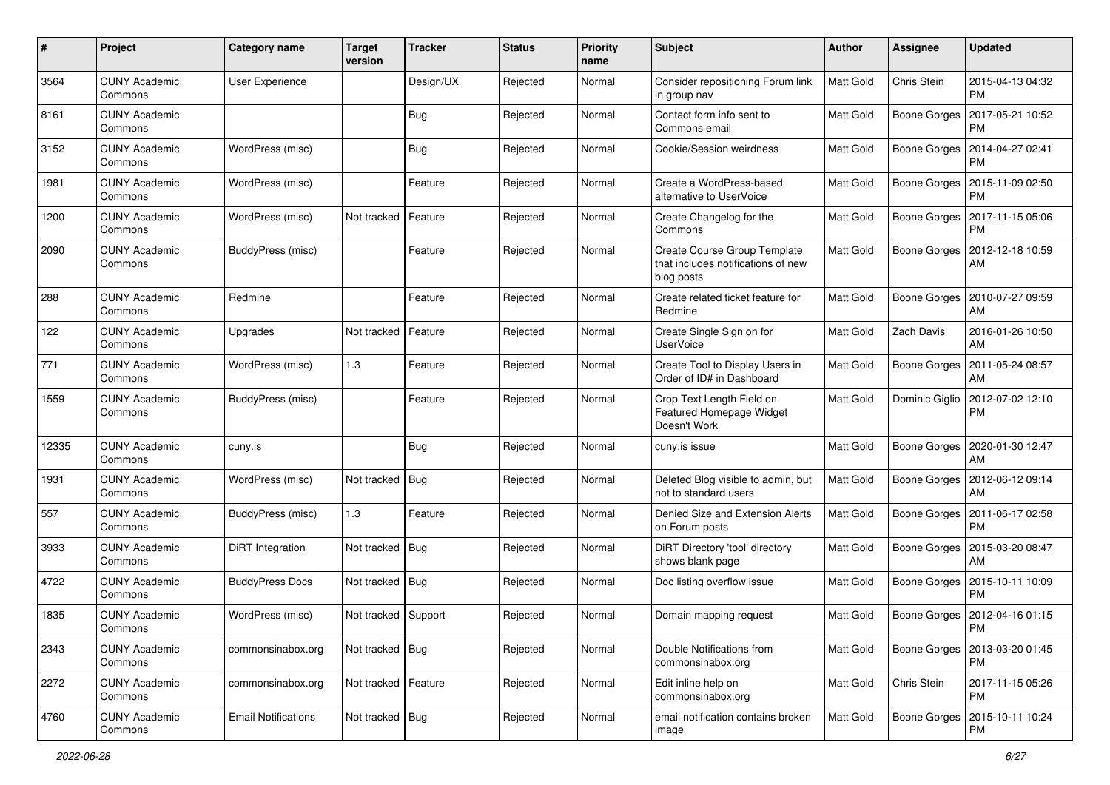| #     | Project                         | Category name              | <b>Target</b><br>version | <b>Tracker</b> | <b>Status</b> | <b>Priority</b><br>name | Subject                                                                          | Author    | <b>Assignee</b>     | <b>Updated</b>                                 |
|-------|---------------------------------|----------------------------|--------------------------|----------------|---------------|-------------------------|----------------------------------------------------------------------------------|-----------|---------------------|------------------------------------------------|
| 3564  | <b>CUNY Academic</b><br>Commons | <b>User Experience</b>     |                          | Design/UX      | Rejected      | Normal                  | Consider repositioning Forum link<br>in group nav                                | Matt Gold | Chris Stein         | 2015-04-13 04:32<br><b>PM</b>                  |
| 8161  | <b>CUNY Academic</b><br>Commons |                            |                          | Bug            | Rejected      | Normal                  | Contact form info sent to<br>Commons email                                       | Matt Gold |                     | Boone Gorges   2017-05-21 10:52<br><b>PM</b>   |
| 3152  | <b>CUNY Academic</b><br>Commons | WordPress (misc)           |                          | Bug            | Rejected      | Normal                  | Cookie/Session weirdness                                                         | Matt Gold | Boone Gorges        | 2014-04-27 02:41<br><b>PM</b>                  |
| 1981  | <b>CUNY Academic</b><br>Commons | WordPress (misc)           |                          | Feature        | Rejected      | Normal                  | Create a WordPress-based<br>alternative to UserVoice                             | Matt Gold | <b>Boone Gorges</b> | 2015-11-09 02:50<br><b>PM</b>                  |
| 1200  | <b>CUNY Academic</b><br>Commons | WordPress (misc)           | Not tracked              | Feature        | Rejected      | Normal                  | Create Changelog for the<br>Commons                                              | Matt Gold | Boone Gorges        | 2017-11-15 05:06<br><b>PM</b>                  |
| 2090  | <b>CUNY Academic</b><br>Commons | BuddyPress (misc)          |                          | Feature        | Rejected      | Normal                  | Create Course Group Template<br>that includes notifications of new<br>blog posts | Matt Gold | Boone Gorges        | 2012-12-18 10:59<br>AM                         |
| 288   | <b>CUNY Academic</b><br>Commons | Redmine                    |                          | Feature        | Rejected      | Normal                  | Create related ticket feature for<br>Redmine                                     | Matt Gold | Boone Gorges        | 2010-07-27 09:59<br>AM                         |
| 122   | <b>CUNY Academic</b><br>Commons | Upgrades                   | Not tracked              | Feature        | Rejected      | Normal                  | Create Single Sign on for<br><b>UserVoice</b>                                    | Matt Gold | Zach Davis          | 2016-01-26 10:50<br>AM                         |
| 771   | <b>CUNY Academic</b><br>Commons | WordPress (misc)           | 1.3                      | Feature        | Rejected      | Normal                  | Create Tool to Display Users in<br>Order of ID# in Dashboard                     | Matt Gold | Boone Gorges        | 2011-05-24 08:57<br>AM                         |
| 1559  | <b>CUNY Academic</b><br>Commons | BuddyPress (misc)          |                          | Feature        | Rejected      | Normal                  | Crop Text Length Field on<br>Featured Homepage Widget<br>Doesn't Work            | Matt Gold |                     | Dominic Giglio   2012-07-02 12:10<br><b>PM</b> |
| 12335 | <b>CUNY Academic</b><br>Commons | cuny.is                    |                          | Bug            | Rejected      | Normal                  | cuny.is issue                                                                    | Matt Gold |                     | Boone Gorges   2020-01-30 12:47<br>AM          |
| 1931  | <b>CUNY Academic</b><br>Commons | WordPress (misc)           | Not tracked              | Bug            | Rejected      | Normal                  | Deleted Blog visible to admin, but<br>not to standard users                      | Matt Gold | Boone Gorges        | 2012-06-12 09:14<br>AM                         |
| 557   | <b>CUNY Academic</b><br>Commons | BuddyPress (misc)          | 1.3                      | Feature        | Rejected      | Normal                  | Denied Size and Extension Alerts<br>on Forum posts                               | Matt Gold | Boone Gorges        | 2011-06-17 02:58<br><b>PM</b>                  |
| 3933  | <b>CUNY Academic</b><br>Commons | DiRT Integration           | Not tracked              | Bug            | Rejected      | Normal                  | DiRT Directory 'tool' directory<br>shows blank page                              | Matt Gold | Boone Gorges        | 2015-03-20 08:47<br>AM                         |
| 4722  | <b>CUNY Academic</b><br>Commons | <b>BuddyPress Docs</b>     | Not tracked   Bug        |                | Rejected      | Normal                  | Doc listing overflow issue                                                       | Matt Gold |                     | Boone Gorges   2015-10-11 10:09<br><b>PM</b>   |
| 1835  | <b>CUNY Academic</b><br>Commons | WordPress (misc)           | Not tracked   Support    |                | Rejected      | Normal                  | Domain mapping request                                                           | Matt Gold |                     | Boone Gorges   2012-04-16 01:15<br>PM          |
| 2343  | <b>CUNY Academic</b><br>Commons | commonsinabox.org          | Not tracked   Bug        |                | Rejected      | Normal                  | Double Notifications from<br>commonsinabox.org                                   | Matt Gold |                     | Boone Gorges   2013-03-20 01:45<br><b>PM</b>   |
| 2272  | <b>CUNY Academic</b><br>Commons | commonsinabox.org          | Not tracked   Feature    |                | Rejected      | Normal                  | Edit inline help on<br>commonsinabox.org                                         | Matt Gold | Chris Stein         | 2017-11-15 05:26<br><b>PM</b>                  |
| 4760  | <b>CUNY Academic</b><br>Commons | <b>Email Notifications</b> | Not tracked   Bug        |                | Rejected      | Normal                  | email notification contains broken<br>image                                      | Matt Gold | Boone Gorges        | 2015-10-11 10:24<br><b>PM</b>                  |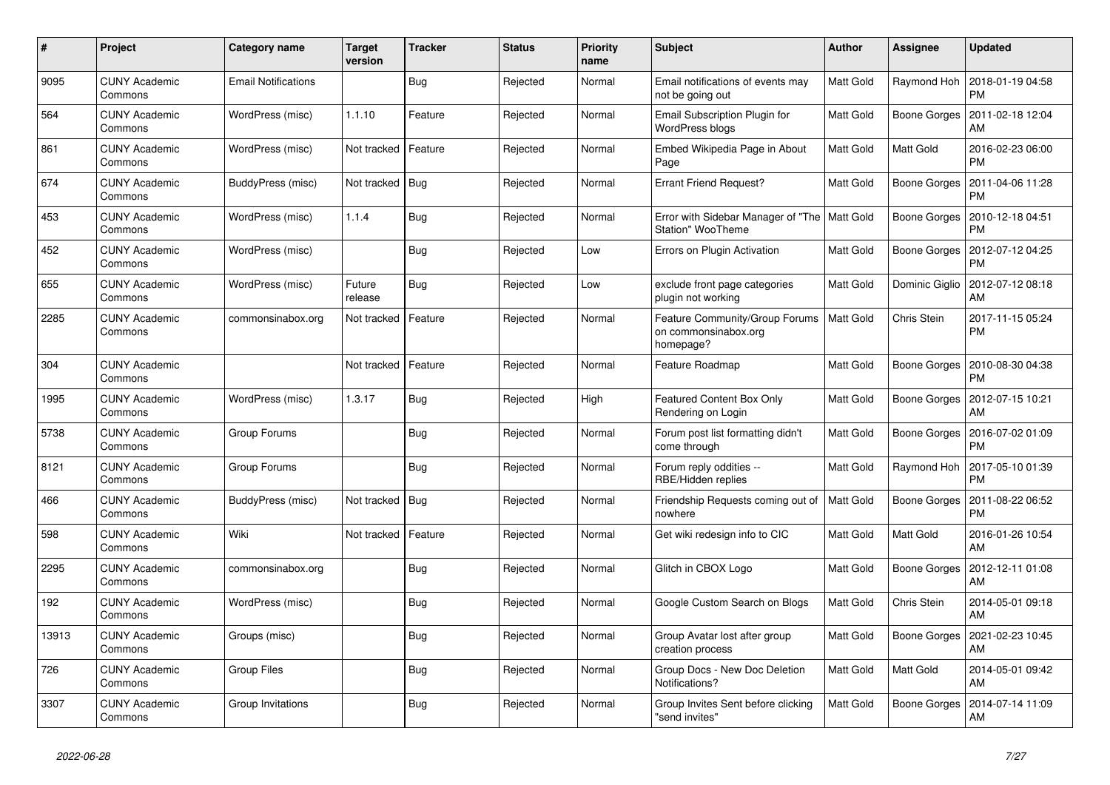| #     | Project                         | Category name              | <b>Target</b><br>version | <b>Tracker</b> | <b>Status</b> | <b>Priority</b><br>name | <b>Subject</b>                                                             | <b>Author</b> | <b>Assignee</b>     | <b>Updated</b>                               |
|-------|---------------------------------|----------------------------|--------------------------|----------------|---------------|-------------------------|----------------------------------------------------------------------------|---------------|---------------------|----------------------------------------------|
| 9095  | <b>CUNY Academic</b><br>Commons | <b>Email Notifications</b> |                          | <b>Bug</b>     | Rejected      | Normal                  | Email notifications of events may<br>not be going out                      | Matt Gold     | Raymond Hoh         | 2018-01-19 04:58<br><b>PM</b>                |
| 564   | <b>CUNY Academic</b><br>Commons | WordPress (misc)           | 1.1.10                   | Feature        | Rejected      | Normal                  | Email Subscription Plugin for<br><b>WordPress blogs</b>                    | Matt Gold     | <b>Boone Gorges</b> | 2011-02-18 12:04<br>AM                       |
| 861   | <b>CUNY Academic</b><br>Commons | WordPress (misc)           | Not tracked              | Feature        | Rejected      | Normal                  | Embed Wikipedia Page in About<br>Page                                      | Matt Gold     | Matt Gold           | 2016-02-23 06:00<br><b>PM</b>                |
| 674   | <b>CUNY Academic</b><br>Commons | BuddyPress (misc)          | Not tracked   Bug        |                | Rejected      | Normal                  | <b>Errant Friend Request?</b>                                              | Matt Gold     | Boone Gorges        | 2011-04-06 11:28<br><b>PM</b>                |
| 453   | <b>CUNY Academic</b><br>Commons | WordPress (misc)           | 1.1.4                    | <b>Bug</b>     | Rejected      | Normal                  | Error with Sidebar Manager of "The   Matt Gold<br><b>Station" WooTheme</b> |               | Boone Gorges        | 2010-12-18 04:51<br><b>PM</b>                |
| 452   | <b>CUNY Academic</b><br>Commons | WordPress (misc)           |                          | Bug            | Rejected      | Low                     | Errors on Plugin Activation                                                | Matt Gold     | Boone Gorges        | 2012-07-12 04:25<br><b>PM</b>                |
| 655   | <b>CUNY Academic</b><br>Commons | WordPress (misc)           | Future<br>release        | <b>Bug</b>     | Rejected      | Low                     | exclude front page categories<br>plugin not working                        | Matt Gold     |                     | Dominic Giglio   2012-07-12 08:18<br>AM      |
| 2285  | <b>CUNY Academic</b><br>Commons | commonsinabox.org          | Not tracked              | Feature        | Rejected      | Normal                  | Feature Community/Group Forums<br>on commonsinabox.org<br>homepage?        | Matt Gold     | Chris Stein         | 2017-11-15 05:24<br><b>PM</b>                |
| 304   | <b>CUNY Academic</b><br>Commons |                            | Not tracked              | Feature        | Rejected      | Normal                  | Feature Roadmap                                                            | Matt Gold     | Boone Gorges        | 2010-08-30 04:38<br><b>PM</b>                |
| 1995  | <b>CUNY Academic</b><br>Commons | WordPress (misc)           | 1.3.17                   | Bug            | Rejected      | High                    | <b>Featured Content Box Only</b><br>Rendering on Login                     | Matt Gold     | Boone Gorges        | 2012-07-15 10:21<br>AM                       |
| 5738  | <b>CUNY Academic</b><br>Commons | Group Forums               |                          | Bug            | Rejected      | Normal                  | Forum post list formatting didn't<br>come through                          | Matt Gold     |                     | Boone Gorges   2016-07-02 01:09<br><b>PM</b> |
| 8121  | <b>CUNY Academic</b><br>Commons | Group Forums               |                          | Bug            | Rejected      | Normal                  | Forum reply oddities --<br>RBE/Hidden replies                              | Matt Gold     | Raymond Hoh         | 2017-05-10 01:39<br><b>PM</b>                |
| 466   | <b>CUNY Academic</b><br>Commons | BuddyPress (misc)          | Not tracked              | <b>Bug</b>     | Rejected      | Normal                  | Friendship Requests coming out of<br>nowhere                               | Matt Gold     | <b>Boone Gorges</b> | 2011-08-22 06:52<br><b>PM</b>                |
| 598   | <b>CUNY Academic</b><br>Commons | Wiki                       | Not tracked              | Feature        | Rejected      | Normal                  | Get wiki redesign info to CIC                                              | Matt Gold     | Matt Gold           | 2016-01-26 10:54<br>AM                       |
| 2295  | <b>CUNY Academic</b><br>Commons | commonsinabox.org          |                          | Bug            | Rejected      | Normal                  | Glitch in CBOX Logo                                                        | Matt Gold     | Boone Gorges        | 2012-12-11 01:08<br>AM                       |
| 192   | <b>CUNY Academic</b><br>Commons | WordPress (misc)           |                          | Bug            | Rejected      | Normal                  | Google Custom Search on Blogs                                              | Matt Gold     | Chris Stein         | 2014-05-01 09:18<br>AM                       |
| 13913 | <b>CUNY Academic</b><br>Commons | Groups (misc)              |                          | Bug            | Rejected      | Normal                  | Group Avatar lost after group<br>creation process                          | Matt Gold     | Boone Gorges        | 2021-02-23 10:45<br>AM                       |
| 726   | <b>CUNY Academic</b><br>Commons | <b>Group Files</b>         |                          | Bug            | Rejected      | Normal                  | Group Docs - New Doc Deletion<br>Notifications?                            | Matt Gold     | Matt Gold           | 2014-05-01 09:42<br>AM                       |
| 3307  | <b>CUNY Academic</b><br>Commons | Group Invitations          |                          | Bug            | Rejected      | Normal                  | Group Invites Sent before clicking<br>"send invites"                       | Matt Gold     | Boone Gorges        | 2014-07-14 11:09<br>AM                       |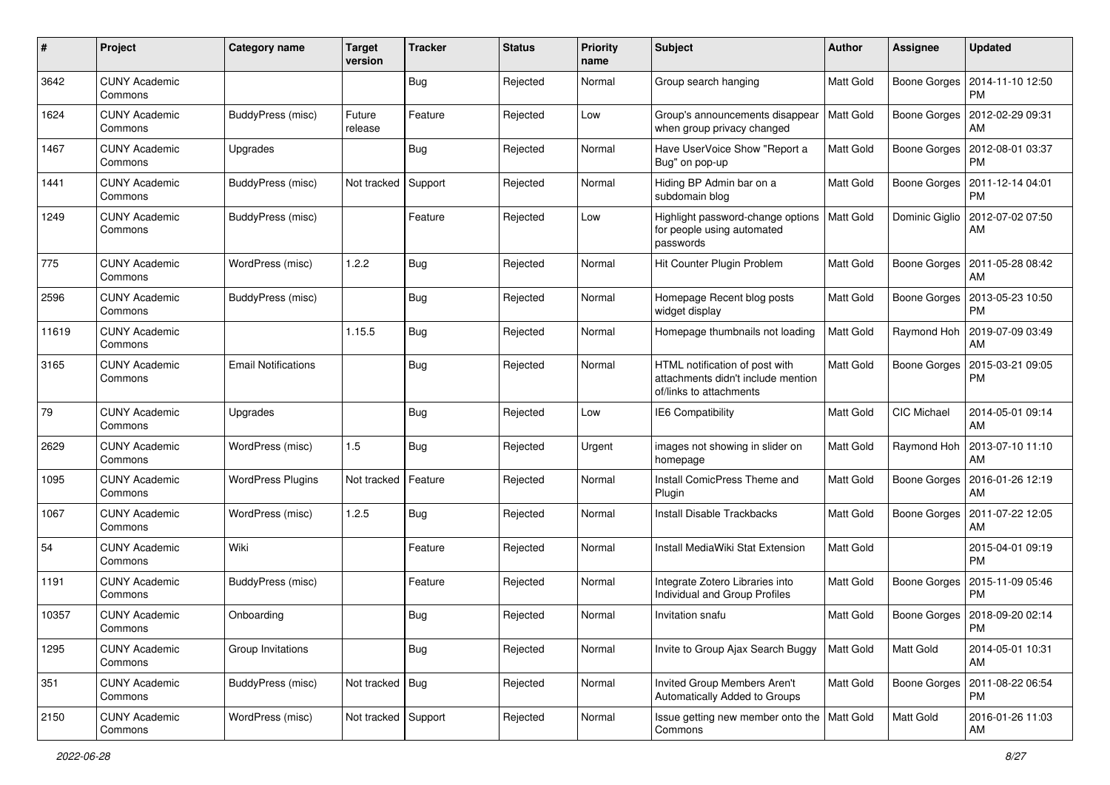| #     | Project                         | Category name              | <b>Target</b><br>version | <b>Tracker</b> | <b>Status</b> | <b>Priority</b><br>name | <b>Subject</b>                                                                                  | <b>Author</b>    | <b>Assignee</b>     | <b>Updated</b>                               |
|-------|---------------------------------|----------------------------|--------------------------|----------------|---------------|-------------------------|-------------------------------------------------------------------------------------------------|------------------|---------------------|----------------------------------------------|
| 3642  | <b>CUNY Academic</b><br>Commons |                            |                          | Bug            | Rejected      | Normal                  | Group search hanging                                                                            | Matt Gold        | Boone Gorges        | 2014-11-10 12:50<br><b>PM</b>                |
| 1624  | <b>CUNY Academic</b><br>Commons | BuddyPress (misc)          | Future<br>release        | Feature        | Rejected      | Low                     | Group's announcements disappear<br>when group privacy changed                                   | Matt Gold        |                     | Boone Gorges   2012-02-29 09:31<br>AM        |
| 1467  | <b>CUNY Academic</b><br>Commons | Upgrades                   |                          | Bug            | Rejected      | Normal                  | Have UserVoice Show "Report a<br>Bug" on pop-up                                                 | Matt Gold        | <b>Boone Gorges</b> | 2012-08-01 03:37<br>PM                       |
| 1441  | <b>CUNY Academic</b><br>Commons | BuddyPress (misc)          | Not tracked              | Support        | Rejected      | Normal                  | Hiding BP Admin bar on a<br>subdomain blog                                                      | Matt Gold        | <b>Boone Gorges</b> | 2011-12-14 04:01<br><b>PM</b>                |
| 1249  | <b>CUNY Academic</b><br>Commons | BuddyPress (misc)          |                          | Feature        | Rejected      | Low                     | Highlight password-change options<br>for people using automated<br>passwords                    | Matt Gold        | Dominic Giglio      | 2012-07-02 07:50<br>AM                       |
| 775   | <b>CUNY Academic</b><br>Commons | WordPress (misc)           | 1.2.2                    | Bug            | Rejected      | Normal                  | Hit Counter Plugin Problem                                                                      | Matt Gold        | Boone Gorges        | 2011-05-28 08:42<br>AM                       |
| 2596  | <b>CUNY Academic</b><br>Commons | BuddyPress (misc)          |                          | Bug            | Rejected      | Normal                  | Homepage Recent blog posts<br>widget display                                                    | Matt Gold        | Boone Gorges        | 2013-05-23 10:50<br><b>PM</b>                |
| 11619 | <b>CUNY Academic</b><br>Commons |                            | 1.15.5                   | Bug            | Rejected      | Normal                  | Homepage thumbnails not loading                                                                 | Matt Gold        | Raymond Hoh         | 2019-07-09 03:49<br>AM                       |
| 3165  | <b>CUNY Academic</b><br>Commons | <b>Email Notifications</b> |                          | Bug            | Rejected      | Normal                  | HTML notification of post with<br>attachments didn't include mention<br>of/links to attachments | Matt Gold        | Boone Gorges        | 2015-03-21 09:05<br><b>PM</b>                |
| 79    | <b>CUNY Academic</b><br>Commons | Upgrades                   |                          | Bug            | Rejected      | Low                     | IE6 Compatibility                                                                               | Matt Gold        | CIC Michael         | 2014-05-01 09:14<br>AM                       |
| 2629  | <b>CUNY Academic</b><br>Commons | WordPress (misc)           | 1.5                      | Bug            | Rejected      | Urgent                  | images not showing in slider on<br>homepage                                                     | Matt Gold        | Raymond Hoh         | 2013-07-10 11:10<br>AM                       |
| 1095  | <b>CUNY Academic</b><br>Commons | <b>WordPress Plugins</b>   | Not tracked              | Feature        | Rejected      | Normal                  | Install ComicPress Theme and<br>Plugin                                                          | Matt Gold        | Boone Gorges        | 2016-01-26 12:19<br>AM                       |
| 1067  | <b>CUNY Academic</b><br>Commons | WordPress (misc)           | 1.2.5                    | Bug            | Rejected      | Normal                  | <b>Install Disable Trackbacks</b>                                                               | Matt Gold        | <b>Boone Gorges</b> | 2011-07-22 12:05<br>AM                       |
| 54    | <b>CUNY Academic</b><br>Commons | Wiki                       |                          | Feature        | Rejected      | Normal                  | Install MediaWiki Stat Extension                                                                | Matt Gold        |                     | 2015-04-01 09:19<br><b>PM</b>                |
| 1191  | <b>CUNY Academic</b><br>Commons | BuddyPress (misc)          |                          | Feature        | Rejected      | Normal                  | Integrate Zotero Libraries into<br>Individual and Group Profiles                                | Matt Gold        |                     | Boone Gorges   2015-11-09 05:46<br><b>PM</b> |
| 10357 | <b>CUNY Academic</b><br>Commons | Onboarding                 |                          | <b>Bug</b>     | Rejected      | Normal                  | Invitation snafu                                                                                | Matt Gold        |                     | Boone Gorges   2018-09-20 02:14<br>PM        |
| 1295  | <b>CUNY Academic</b><br>Commons | Group Invitations          |                          | Bug            | Rejected      | Normal                  | Invite to Group Ajax Search Buggy                                                               | <b>Matt Gold</b> | Matt Gold           | 2014-05-01 10:31<br>AM                       |
| 351   | <b>CUNY Academic</b><br>Commons | BuddyPress (misc)          | Not tracked   Bug        |                | Rejected      | Normal                  | Invited Group Members Aren't<br>Automatically Added to Groups                                   | Matt Gold        | Boone Gorges        | 2011-08-22 06:54<br><b>PM</b>                |
| 2150  | <b>CUNY Academic</b><br>Commons | WordPress (misc)           | Not tracked Support      |                | Rejected      | Normal                  | Issue getting new member onto the   Matt Gold<br>Commons                                        |                  | Matt Gold           | 2016-01-26 11:03<br>AM                       |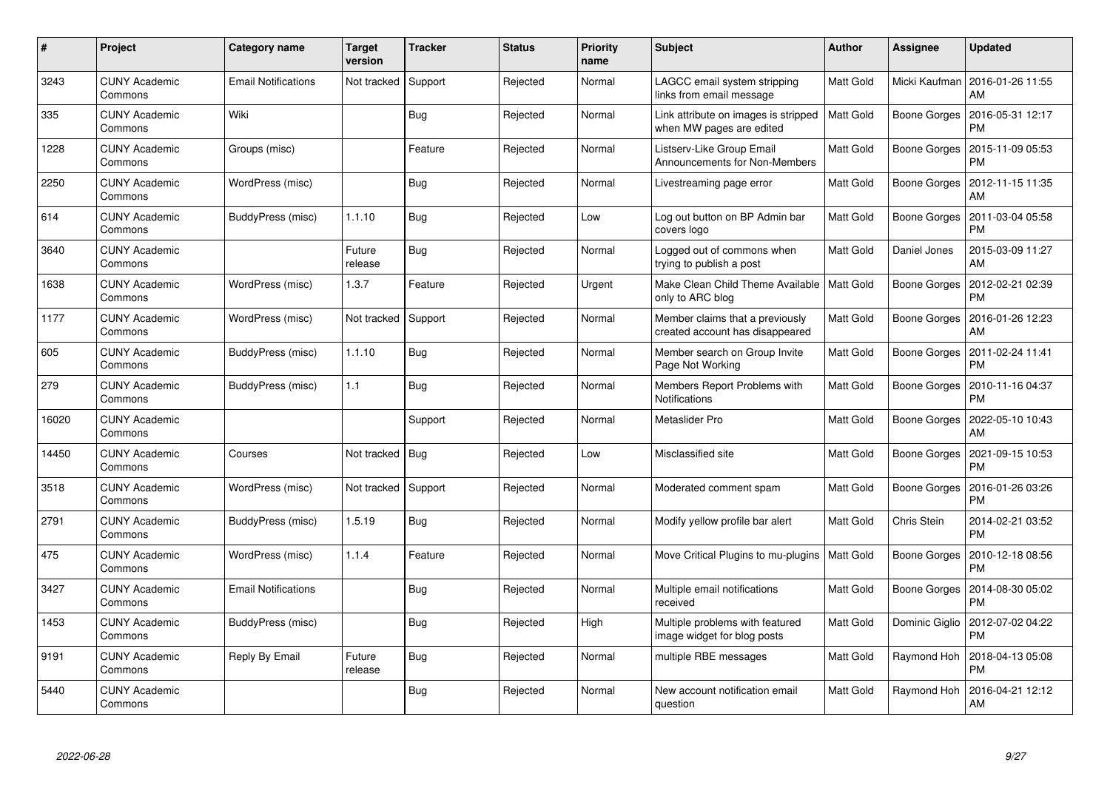| #     | Project                         | Category name              | <b>Target</b><br>version | <b>Tracker</b> | <b>Status</b> | <b>Priority</b><br>name | <b>Subject</b>                                                     | Author           | Assignee            | <b>Updated</b>                |
|-------|---------------------------------|----------------------------|--------------------------|----------------|---------------|-------------------------|--------------------------------------------------------------------|------------------|---------------------|-------------------------------|
| 3243  | <b>CUNY Academic</b><br>Commons | <b>Email Notifications</b> | Not tracked              | Support        | Rejected      | Normal                  | LAGCC email system stripping<br>links from email message           | Matt Gold        | Micki Kaufman       | 2016-01-26 11:55<br>AM        |
| 335   | <b>CUNY Academic</b><br>Commons | Wiki                       |                          | Bug            | Rejected      | Normal                  | Link attribute on images is stripped<br>when MW pages are edited   | <b>Matt Gold</b> | Boone Gorges        | 2016-05-31 12:17<br><b>PM</b> |
| 1228  | <b>CUNY Academic</b><br>Commons | Groups (misc)              |                          | Feature        | Rejected      | Normal                  | Listserv-Like Group Email<br>Announcements for Non-Members         | Matt Gold        | Boone Gorges        | 2015-11-09 05:53<br><b>PM</b> |
| 2250  | <b>CUNY Academic</b><br>Commons | WordPress (misc)           |                          | Bug            | Rejected      | Normal                  | Livestreaming page error                                           | Matt Gold        | Boone Gorges        | 2012-11-15 11:35<br>AM        |
| 614   | <b>CUNY Academic</b><br>Commons | BuddyPress (misc)          | 1.1.10                   | <b>Bug</b>     | Rejected      | Low                     | Log out button on BP Admin bar<br>covers logo                      | Matt Gold        | Boone Gorges        | 2011-03-04 05:58<br><b>PM</b> |
| 3640  | <b>CUNY Academic</b><br>Commons |                            | Future<br>release        | <b>Bug</b>     | Rejected      | Normal                  | Logged out of commons when<br>trying to publish a post             | Matt Gold        | Daniel Jones        | 2015-03-09 11:27<br>AM        |
| 1638  | <b>CUNY Academic</b><br>Commons | WordPress (misc)           | 1.3.7                    | Feature        | Rejected      | Urgent                  | Make Clean Child Theme Available   Matt Gold<br>only to ARC blog   |                  | <b>Boone Gorges</b> | 2012-02-21 02:39<br><b>PM</b> |
| 1177  | <b>CUNY Academic</b><br>Commons | WordPress (misc)           | Not tracked              | Support        | Rejected      | Normal                  | Member claims that a previously<br>created account has disappeared | Matt Gold        | Boone Gorges        | 2016-01-26 12:23<br>AM        |
| 605   | <b>CUNY Academic</b><br>Commons | BuddyPress (misc)          | 1.1.10                   | <b>Bug</b>     | Rejected      | Normal                  | Member search on Group Invite<br>Page Not Working                  | Matt Gold        | Boone Gorges        | 2011-02-24 11:41<br><b>PM</b> |
| 279   | <b>CUNY Academic</b><br>Commons | BuddyPress (misc)          | 1.1                      | Bug            | Rejected      | Normal                  | Members Report Problems with<br>Notifications                      | Matt Gold        | Boone Gorges        | 2010-11-16 04:37<br><b>PM</b> |
| 16020 | <b>CUNY Academic</b><br>Commons |                            |                          | Support        | Rejected      | Normal                  | Metaslider Pro                                                     | Matt Gold        | Boone Gorges        | 2022-05-10 10:43<br>AM        |
| 14450 | <b>CUNY Academic</b><br>Commons | Courses                    | Not tracked Bug          |                | Rejected      | Low                     | Misclassified site                                                 | Matt Gold        | Boone Gorges        | 2021-09-15 10:53<br><b>PM</b> |
| 3518  | <b>CUNY Academic</b><br>Commons | WordPress (misc)           | Not tracked              | Support        | Rejected      | Normal                  | Moderated comment spam                                             | Matt Gold        | Boone Gorges        | 2016-01-26 03:26<br><b>PM</b> |
| 2791  | <b>CUNY Academic</b><br>Commons | BuddyPress (misc)          | 1.5.19                   | <b>Bug</b>     | Rejected      | Normal                  | Modify yellow profile bar alert                                    | Matt Gold        | Chris Stein         | 2014-02-21 03:52<br><b>PM</b> |
| 475   | <b>CUNY Academic</b><br>Commons | WordPress (misc)           | 1.1.4                    | Feature        | Rejected      | Normal                  | Move Critical Plugins to mu-plugins                                | <b>Matt Gold</b> | Boone Gorges        | 2010-12-18 08:56<br><b>PM</b> |
| 3427  | <b>CUNY Academic</b><br>Commons | <b>Email Notifications</b> |                          | Bug            | Rejected      | Normal                  | Multiple email notifications<br>received                           | Matt Gold        | Boone Gorges        | 2014-08-30 05:02<br><b>PM</b> |
| 1453  | <b>CUNY Academic</b><br>Commons | BuddyPress (misc)          |                          | <b>Bug</b>     | Rejected      | High                    | Multiple problems with featured<br>image widget for blog posts     | <b>Matt Gold</b> | Dominic Giglio      | 2012-07-02 04:22<br><b>PM</b> |
| 9191  | <b>CUNY Academic</b><br>Commons | Reply By Email             | Future<br>release        | Bug            | Rejected      | Normal                  | multiple RBE messages                                              | Matt Gold        | Raymond Hoh         | 2018-04-13 05:08<br><b>PM</b> |
| 5440  | <b>CUNY Academic</b><br>Commons |                            |                          | <b>Bug</b>     | Rejected      | Normal                  | New account notification email<br>question                         | Matt Gold        | Raymond Hoh         | 2016-04-21 12:12<br>AM        |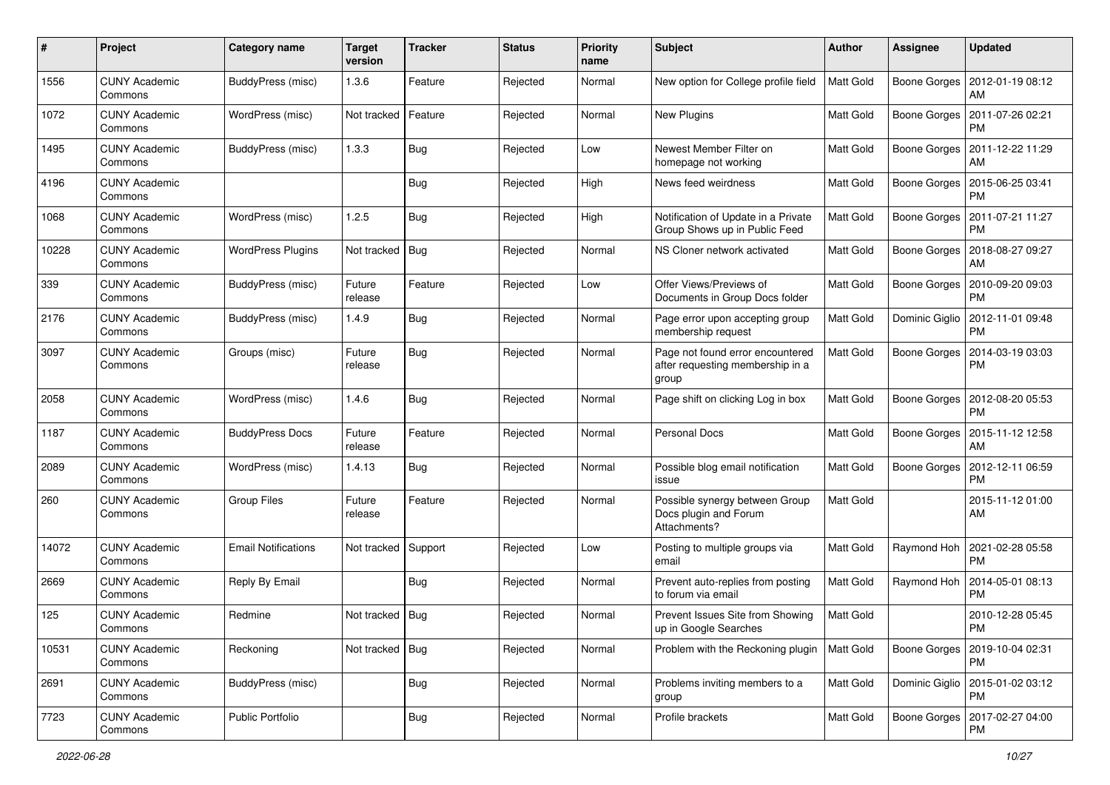| #     | Project                         | Category name              | <b>Target</b><br>version | <b>Tracker</b> | <b>Status</b> | <b>Priority</b><br>name | <b>Subject</b>                                                                | <b>Author</b>    | <b>Assignee</b>     | <b>Updated</b>                                 |
|-------|---------------------------------|----------------------------|--------------------------|----------------|---------------|-------------------------|-------------------------------------------------------------------------------|------------------|---------------------|------------------------------------------------|
| 1556  | <b>CUNY Academic</b><br>Commons | <b>BuddyPress (misc)</b>   | 1.3.6                    | Feature        | Rejected      | Normal                  | New option for College profile field                                          | <b>Matt Gold</b> | Boone Gorges        | 2012-01-19 08:12<br>AM                         |
| 1072  | <b>CUNY Academic</b><br>Commons | WordPress (misc)           | Not tracked   Feature    |                | Rejected      | Normal                  | New Plugins                                                                   | Matt Gold        |                     | Boone Gorges   2011-07-26 02:21<br><b>PM</b>   |
| 1495  | CUNY Academic<br>Commons        | BuddyPress (misc)          | 1.3.3                    | <b>Bug</b>     | Rejected      | Low                     | Newest Member Filter on<br>homepage not working                               | <b>Matt Gold</b> | Boone Gorges        | 2011-12-22 11:29<br>AM                         |
| 4196  | <b>CUNY Academic</b><br>Commons |                            |                          | <b>Bug</b>     | Rejected      | High                    | News feed weirdness                                                           | Matt Gold        | <b>Boone Gorges</b> | 2015-06-25 03:41<br><b>PM</b>                  |
| 1068  | CUNY Academic<br>Commons        | WordPress (misc)           | 1.2.5                    | <b>Bug</b>     | Rejected      | High                    | Notification of Update in a Private<br>Group Shows up in Public Feed          | Matt Gold        | Boone Gorges        | 2011-07-21 11:27<br><b>PM</b>                  |
| 10228 | <b>CUNY Academic</b><br>Commons | <b>WordPress Plugins</b>   | Not tracked   Bug        |                | Rejected      | Normal                  | NS Cloner network activated                                                   | Matt Gold        | Boone Gorges        | 2018-08-27 09:27<br>AM                         |
| 339   | <b>CUNY Academic</b><br>Commons | BuddyPress (misc)          | Future<br>release        | Feature        | Rejected      | Low                     | Offer Views/Previews of<br>Documents in Group Docs folder                     | Matt Gold        | Boone Gorges        | 2010-09-20 09:03<br><b>PM</b>                  |
| 2176  | <b>CUNY Academic</b><br>Commons | BuddyPress (misc)          | 1.4.9                    | <b>Bug</b>     | Rejected      | Normal                  | Page error upon accepting group<br>membership request                         | Matt Gold        | Dominic Giglio      | 2012-11-01 09:48<br><b>PM</b>                  |
| 3097  | <b>CUNY Academic</b><br>Commons | Groups (misc)              | Future<br>release        | <b>Bug</b>     | Rejected      | Normal                  | Page not found error encountered<br>after requesting membership in a<br>group | Matt Gold        | Boone Gorges        | 2014-03-19 03:03<br><b>PM</b>                  |
| 2058  | <b>CUNY Academic</b><br>Commons | WordPress (misc)           | 1.4.6                    | Bug            | Rejected      | Normal                  | Page shift on clicking Log in box                                             | Matt Gold        | Boone Gorges        | 2012-08-20 05:53<br><b>PM</b>                  |
| 1187  | CUNY Academic<br>Commons        | <b>BuddyPress Docs</b>     | Future<br>release        | Feature        | Rejected      | Normal                  | Personal Docs                                                                 | Matt Gold        | Boone Gorges        | 2015-11-12 12:58<br>AM                         |
| 2089  | <b>CUNY Academic</b><br>Commons | WordPress (misc)           | 1.4.13                   | <b>Bug</b>     | Rejected      | Normal                  | Possible blog email notification<br>issue                                     | Matt Gold        | <b>Boone Gorges</b> | 2012-12-11 06:59<br><b>PM</b>                  |
| 260   | <b>CUNY Academic</b><br>Commons | Group Files                | Future<br>release        | Feature        | Rejected      | Normal                  | Possible synergy between Group<br>Docs plugin and Forum<br>Attachments?       | Matt Gold        |                     | 2015-11-12 01:00<br>AM                         |
| 14072 | <b>CUNY Academic</b><br>Commons | <b>Email Notifications</b> | Not tracked Support      |                | Rejected      | Low                     | Posting to multiple groups via<br>email                                       | Matt Gold        | Raymond Hoh         | 2021-02-28 05:58<br><b>PM</b>                  |
| 2669  | <b>CUNY Academic</b><br>Commons | Reply By Email             |                          | <b>Bug</b>     | Rejected      | Normal                  | Prevent auto-replies from posting<br>to forum via email                       | Matt Gold        | Raymond Hoh         | 2014-05-01 08:13<br><b>PM</b>                  |
| 125   | CUNY Academic<br>Commons        | Redmine                    | Not tracked   Bug        |                | Rejected      | Normal                  | Prevent Issues Site from Showing<br>up in Google Searches                     | Matt Gold        |                     | 2010-12-28 05:45<br>PM                         |
| 10531 | <b>CUNY Academic</b><br>Commons | Reckoning                  | Not tracked   Bug        |                | Rejected      | Normal                  | Problem with the Reckoning plugin                                             | Matt Gold        |                     | Boone Gorges   2019-10-04 02:31<br><b>PM</b>   |
| 2691  | <b>CUNY Academic</b><br>Commons | BuddyPress (misc)          |                          | Bug            | Rejected      | Normal                  | Problems inviting members to a<br>group                                       | Matt Gold        |                     | Dominic Giglio   2015-01-02 03:12<br><b>PM</b> |
| 7723  | <b>CUNY Academic</b><br>Commons | Public Portfolio           |                          | <b>Bug</b>     | Rejected      | Normal                  | Profile brackets                                                              | Matt Gold        | Boone Gorges        | 2017-02-27 04:00<br>PM                         |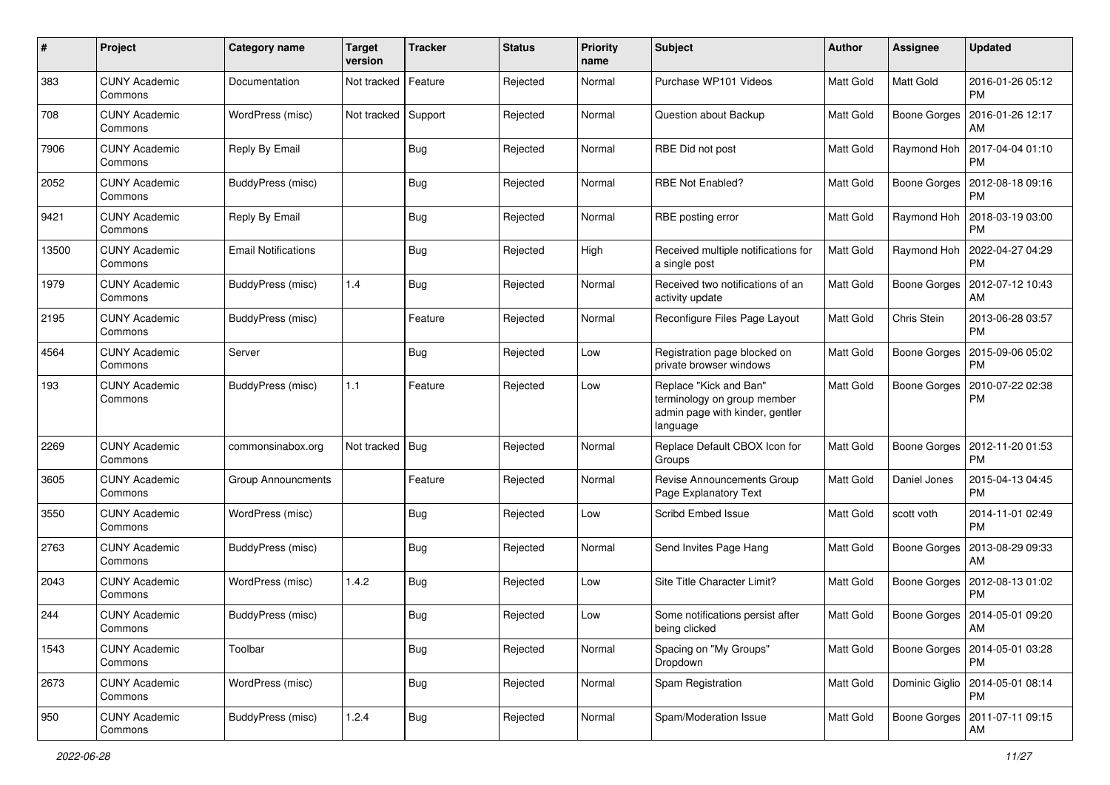| #     | Project                         | Category name       | <b>Target</b><br>version | <b>Tracker</b> | <b>Status</b> | <b>Priority</b><br>name | Subject                                                                                              | <b>Author</b> | Assignee            | <b>Updated</b>                                 |
|-------|---------------------------------|---------------------|--------------------------|----------------|---------------|-------------------------|------------------------------------------------------------------------------------------------------|---------------|---------------------|------------------------------------------------|
| 383   | <b>CUNY Academic</b><br>Commons | Documentation       | Not tracked              | Feature        | Rejected      | Normal                  | Purchase WP101 Videos                                                                                | Matt Gold     | Matt Gold           | 2016-01-26 05:12<br><b>PM</b>                  |
| 708   | <b>CUNY Academic</b><br>Commons | WordPress (misc)    | Not tracked              | Support        | Rejected      | Normal                  | Question about Backup                                                                                | Matt Gold     | Boone Gorges        | 2016-01-26 12:17<br>AM                         |
| 7906  | <b>CUNY Academic</b><br>Commons | Reply By Email      |                          | <b>Bug</b>     | Rejected      | Normal                  | RBE Did not post                                                                                     | Matt Gold     | Raymond Hoh         | 2017-04-04 01:10<br><b>PM</b>                  |
| 2052  | <b>CUNY Academic</b><br>Commons | BuddyPress (misc)   |                          | <b>Bug</b>     | Rejected      | Normal                  | RBE Not Enabled?                                                                                     | Matt Gold     | <b>Boone Gorges</b> | 2012-08-18 09:16<br><b>PM</b>                  |
| 9421  | <b>CUNY Academic</b><br>Commons | Reply By Email      |                          | <b>Bug</b>     | Rejected      | Normal                  | RBE posting error                                                                                    | Matt Gold     | Raymond Hoh         | 2018-03-19 03:00<br><b>PM</b>                  |
| 13500 | <b>CUNY Academic</b><br>Commons | Email Notifications |                          | Bug            | Rejected      | High                    | Received multiple notifications for<br>a single post                                                 | Matt Gold     | Raymond Hoh         | 2022-04-27 04:29<br><b>PM</b>                  |
| 1979  | <b>CUNY Academic</b><br>Commons | BuddyPress (misc)   | 1.4                      | <b>Bug</b>     | Rejected      | Normal                  | Received two notifications of an<br>activity update                                                  | Matt Gold     | Boone Gorges        | 2012-07-12 10:43<br>AM                         |
| 2195  | <b>CUNY Academic</b><br>Commons | BuddyPress (misc)   |                          | Feature        | Rejected      | Normal                  | Reconfigure Files Page Layout                                                                        | Matt Gold     | Chris Stein         | 2013-06-28 03:57<br><b>PM</b>                  |
| 4564  | <b>CUNY Academic</b><br>Commons | Server              |                          | <b>Bug</b>     | Rejected      | Low                     | Registration page blocked on<br>private browser windows                                              | Matt Gold     | <b>Boone Gorges</b> | 2015-09-06 05:02<br><b>PM</b>                  |
| 193   | <b>CUNY Academic</b><br>Commons | BuddyPress (misc)   | 1.1                      | Feature        | Rejected      | Low                     | Replace "Kick and Ban"<br>terminology on group member<br>admin page with kinder, gentler<br>language | Matt Gold     | <b>Boone Gorges</b> | 2010-07-22 02:38<br>PM                         |
| 2269  | <b>CUNY Academic</b><br>Commons | commonsinabox.org   | Not tracked              | Bug            | Rejected      | Normal                  | Replace Default CBOX Icon for<br>Groups                                                              | Matt Gold     | Boone Gorges        | 2012-11-20 01:53<br><b>PM</b>                  |
| 3605  | <b>CUNY Academic</b><br>Commons | Group Announcments  |                          | Feature        | Rejected      | Normal                  | Revise Announcements Group<br>Page Explanatory Text                                                  | Matt Gold     | Daniel Jones        | 2015-04-13 04:45<br><b>PM</b>                  |
| 3550  | <b>CUNY Academic</b><br>Commons | WordPress (misc)    |                          | <b>Bug</b>     | Rejected      | Low                     | Scribd Embed Issue                                                                                   | Matt Gold     | scott voth          | 2014-11-01 02:49<br><b>PM</b>                  |
| 2763  | <b>CUNY Academic</b><br>Commons | BuddyPress (misc)   |                          | <b>Bug</b>     | Rejected      | Normal                  | Send Invites Page Hang                                                                               | Matt Gold     | Boone Gorges        | 2013-08-29 09:33<br>AM                         |
| 2043  | <b>CUNY Academic</b><br>Commons | WordPress (misc)    | 1.4.2                    | <b>Bug</b>     | Rejected      | Low                     | Site Title Character Limit?                                                                          | Matt Gold     |                     | Boone Gorges   2012-08-13 01:02<br><b>PM</b>   |
| 244   | <b>CUNY Academic</b><br>Commons | BuddyPress (misc)   |                          | <b>Bug</b>     | Rejected      | Low                     | Some notifications persist after<br>being clicked                                                    | Matt Gold     |                     | Boone Gorges   2014-05-01 09:20<br>AM          |
| 1543  | <b>CUNY Academic</b><br>Commons | Toolbar             |                          | Bug            | Rejected      | Normal                  | Spacing on "My Groups"<br>Dropdown                                                                   | Matt Gold     |                     | Boone Gorges   2014-05-01 03:28<br><b>PM</b>   |
| 2673  | <b>CUNY Academic</b><br>Commons | WordPress (misc)    |                          | Bug            | Rejected      | Normal                  | Spam Registration                                                                                    | Matt Gold     |                     | Dominic Giglio   2014-05-01 08:14<br><b>PM</b> |
| 950   | <b>CUNY Academic</b><br>Commons | BuddyPress (misc)   | 1.2.4                    | <b>Bug</b>     | Rejected      | Normal                  | Spam/Moderation Issue                                                                                | Matt Gold     |                     | Boone Gorges   2011-07-11 09:15<br>AM          |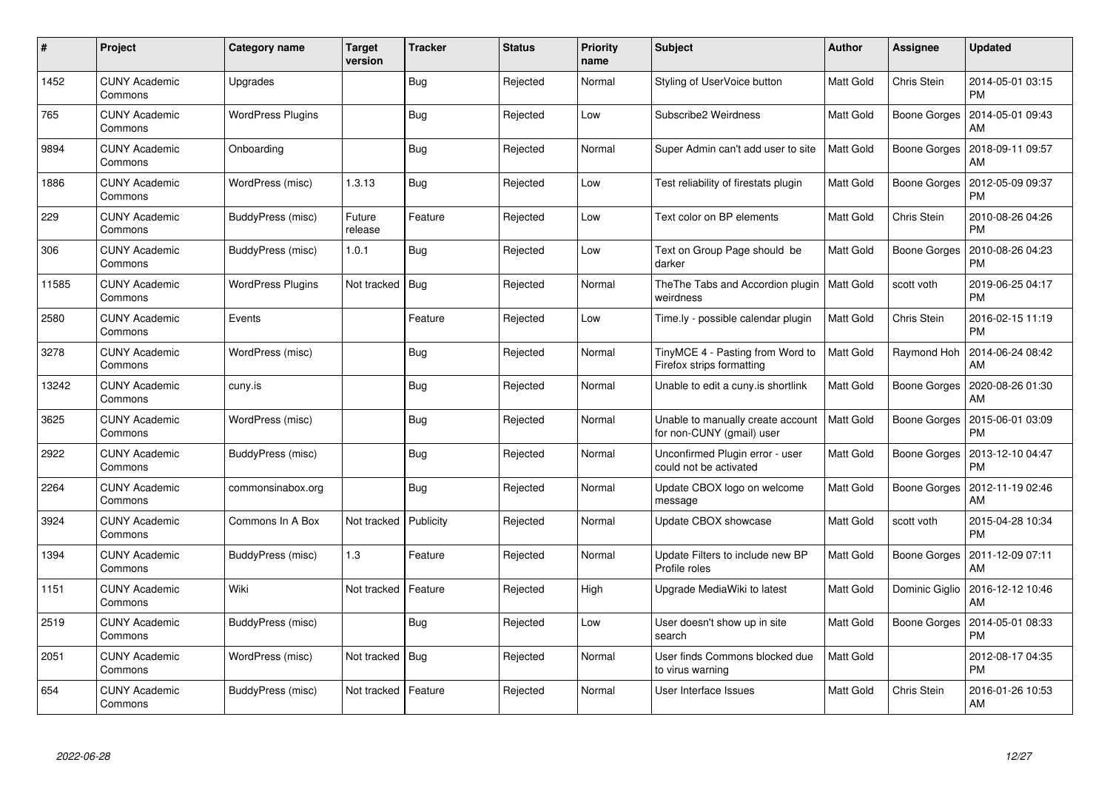| #     | Project                         | Category name            | <b>Target</b><br>version | <b>Tracker</b> | <b>Status</b> | <b>Priority</b><br>name | <b>Subject</b>                                                 | Author           | Assignee       | <b>Updated</b>                |
|-------|---------------------------------|--------------------------|--------------------------|----------------|---------------|-------------------------|----------------------------------------------------------------|------------------|----------------|-------------------------------|
| 1452  | <b>CUNY Academic</b><br>Commons | Upgrades                 |                          | <b>Bug</b>     | Rejected      | Normal                  | Styling of UserVoice button                                    | Matt Gold        | Chris Stein    | 2014-05-01 03:15<br><b>PM</b> |
| 765   | <b>CUNY Academic</b><br>Commons | <b>WordPress Plugins</b> |                          | <b>Bug</b>     | Rejected      | Low                     | Subscribe2 Weirdness                                           | Matt Gold        | Boone Gorges   | 2014-05-01 09:43<br>AM        |
| 9894  | <b>CUNY Academic</b><br>Commons | Onboarding               |                          | <b>Bug</b>     | Rejected      | Normal                  | Super Admin can't add user to site                             | Matt Gold        | Boone Gorges   | 2018-09-11 09:57<br>AM        |
| 1886  | <b>CUNY Academic</b><br>Commons | WordPress (misc)         | 1.3.13                   | <b>Bug</b>     | Rejected      | Low                     | Test reliability of firestats plugin                           | Matt Gold        | Boone Gorges   | 2012-05-09 09:37<br><b>PM</b> |
| 229   | <b>CUNY Academic</b><br>Commons | BuddyPress (misc)        | Future<br>release        | Feature        | Rejected      | Low                     | Text color on BP elements                                      | Matt Gold        | Chris Stein    | 2010-08-26 04:26<br><b>PM</b> |
| 306   | <b>CUNY Academic</b><br>Commons | BuddyPress (misc)        | 1.0.1                    | <b>Bug</b>     | Rejected      | Low                     | Text on Group Page should be<br>darker                         | Matt Gold        | Boone Gorges   | 2010-08-26 04:23<br><b>PM</b> |
| 11585 | <b>CUNY Academic</b><br>Commons | <b>WordPress Plugins</b> | Not tracked              | <b>Bug</b>     | Rejected      | Normal                  | The The Tabs and Accordion plugin   Matt Gold<br>weirdness     |                  | scott voth     | 2019-06-25 04:17<br><b>PM</b> |
| 2580  | <b>CUNY Academic</b><br>Commons | Events                   |                          | Feature        | Rejected      | Low                     | Time.ly - possible calendar plugin                             | <b>Matt Gold</b> | Chris Stein    | 2016-02-15 11:19<br><b>PM</b> |
| 3278  | <b>CUNY Academic</b><br>Commons | WordPress (misc)         |                          | <b>Bug</b>     | Rejected      | Normal                  | TinyMCE 4 - Pasting from Word to<br>Firefox strips formatting  | Matt Gold        | Raymond Hoh    | 2014-06-24 08:42<br><b>AM</b> |
| 13242 | <b>CUNY Academic</b><br>Commons | cuny.is                  |                          | <b>Bug</b>     | Rejected      | Normal                  | Unable to edit a cuny is shortlink                             | Matt Gold        | Boone Gorges   | 2020-08-26 01:30<br>AM        |
| 3625  | <b>CUNY Academic</b><br>Commons | WordPress (misc)         |                          | <b>Bug</b>     | Rejected      | Normal                  | Unable to manually create account<br>for non-CUNY (gmail) user | Matt Gold        | Boone Gorges   | 2015-06-01 03:09<br><b>PM</b> |
| 2922  | <b>CUNY Academic</b><br>Commons | BuddyPress (misc)        |                          | <b>Bug</b>     | Rejected      | Normal                  | Unconfirmed Plugin error - user<br>could not be activated      | Matt Gold        | Boone Gorges   | 2013-12-10 04:47<br><b>PM</b> |
| 2264  | <b>CUNY Academic</b><br>Commons | commonsinabox.org        |                          | <b>Bug</b>     | Rejected      | Normal                  | Update CBOX logo on welcome<br>message                         | Matt Gold        | Boone Gorges   | 2012-11-19 02:46<br>AM        |
| 3924  | <b>CUNY Academic</b><br>Commons | Commons In A Box         | Not tracked              | Publicity      | Rejected      | Normal                  | Update CBOX showcase                                           | Matt Gold        | scott voth     | 2015-04-28 10:34<br><b>PM</b> |
| 1394  | <b>CUNY Academic</b><br>Commons | BuddyPress (misc)        | 1.3                      | Feature        | Rejected      | Normal                  | Update Filters to include new BP<br>Profile roles              | Matt Gold        | Boone Gorges   | 2011-12-09 07:11<br>AM        |
| 1151  | <b>CUNY Academic</b><br>Commons | Wiki                     | Not tracked   Feature    |                | Rejected      | High                    | Upgrade MediaWiki to latest                                    | Matt Gold        | Dominic Giglio | 2016-12-12 10:46<br>AM        |
| 2519  | <b>CUNY Academic</b><br>Commons | BuddyPress (misc)        |                          | <b>Bug</b>     | Rejected      | Low                     | User doesn't show up in site<br>search                         | Matt Gold        | Boone Gorges   | 2014-05-01 08:33<br><b>PM</b> |
| 2051  | <b>CUNY Academic</b><br>Commons | WordPress (misc)         | Not tracked              | <b>Bug</b>     | Rejected      | Normal                  | User finds Commons blocked due<br>to virus warning             | Matt Gold        |                | 2012-08-17 04:35<br><b>PM</b> |
| 654   | CUNY Academic<br>Commons        | BuddyPress (misc)        | Not tracked   Feature    |                | Rejected      | Normal                  | User Interface Issues                                          | Matt Gold        | Chris Stein    | 2016-01-26 10:53<br>AM        |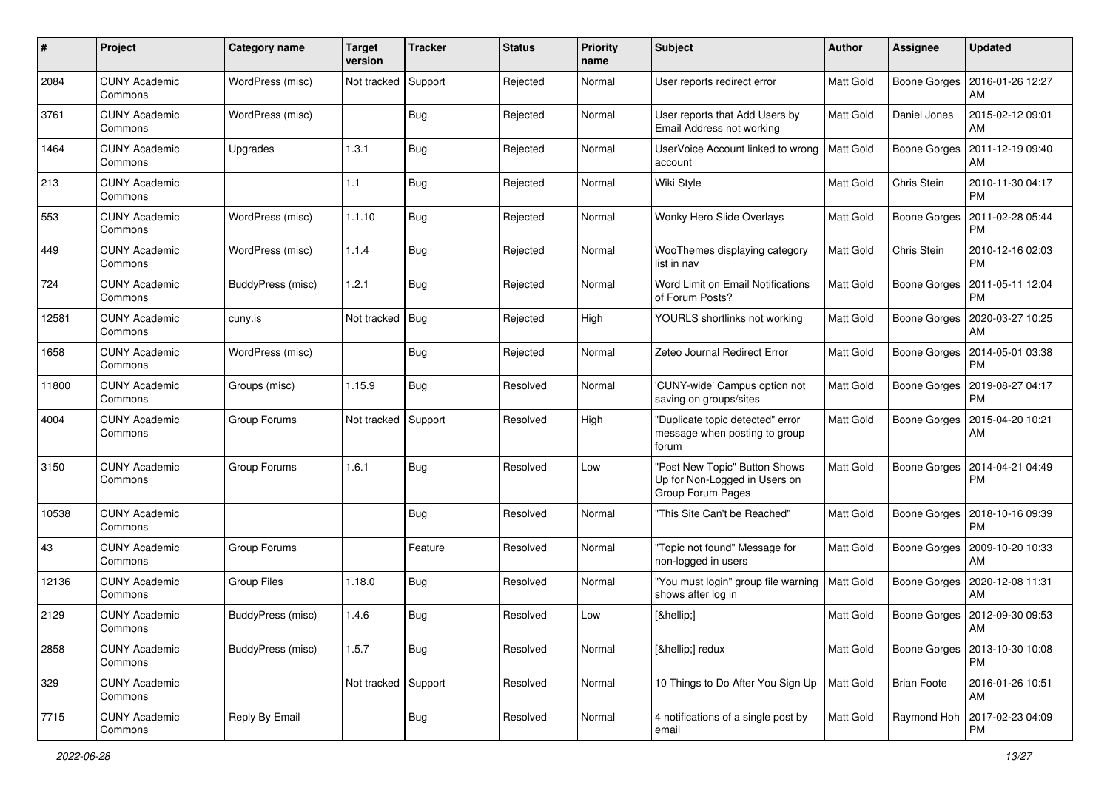| $\#$  | Project                         | Category name            | <b>Target</b><br>version | <b>Tracker</b> | <b>Status</b> | <b>Priority</b><br>name | <b>Subject</b>                                                                      | <b>Author</b>    | <b>Assignee</b>     | <b>Updated</b>                        |
|-------|---------------------------------|--------------------------|--------------------------|----------------|---------------|-------------------------|-------------------------------------------------------------------------------------|------------------|---------------------|---------------------------------------|
| 2084  | <b>CUNY Academic</b><br>Commons | WordPress (misc)         | Not tracked              | Support        | Rejected      | Normal                  | User reports redirect error                                                         | Matt Gold        | Boone Gorges        | 2016-01-26 12:27<br>AM                |
| 3761  | <b>CUNY Academic</b><br>Commons | WordPress (misc)         |                          | <b>Bug</b>     | Rejected      | Normal                  | User reports that Add Users by<br>Email Address not working                         | Matt Gold        | Daniel Jones        | 2015-02-12 09:01<br>AM                |
| 1464  | <b>CUNY Academic</b><br>Commons | Upgrades                 | 1.3.1                    | <b>Bug</b>     | Rejected      | Normal                  | UserVoice Account linked to wrong<br>account                                        | Matt Gold        | <b>Boone Gorges</b> | 2011-12-19 09:40<br>AM                |
| 213   | <b>CUNY Academic</b><br>Commons |                          | 1.1                      | <b>Bug</b>     | Rejected      | Normal                  | Wiki Style                                                                          | Matt Gold        | Chris Stein         | 2010-11-30 04:17<br><b>PM</b>         |
| 553   | <b>CUNY Academic</b><br>Commons | WordPress (misc)         | 1.1.10                   | <b>Bug</b>     | Rejected      | Normal                  | Wonky Hero Slide Overlays                                                           | <b>Matt Gold</b> | Boone Gorges        | 2011-02-28 05:44<br><b>PM</b>         |
| 449   | <b>CUNY Academic</b><br>Commons | WordPress (misc)         | 1.1.4                    | <b>Bug</b>     | Rejected      | Normal                  | WooThemes displaying category<br>list in nav                                        | Matt Gold        | Chris Stein         | 2010-12-16 02:03<br><b>PM</b>         |
| 724   | <b>CUNY Academic</b><br>Commons | BuddyPress (misc)        | 1.2.1                    | <b>Bug</b>     | Rejected      | Normal                  | Word Limit on Email Notifications<br>of Forum Posts?                                | Matt Gold        | <b>Boone Gorges</b> | 2011-05-11 12:04<br><b>PM</b>         |
| 12581 | <b>CUNY Academic</b><br>Commons | cuny.is                  | Not tracked   Bug        |                | Rejected      | High                    | YOURLS shortlinks not working                                                       | Matt Gold        | Boone Gorges        | 2020-03-27 10:25<br>AM                |
| 1658  | <b>CUNY Academic</b><br>Commons | WordPress (misc)         |                          | <b>Bug</b>     | Rejected      | Normal                  | Zeteo Journal Redirect Error                                                        | Matt Gold        | Boone Gorges        | 2014-05-01 03:38<br><b>PM</b>         |
| 11800 | <b>CUNY Academic</b><br>Commons | Groups (misc)            | 1.15.9                   | <b>Bug</b>     | Resolved      | Normal                  | 'CUNY-wide' Campus option not<br>saving on groups/sites                             | Matt Gold        | <b>Boone Gorges</b> | 2019-08-27 04:17<br><b>PM</b>         |
| 4004  | <b>CUNY Academic</b><br>Commons | Group Forums             | Not tracked Support      |                | Resolved      | High                    | "Duplicate topic detected" error<br>message when posting to group<br>forum          | Matt Gold        | <b>Boone Gorges</b> | 2015-04-20 10:21<br>AM                |
| 3150  | <b>CUNY Academic</b><br>Commons | Group Forums             | 1.6.1                    | Bug            | Resolved      | Low                     | "Post New Topic" Button Shows<br>Up for Non-Logged in Users on<br>Group Forum Pages | Matt Gold        | <b>Boone Gorges</b> | 2014-04-21 04:49<br><b>PM</b>         |
| 10538 | <b>CUNY Academic</b><br>Commons |                          |                          | <b>Bug</b>     | Resolved      | Normal                  | "This Site Can't be Reached"                                                        | Matt Gold        | <b>Boone Gorges</b> | 2018-10-16 09:39<br><b>PM</b>         |
| 43    | <b>CUNY Academic</b><br>Commons | Group Forums             |                          | Feature        | Resolved      | Normal                  | "Topic not found" Message for<br>non-logged in users                                | Matt Gold        | Boone Gorges        | 2009-10-20 10:33<br>AM                |
| 12136 | <b>CUNY Academic</b><br>Commons | Group Files              | 1.18.0                   | <b>Bug</b>     | Resolved      | Normal                  | "You must login" group file warning<br>shows after log in                           | Matt Gold        |                     | Boone Gorges   2020-12-08 11:31<br>AM |
| 2129  | <b>CUNY Academic</b><br>Commons | <b>BuddyPress (misc)</b> | 1.4.6                    | Bug            | Resolved      | Low                     | […]                                                                                 | Matt Gold        |                     | Boone Gorges   2012-09-30 09:53<br>AM |
| 2858  | <b>CUNY Academic</b><br>Commons | BuddyPress (misc)        | 1.5.7                    | Bug            | Resolved      | Normal                  | […] redux                                                                           | Matt Gold        | Boone Gorges        | 2013-10-30 10:08<br><b>PM</b>         |
| 329   | <b>CUNY Academic</b><br>Commons |                          | Not tracked Support      |                | Resolved      | Normal                  | 10 Things to Do After You Sign Up                                                   | Matt Gold        | <b>Brian Foote</b>  | 2016-01-26 10:51<br>AM                |
| 7715  | <b>CUNY Academic</b><br>Commons | Reply By Email           |                          | <b>Bug</b>     | Resolved      | Normal                  | 4 notifications of a single post by<br>email                                        | Matt Gold        | Raymond Hoh         | 2017-02-23 04:09<br><b>PM</b>         |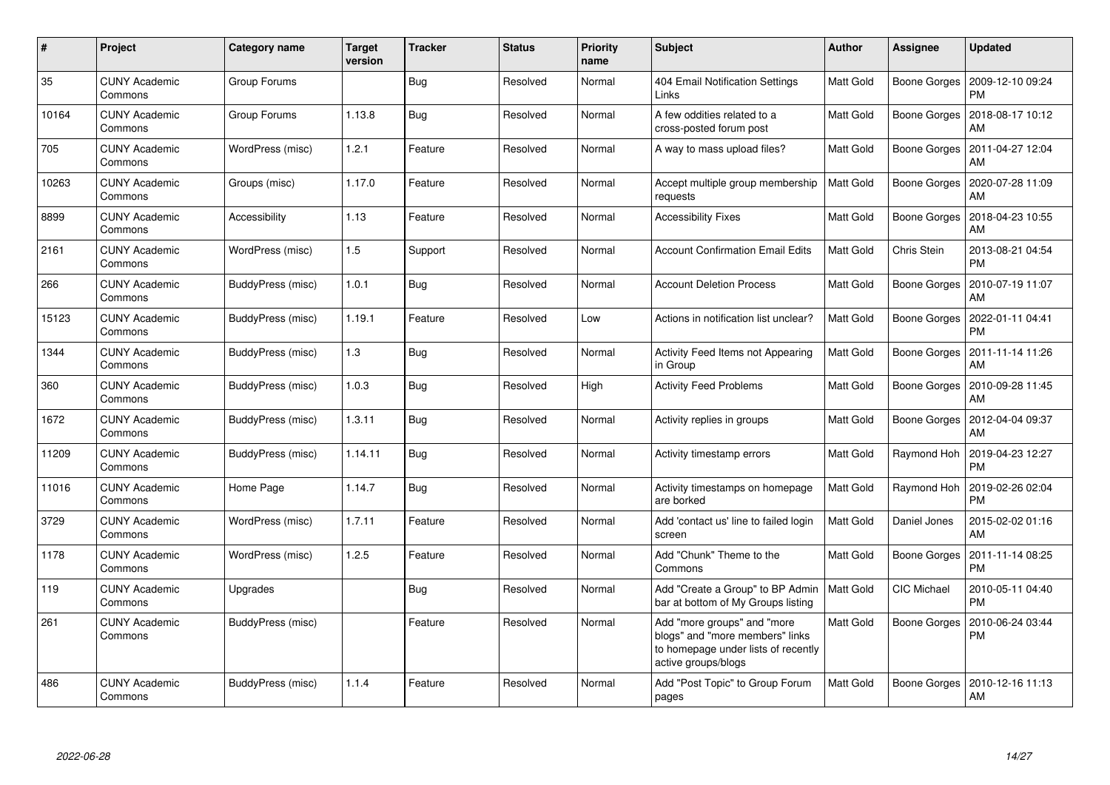| #     | Project                         | <b>Category name</b> | <b>Target</b><br>version | <b>Tracker</b> | <b>Status</b> | Priority<br>name | <b>Subject</b>                                                                                                               | <b>Author</b>    | <b>Assignee</b>     | <b>Updated</b>                               |
|-------|---------------------------------|----------------------|--------------------------|----------------|---------------|------------------|------------------------------------------------------------------------------------------------------------------------------|------------------|---------------------|----------------------------------------------|
| 35    | <b>CUNY Academic</b><br>Commons | Group Forums         |                          | <b>Bug</b>     | Resolved      | Normal           | 404 Email Notification Settings<br>Links                                                                                     | Matt Gold        |                     | Boone Gorges   2009-12-10 09:24<br><b>PM</b> |
| 10164 | <b>CUNY Academic</b><br>Commons | Group Forums         | 1.13.8                   | <b>Bug</b>     | Resolved      | Normal           | A few oddities related to a<br>cross-posted forum post                                                                       | Matt Gold        | Boone Gorges        | 2018-08-17 10:12<br>AM                       |
| 705   | <b>CUNY Academic</b><br>Commons | WordPress (misc)     | 1.2.1                    | Feature        | Resolved      | Normal           | A way to mass upload files?                                                                                                  | Matt Gold        | <b>Boone Gorges</b> | 2011-04-27 12:04<br>AM                       |
| 10263 | <b>CUNY Academic</b><br>Commons | Groups (misc)        | 1.17.0                   | Feature        | Resolved      | Normal           | Accept multiple group membership<br>requests                                                                                 | Matt Gold        | Boone Gorges        | 2020-07-28 11:09<br>AM                       |
| 8899  | <b>CUNY Academic</b><br>Commons | Accessibility        | 1.13                     | Feature        | Resolved      | Normal           | <b>Accessibility Fixes</b>                                                                                                   | Matt Gold        |                     | Boone Gorges   2018-04-23 10:55<br>AM        |
| 2161  | <b>CUNY Academic</b><br>Commons | WordPress (misc)     | $1.5$                    | Support        | Resolved      | Normal           | <b>Account Confirmation Email Edits</b>                                                                                      | Matt Gold        | Chris Stein         | 2013-08-21 04:54<br><b>PM</b>                |
| 266   | <b>CUNY Academic</b><br>Commons | BuddyPress (misc)    | 1.0.1                    | <b>Bug</b>     | Resolved      | Normal           | <b>Account Deletion Process</b>                                                                                              | Matt Gold        | Boone Gorges        | 2010-07-19 11:07<br>AM                       |
| 15123 | <b>CUNY Academic</b><br>Commons | BuddyPress (misc)    | 1.19.1                   | Feature        | Resolved      | Low              | Actions in notification list unclear?                                                                                        | Matt Gold        | Boone Gorges        | 2022-01-11 04:41<br><b>PM</b>                |
| 1344  | <b>CUNY Academic</b><br>Commons | BuddyPress (misc)    | 1.3                      | <b>Bug</b>     | Resolved      | Normal           | <b>Activity Feed Items not Appearing</b><br>in Group                                                                         | Matt Gold        |                     | Boone Gorges   2011-11-14 11:26<br>AM        |
| 360   | <b>CUNY Academic</b><br>Commons | BuddyPress (misc)    | 1.0.3                    | Bug            | Resolved      | High             | <b>Activity Feed Problems</b>                                                                                                | Matt Gold        |                     | Boone Gorges   2010-09-28 11:45<br>AM        |
| 1672  | <b>CUNY Academic</b><br>Commons | BuddyPress (misc)    | 1.3.11                   | Bug            | Resolved      | Normal           | Activity replies in groups                                                                                                   | <b>Matt Gold</b> |                     | Boone Gorges   2012-04-04 09:37<br>AM        |
| 11209 | <b>CUNY Academic</b><br>Commons | BuddyPress (misc)    | 1.14.11                  | Bug            | Resolved      | Normal           | Activity timestamp errors                                                                                                    | Matt Gold        | Raymond Hoh         | 2019-04-23 12:27<br><b>PM</b>                |
| 11016 | <b>CUNY Academic</b><br>Commons | Home Page            | 1.14.7                   | <b>Bug</b>     | Resolved      | Normal           | Activity timestamps on homepage<br>are borked                                                                                | Matt Gold        | Raymond Hoh         | 2019-02-26 02:04<br><b>PM</b>                |
| 3729  | <b>CUNY Academic</b><br>Commons | WordPress (misc)     | 1.7.11                   | Feature        | Resolved      | Normal           | Add 'contact us' line to failed login<br>screen                                                                              | Matt Gold        | Daniel Jones        | 2015-02-02 01:16<br>AM                       |
| 1178  | <b>CUNY Academic</b><br>Commons | WordPress (misc)     | 1.2.5                    | Feature        | Resolved      | Normal           | Add "Chunk" Theme to the<br>Commons                                                                                          | Matt Gold        | Boone Gorges        | 2011-11-14 08:25<br><b>PM</b>                |
| 119   | <b>CUNY Academic</b><br>Commons | Upgrades             |                          | Bug            | Resolved      | Normal           | Add "Create a Group" to BP Admin<br>bar at bottom of My Groups listing                                                       | Matt Gold        | CIC Michael         | 2010-05-11 04:40<br><b>PM</b>                |
| 261   | <b>CUNY Academic</b><br>Commons | BuddyPress (misc)    |                          | Feature        | Resolved      | Normal           | Add "more groups" and "more<br>blogs" and "more members" links<br>to homepage under lists of recently<br>active groups/blogs | Matt Gold        | Boone Gorges        | 2010-06-24 03:44<br><b>PM</b>                |
| 486   | CUNY Academic<br>Commons        | BuddyPress (misc)    | 1.1.4                    | Feature        | Resolved      | Normal           | Add "Post Topic" to Group Forum<br>pages                                                                                     | Matt Gold        | Boone Gorges        | 2010-12-16 11:13<br>AM                       |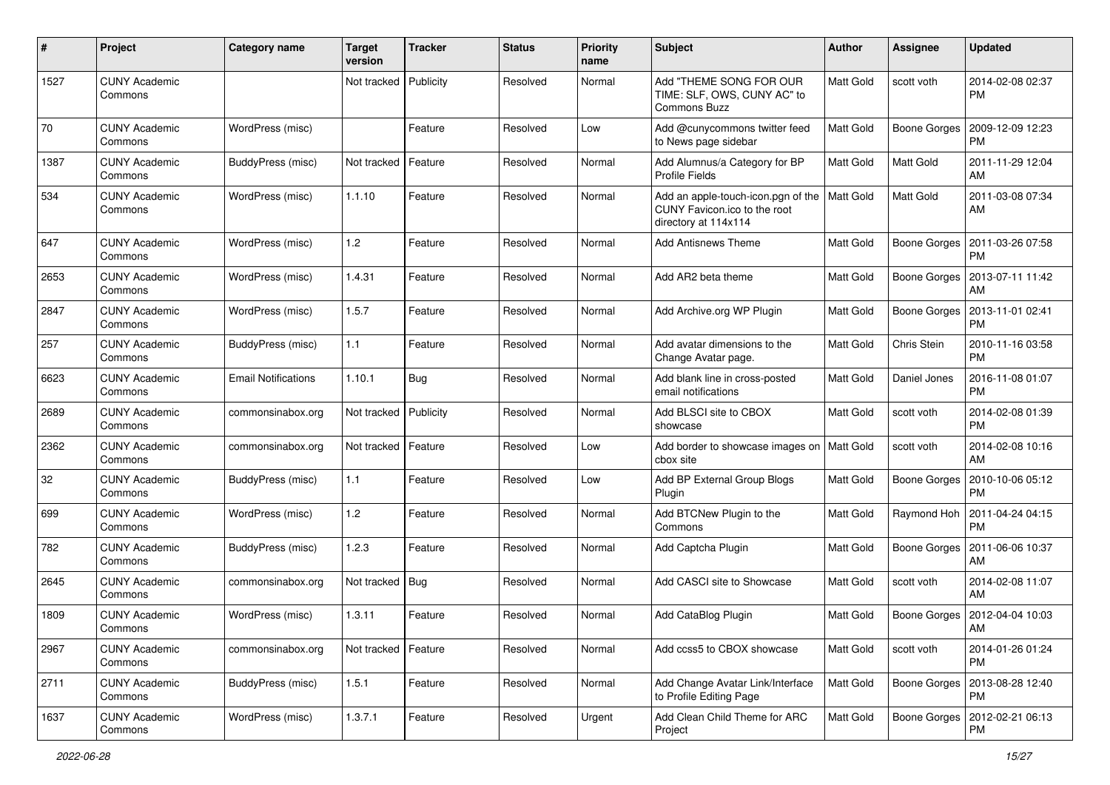| $\#$ | Project                         | Category name              | <b>Target</b><br>version | <b>Tracker</b> | <b>Status</b> | <b>Priority</b><br>name | Subject                                                                                    | Author           | <b>Assignee</b>     | <b>Updated</b>                        |
|------|---------------------------------|----------------------------|--------------------------|----------------|---------------|-------------------------|--------------------------------------------------------------------------------------------|------------------|---------------------|---------------------------------------|
| 1527 | <b>CUNY Academic</b><br>Commons |                            | Not tracked              | Publicity      | Resolved      | Normal                  | Add "THEME SONG FOR OUR<br>TIME: SLF, OWS, CUNY AC" to<br><b>Commons Buzz</b>              | Matt Gold        | scott voth          | 2014-02-08 02:37<br><b>PM</b>         |
| 70   | <b>CUNY Academic</b><br>Commons | WordPress (misc)           |                          | Feature        | Resolved      | Low                     | Add @cunycommons twitter feed<br>to News page sidebar                                      | <b>Matt Gold</b> | Boone Gorges        | 2009-12-09 12:23<br><b>PM</b>         |
| 1387 | <b>CUNY Academic</b><br>Commons | BuddyPress (misc)          | Not tracked              | Feature        | Resolved      | Normal                  | Add Alumnus/a Category for BP<br><b>Profile Fields</b>                                     | <b>Matt Gold</b> | Matt Gold           | 2011-11-29 12:04<br>AM                |
| 534  | <b>CUNY Academic</b><br>Commons | WordPress (misc)           | 1.1.10                   | Feature        | Resolved      | Normal                  | Add an apple-touch-icon.pgn of the<br>CUNY Favicon.ico to the root<br>directory at 114x114 | <b>Matt Gold</b> | <b>Matt Gold</b>    | 2011-03-08 07:34<br>AM                |
| 647  | <b>CUNY Academic</b><br>Commons | WordPress (misc)           | 1.2                      | Feature        | Resolved      | Normal                  | Add Antisnews Theme                                                                        | Matt Gold        | Boone Gorges        | 2011-03-26 07:58<br><b>PM</b>         |
| 2653 | <b>CUNY Academic</b><br>Commons | WordPress (misc)           | 1.4.31                   | Feature        | Resolved      | Normal                  | Add AR2 beta theme                                                                         | Matt Gold        | <b>Boone Gorges</b> | 2013-07-11 11:42<br>AM                |
| 2847 | <b>CUNY Academic</b><br>Commons | WordPress (misc)           | 1.5.7                    | Feature        | Resolved      | Normal                  | Add Archive.org WP Plugin                                                                  | <b>Matt Gold</b> | Boone Gorges        | 2013-11-01 02:41<br><b>PM</b>         |
| 257  | <b>CUNY Academic</b><br>Commons | BuddyPress (misc)          | 1.1                      | Feature        | Resolved      | Normal                  | Add avatar dimensions to the<br>Change Avatar page.                                        | Matt Gold        | Chris Stein         | 2010-11-16 03:58<br><b>PM</b>         |
| 6623 | <b>CUNY Academic</b><br>Commons | <b>Email Notifications</b> | 1.10.1                   | Bug            | Resolved      | Normal                  | Add blank line in cross-posted<br>email notifications                                      | Matt Gold        | Daniel Jones        | 2016-11-08 01:07<br><b>PM</b>         |
| 2689 | <b>CUNY Academic</b><br>Commons | commonsinabox.org          | Not tracked              | Publicity      | Resolved      | Normal                  | Add BLSCI site to CBOX<br>showcase                                                         | Matt Gold        | scott voth          | 2014-02-08 01:39<br><b>PM</b>         |
| 2362 | <b>CUNY Academic</b><br>Commons | commonsinabox.org          | Not tracked              | Feature        | Resolved      | Low                     | Add border to showcase images on   Matt Gold<br>cbox site                                  |                  | scott voth          | 2014-02-08 10:16<br>AM                |
| 32   | <b>CUNY Academic</b><br>Commons | BuddyPress (misc)          | 1.1                      | Feature        | Resolved      | Low                     | Add BP External Group Blogs<br>Plugin                                                      | Matt Gold        | Boone Gorges        | 2010-10-06 05:12<br><b>PM</b>         |
| 699  | <b>CUNY Academic</b><br>Commons | WordPress (misc)           | 1.2                      | Feature        | Resolved      | Normal                  | Add BTCNew Plugin to the<br>Commons                                                        | <b>Matt Gold</b> | Raymond Hoh         | 2011-04-24 04:15<br><b>PM</b>         |
| 782  | <b>CUNY Academic</b><br>Commons | BuddyPress (misc)          | 1.2.3                    | Feature        | Resolved      | Normal                  | Add Captcha Plugin                                                                         | Matt Gold        | Boone Gorges        | 2011-06-06 10:37<br>AM                |
| 2645 | <b>CUNY Academic</b><br>Commons | commonsinabox.org          | Not tracked   Bug        |                | Resolved      | Normal                  | Add CASCI site to Showcase                                                                 | <b>Matt Gold</b> | scott voth          | 2014-02-08 11:07<br>AM                |
| 1809 | <b>CUNY Academic</b><br>Commons | WordPress (misc)           | 1.3.11                   | Feature        | Resolved      | Normal                  | Add CataBlog Plugin                                                                        | <b>Matt Gold</b> |                     | Boone Gorges   2012-04-04 10:03<br>AM |
| 2967 | <b>CUNY Academic</b><br>Commons | commonsinabox.org          | Not tracked              | Feature        | Resolved      | Normal                  | Add ccss5 to CBOX showcase                                                                 | Matt Gold        | scott voth          | 2014-01-26 01:24<br><b>PM</b>         |
| 2711 | <b>CUNY Academic</b><br>Commons | BuddyPress (misc)          | 1.5.1                    | Feature        | Resolved      | Normal                  | Add Change Avatar Link/Interface<br>to Profile Editing Page                                | Matt Gold        | Boone Gorges        | 2013-08-28 12:40<br><b>PM</b>         |
| 1637 | <b>CUNY Academic</b><br>Commons | WordPress (misc)           | 1.3.7.1                  | Feature        | Resolved      | Urgent                  | Add Clean Child Theme for ARC<br>Project                                                   | Matt Gold        | Boone Gorges        | 2012-02-21 06:13<br><b>PM</b>         |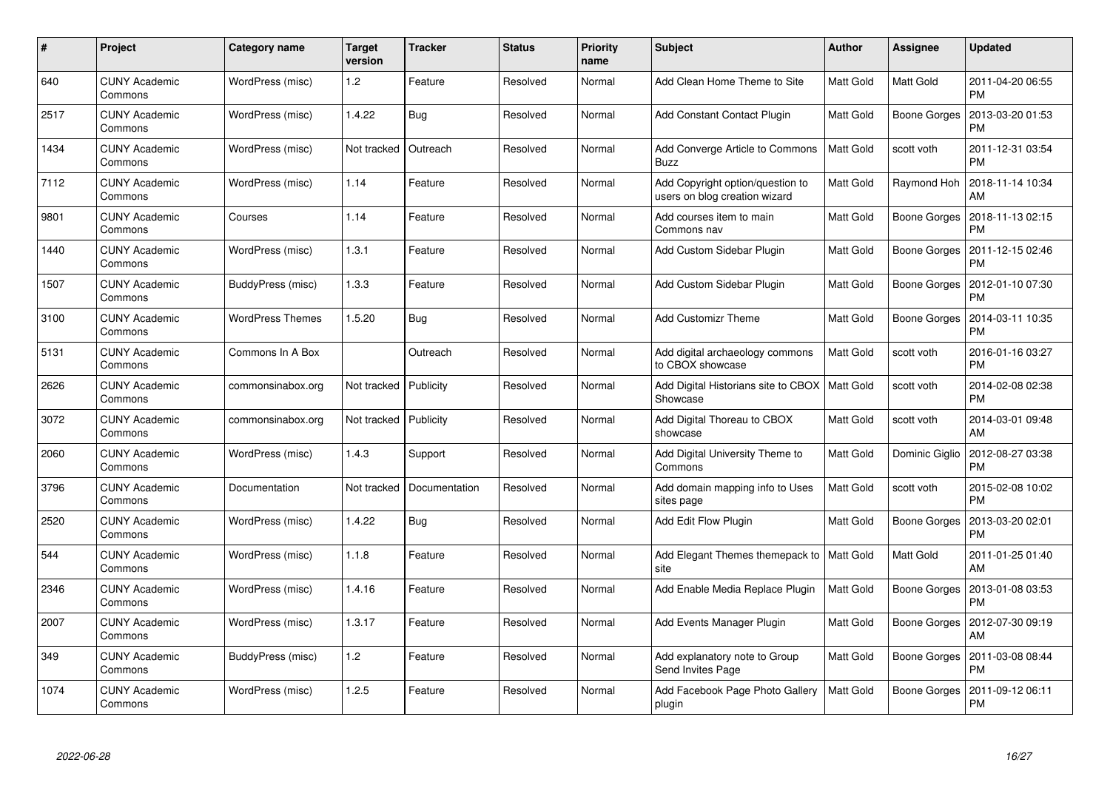| #    | Project                         | Category name           | <b>Target</b><br>version | <b>Tracker</b> | <b>Status</b> | <b>Priority</b><br>name | <b>Subject</b>                                                    | <b>Author</b>    | Assignee            | <b>Updated</b>                               |
|------|---------------------------------|-------------------------|--------------------------|----------------|---------------|-------------------------|-------------------------------------------------------------------|------------------|---------------------|----------------------------------------------|
| 640  | <b>CUNY Academic</b><br>Commons | WordPress (misc)        | 1.2                      | Feature        | Resolved      | Normal                  | Add Clean Home Theme to Site                                      | Matt Gold        | Matt Gold           | 2011-04-20 06:55<br><b>PM</b>                |
| 2517 | <b>CUNY Academic</b><br>Commons | WordPress (misc)        | 1.4.22                   | Bug            | Resolved      | Normal                  | Add Constant Contact Plugin                                       | Matt Gold        | Boone Gorges        | 2013-03-20 01:53<br><b>PM</b>                |
| 1434 | <b>CUNY Academic</b><br>Commons | WordPress (misc)        | Not tracked              | Outreach       | Resolved      | Normal                  | Add Converge Article to Commons<br><b>Buzz</b>                    | Matt Gold        | scott voth          | 2011-12-31 03:54<br><b>PM</b>                |
| 7112 | <b>CUNY Academic</b><br>Commons | WordPress (misc)        | 1.14                     | Feature        | Resolved      | Normal                  | Add Copyright option/question to<br>users on blog creation wizard | Matt Gold        | Raymond Hoh         | 2018-11-14 10:34<br>AM                       |
| 9801 | <b>CUNY Academic</b><br>Commons | Courses                 | 1.14                     | Feature        | Resolved      | Normal                  | Add courses item to main<br>Commons nav                           | Matt Gold        |                     | Boone Gorges   2018-11-13 02:15<br><b>PM</b> |
| 1440 | <b>CUNY Academic</b><br>Commons | WordPress (misc)        | 1.3.1                    | Feature        | Resolved      | Normal                  | Add Custom Sidebar Plugin                                         | Matt Gold        | Boone Gorges        | 2011-12-15 02:46<br><b>PM</b>                |
| 1507 | <b>CUNY Academic</b><br>Commons | BuddyPress (misc)       | 1.3.3                    | Feature        | Resolved      | Normal                  | Add Custom Sidebar Plugin                                         | Matt Gold        | Boone Gorges        | 2012-01-10 07:30<br><b>PM</b>                |
| 3100 | <b>CUNY Academic</b><br>Commons | <b>WordPress Themes</b> | 1.5.20                   | Bug            | Resolved      | Normal                  | Add Customizr Theme                                               | Matt Gold        | Boone Gorges        | 2014-03-11 10:35<br><b>PM</b>                |
| 5131 | <b>CUNY Academic</b><br>Commons | Commons In A Box        |                          | Outreach       | Resolved      | Normal                  | Add digital archaeology commons<br>to CBOX showcase               | <b>Matt Gold</b> | scott voth          | 2016-01-16 03:27<br><b>PM</b>                |
| 2626 | <b>CUNY Academic</b><br>Commons | commonsinabox.org       | Not tracked              | Publicity      | Resolved      | Normal                  | Add Digital Historians site to CBOX<br>Showcase                   | Matt Gold        | scott voth          | 2014-02-08 02:38<br><b>PM</b>                |
| 3072 | <b>CUNY Academic</b><br>Commons | commonsinabox.org       | Not tracked              | Publicity      | Resolved      | Normal                  | Add Digital Thoreau to CBOX<br>showcase                           | Matt Gold        | scott voth          | 2014-03-01 09:48<br>AM                       |
| 2060 | <b>CUNY Academic</b><br>Commons | WordPress (misc)        | 1.4.3                    | Support        | Resolved      | Normal                  | Add Digital University Theme to<br>Commons                        | Matt Gold        | Dominic Giglio      | 2012-08-27 03:38<br><b>PM</b>                |
| 3796 | <b>CUNY Academic</b><br>Commons | Documentation           | Not tracked              | Documentation  | Resolved      | Normal                  | Add domain mapping info to Uses<br>sites page                     | Matt Gold        | scott voth          | 2015-02-08 10:02<br><b>PM</b>                |
| 2520 | <b>CUNY Academic</b><br>Commons | WordPress (misc)        | 1.4.22                   | <b>Bug</b>     | Resolved      | Normal                  | Add Edit Flow Plugin                                              | Matt Gold        | <b>Boone Gorges</b> | 2013-03-20 02:01<br><b>PM</b>                |
| 544  | <b>CUNY Academic</b><br>Commons | WordPress (misc)        | 1.1.8                    | Feature        | Resolved      | Normal                  | Add Elegant Themes themepack to<br>site                           | <b>Matt Gold</b> | Matt Gold           | 2011-01-25 01:40<br>AM                       |
| 2346 | <b>CUNY Academic</b><br>Commons | WordPress (misc)        | 1.4.16                   | Feature        | Resolved      | Normal                  | Add Enable Media Replace Plugin                                   | Matt Gold        |                     | Boone Gorges   2013-01-08 03:53<br><b>PM</b> |
| 2007 | <b>CUNY Academic</b><br>Commons | WordPress (misc)        | 1.3.17                   | Feature        | Resolved      | Normal                  | Add Events Manager Plugin                                         | Matt Gold        | Boone Gorges        | 2012-07-30 09:19<br>AM                       |
| 349  | <b>CUNY Academic</b><br>Commons | BuddyPress (misc)       | $1.2$                    | Feature        | Resolved      | Normal                  | Add explanatory note to Group<br>Send Invites Page                | Matt Gold        | <b>Boone Gorges</b> | 2011-03-08 08:44<br><b>PM</b>                |
| 1074 | CUNY Academic<br>Commons        | WordPress (misc)        | 1.2.5                    | Feature        | Resolved      | Normal                  | Add Facebook Page Photo Gallery<br>plugin                         | Matt Gold        | Boone Gorges        | 2011-09-12 06:11<br><b>PM</b>                |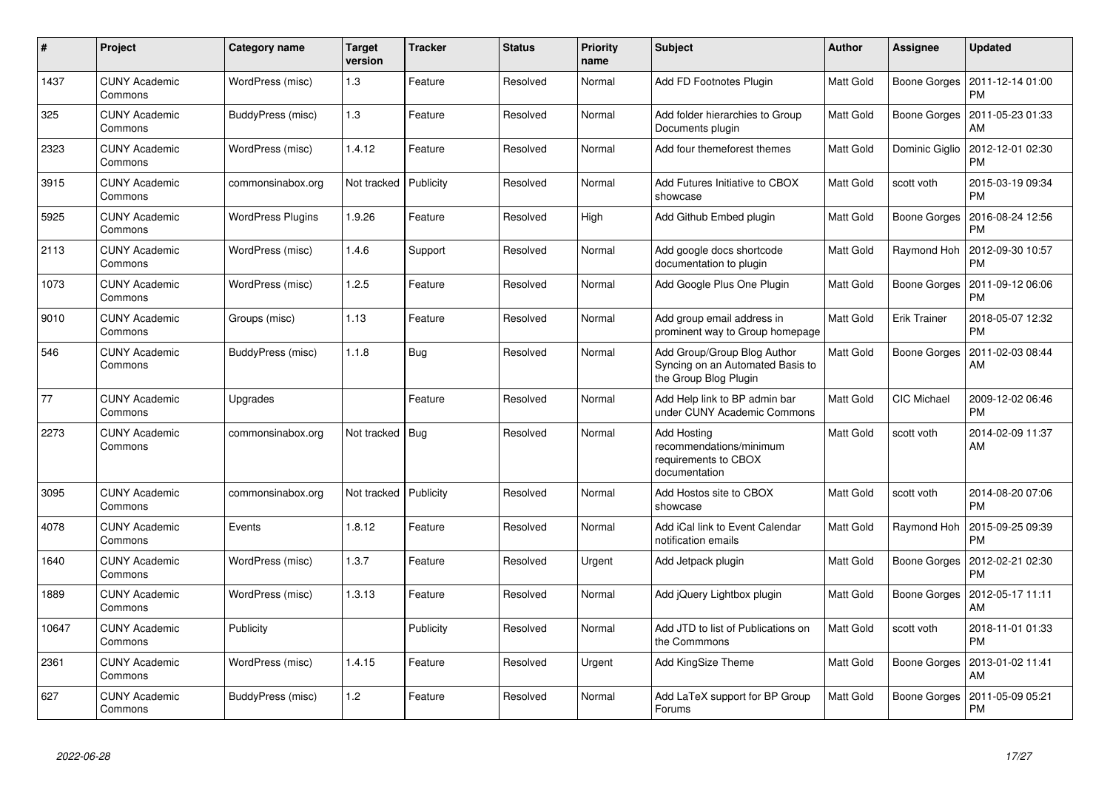| #     | Project                         | Category name            | <b>Target</b><br>version | <b>Tracker</b> | <b>Status</b> | <b>Priority</b><br>name | <b>Subject</b>                                                                           | Author           | Assignee            | <b>Updated</b>                |
|-------|---------------------------------|--------------------------|--------------------------|----------------|---------------|-------------------------|------------------------------------------------------------------------------------------|------------------|---------------------|-------------------------------|
| 1437  | <b>CUNY Academic</b><br>Commons | WordPress (misc)         | 1.3                      | Feature        | Resolved      | Normal                  | Add FD Footnotes Plugin                                                                  | Matt Gold        | Boone Gorges        | 2011-12-14 01:00<br><b>PM</b> |
| 325   | <b>CUNY Academic</b><br>Commons | BuddyPress (misc)        | 1.3                      | Feature        | Resolved      | Normal                  | Add folder hierarchies to Group<br>Documents plugin                                      | Matt Gold        | Boone Gorges        | 2011-05-23 01:33<br>AM        |
| 2323  | <b>CUNY Academic</b><br>Commons | WordPress (misc)         | 1.4.12                   | Feature        | Resolved      | Normal                  | Add four themeforest themes                                                              | Matt Gold        | Dominic Giglio      | 2012-12-01 02:30<br><b>PM</b> |
| 3915  | <b>CUNY Academic</b><br>Commons | commonsinabox.org        | Not tracked Publicity    |                | Resolved      | Normal                  | Add Futures Initiative to CBOX<br>showcase                                               | Matt Gold        | scott voth          | 2015-03-19 09:34<br><b>PM</b> |
| 5925  | <b>CUNY Academic</b><br>Commons | <b>WordPress Plugins</b> | 1.9.26                   | Feature        | Resolved      | High                    | Add Github Embed plugin                                                                  | Matt Gold        | Boone Gorges        | 2016-08-24 12:56<br><b>PM</b> |
| 2113  | <b>CUNY Academic</b><br>Commons | WordPress (misc)         | 1.4.6                    | Support        | Resolved      | Normal                  | Add google docs shortcode<br>documentation to plugin                                     | Matt Gold        | Raymond Hoh         | 2012-09-30 10:57<br><b>PM</b> |
| 1073  | <b>CUNY Academic</b><br>Commons | WordPress (misc)         | 1.2.5                    | Feature        | Resolved      | Normal                  | Add Google Plus One Plugin                                                               | Matt Gold        | Boone Gorges        | 2011-09-12 06:06<br><b>PM</b> |
| 9010  | <b>CUNY Academic</b><br>Commons | Groups (misc)            | 1.13                     | Feature        | Resolved      | Normal                  | Add group email address in<br>prominent way to Group homepage                            | Matt Gold        | <b>Erik Trainer</b> | 2018-05-07 12:32<br><b>PM</b> |
| 546   | <b>CUNY Academic</b><br>Commons | BuddyPress (misc)        | 1.1.8                    | Bug            | Resolved      | Normal                  | Add Group/Group Blog Author<br>Syncing on an Automated Basis to<br>the Group Blog Plugin | Matt Gold        | Boone Gorges        | 2011-02-03 08:44<br><b>AM</b> |
| 77    | <b>CUNY Academic</b><br>Commons | Upgrades                 |                          | Feature        | Resolved      | Normal                  | Add Help link to BP admin bar<br>under CUNY Academic Commons                             | Matt Gold        | CIC Michael         | 2009-12-02 06:46<br><b>PM</b> |
| 2273  | <b>CUNY Academic</b><br>Commons | commonsinabox.org        | Not tracked   Bug        |                | Resolved      | Normal                  | <b>Add Hosting</b><br>recommendations/minimum<br>requirements to CBOX<br>documentation   | Matt Gold        | scott voth          | 2014-02-09 11:37<br>AM        |
| 3095  | <b>CUNY Academic</b><br>Commons | commonsinabox.org        | Not tracked   Publicity  |                | Resolved      | Normal                  | Add Hostos site to CBOX<br>showcase                                                      | <b>Matt Gold</b> | scott voth          | 2014-08-20 07:06<br><b>PM</b> |
| 4078  | <b>CUNY Academic</b><br>Commons | Events                   | 1.8.12                   | Feature        | Resolved      | Normal                  | Add iCal link to Event Calendar<br>notification emails                                   | Matt Gold        | Raymond Hoh         | 2015-09-25 09:39<br><b>PM</b> |
| 1640  | <b>CUNY Academic</b><br>Commons | WordPress (misc)         | 1.3.7                    | Feature        | Resolved      | Urgent                  | Add Jetpack plugin                                                                       | Matt Gold        | Boone Gorges        | 2012-02-21 02:30<br><b>PM</b> |
| 1889  | <b>CUNY Academic</b><br>Commons | WordPress (misc)         | 1.3.13                   | Feature        | Resolved      | Normal                  | Add jQuery Lightbox plugin                                                               | Matt Gold        | Boone Gorges        | 2012-05-17 11:11<br>AM        |
| 10647 | <b>CUNY Academic</b><br>Commons | Publicity                |                          | Publicity      | Resolved      | Normal                  | Add JTD to list of Publications on<br>the Commmons                                       | Matt Gold        | scott voth          | 2018-11-01 01:33<br><b>PM</b> |
| 2361  | <b>CUNY Academic</b><br>Commons | WordPress (misc)         | 1.4.15                   | Feature        | Resolved      | Urgent                  | Add KingSize Theme                                                                       | Matt Gold        | Boone Gorges        | 2013-01-02 11:41<br>AM        |
| 627   | <b>CUNY Academic</b><br>Commons | BuddyPress (misc)        | 1.2                      | Feature        | Resolved      | Normal                  | Add LaTeX support for BP Group<br>Forums                                                 | Matt Gold        | Boone Gorges        | 2011-05-09 05:21<br><b>PM</b> |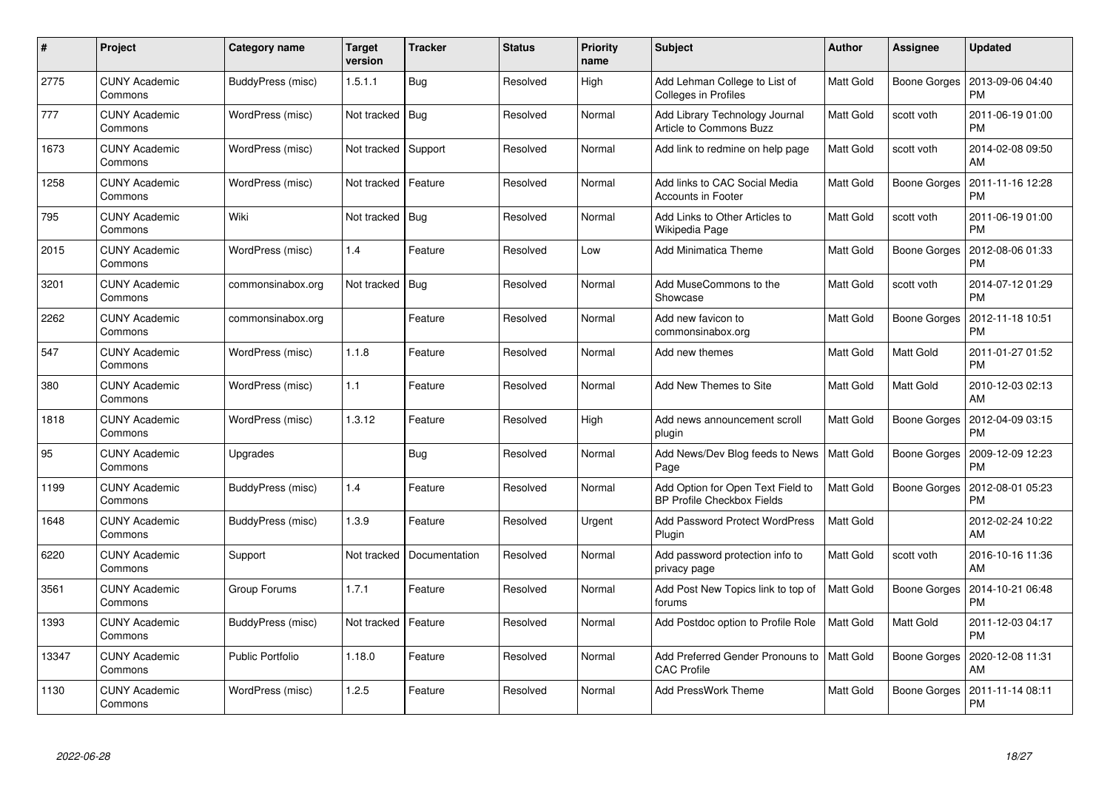| #     | Project                         | Category name     | <b>Target</b><br>version | <b>Tracker</b> | <b>Status</b> | <b>Priority</b><br>name | <b>Subject</b>                                                         | <b>Author</b> | Assignee            | <b>Updated</b>                               |
|-------|---------------------------------|-------------------|--------------------------|----------------|---------------|-------------------------|------------------------------------------------------------------------|---------------|---------------------|----------------------------------------------|
| 2775  | <b>CUNY Academic</b><br>Commons | BuddyPress (misc) | 1.5.1.1                  | <b>Bug</b>     | Resolved      | High                    | Add Lehman College to List of<br>Colleges in Profiles                  | Matt Gold     |                     | Boone Gorges   2013-09-06 04:40<br><b>PM</b> |
| 777   | <b>CUNY Academic</b><br>Commons | WordPress (misc)  | Not tracked              | Bug            | Resolved      | Normal                  | Add Library Technology Journal<br>Article to Commons Buzz              | Matt Gold     | scott voth          | 2011-06-19 01:00<br><b>PM</b>                |
| 1673  | <b>CUNY Academic</b><br>Commons | WordPress (misc)  | Not tracked              | Support        | Resolved      | Normal                  | Add link to redmine on help page                                       | Matt Gold     | scott voth          | 2014-02-08 09:50<br>AM                       |
| 1258  | <b>CUNY Academic</b><br>Commons | WordPress (misc)  | Not tracked              | Feature        | Resolved      | Normal                  | Add links to CAC Social Media<br>Accounts in Footer                    | Matt Gold     | Boone Gorges        | 2011-11-16 12:28<br><b>PM</b>                |
| 795   | <b>CUNY Academic</b><br>Commons | Wiki              | Not tracked              | <b>Bug</b>     | Resolved      | Normal                  | Add Links to Other Articles to<br>Wikipedia Page                       | Matt Gold     | scott voth          | 2011-06-19 01:00<br><b>PM</b>                |
| 2015  | <b>CUNY Academic</b><br>Commons | WordPress (misc)  | 1.4                      | Feature        | Resolved      | Low                     | Add Minimatica Theme                                                   | Matt Gold     | Boone Gorges        | 2012-08-06 01:33<br><b>PM</b>                |
| 3201  | <b>CUNY Academic</b><br>Commons | commonsinabox.org | Not tracked              | <b>Bug</b>     | Resolved      | Normal                  | Add MuseCommons to the<br>Showcase                                     | Matt Gold     | scott voth          | 2014-07-12 01:29<br><b>PM</b>                |
| 2262  | <b>CUNY Academic</b><br>Commons | commonsinabox.org |                          | Feature        | Resolved      | Normal                  | Add new favicon to<br>commonsinabox.org                                | Matt Gold     | Boone Gorges        | 2012-11-18 10:51<br><b>PM</b>                |
| 547   | <b>CUNY Academic</b><br>Commons | WordPress (misc)  | 1.1.8                    | Feature        | Resolved      | Normal                  | Add new themes                                                         | Matt Gold     | Matt Gold           | 2011-01-27 01:52<br><b>PM</b>                |
| 380   | <b>CUNY Academic</b><br>Commons | WordPress (misc)  | 1.1                      | Feature        | Resolved      | Normal                  | Add New Themes to Site                                                 | Matt Gold     | Matt Gold           | 2010-12-03 02:13<br>AM                       |
| 1818  | <b>CUNY Academic</b><br>Commons | WordPress (misc)  | 1.3.12                   | Feature        | Resolved      | High                    | Add news announcement scroll<br>plugin                                 | Matt Gold     | Boone Gorges        | 2012-04-09 03:15<br><b>PM</b>                |
| 95    | <b>CUNY Academic</b><br>Commons | Upgrades          |                          | Bug            | Resolved      | Normal                  | Add News/Dev Blog feeds to News<br>Page                                | Matt Gold     | Boone Gorges        | 2009-12-09 12:23<br><b>PM</b>                |
| 1199  | <b>CUNY Academic</b><br>Commons | BuddyPress (misc) | 1.4                      | Feature        | Resolved      | Normal                  | Add Option for Open Text Field to<br><b>BP Profile Checkbox Fields</b> | Matt Gold     | Boone Gorges        | 2012-08-01 05:23<br><b>PM</b>                |
| 1648  | <b>CUNY Academic</b><br>Commons | BuddyPress (misc) | 1.3.9                    | Feature        | Resolved      | Urgent                  | <b>Add Password Protect WordPress</b><br>Plugin                        | Matt Gold     |                     | 2012-02-24 10:22<br>AM                       |
| 6220  | <b>CUNY Academic</b><br>Commons | Support           | Not tracked              | Documentation  | Resolved      | Normal                  | Add password protection info to<br>privacy page                        | Matt Gold     | scott voth          | 2016-10-16 11:36<br>AM                       |
| 3561  | <b>CUNY Academic</b><br>Commons | Group Forums      | 1.7.1                    | Feature        | Resolved      | Normal                  | Add Post New Topics link to top of<br>forums                           | Matt Gold     | Boone Gorges        | 2014-10-21 06:48<br><b>PM</b>                |
| 1393  | <b>CUNY Academic</b><br>Commons | BuddyPress (misc) | Not tracked              | Feature        | Resolved      | Normal                  | Add Postdoc option to Profile Role                                     | Matt Gold     | Matt Gold           | 2011-12-03 04:17<br><b>PM</b>                |
| 13347 | <b>CUNY Academic</b><br>Commons | Public Portfolio  | 1.18.0                   | Feature        | Resolved      | Normal                  | Add Preferred Gender Pronouns to<br><b>CAC Profile</b>                 | Matt Gold     | <b>Boone Gorges</b> | 2020-12-08 11:31<br>AM                       |
| 1130  | CUNY Academic<br>Commons        | WordPress (misc)  | 1.2.5                    | Feature        | Resolved      | Normal                  | Add PressWork Theme                                                    | Matt Gold     | Boone Gorges        | 2011-11-14 08:11<br><b>PM</b>                |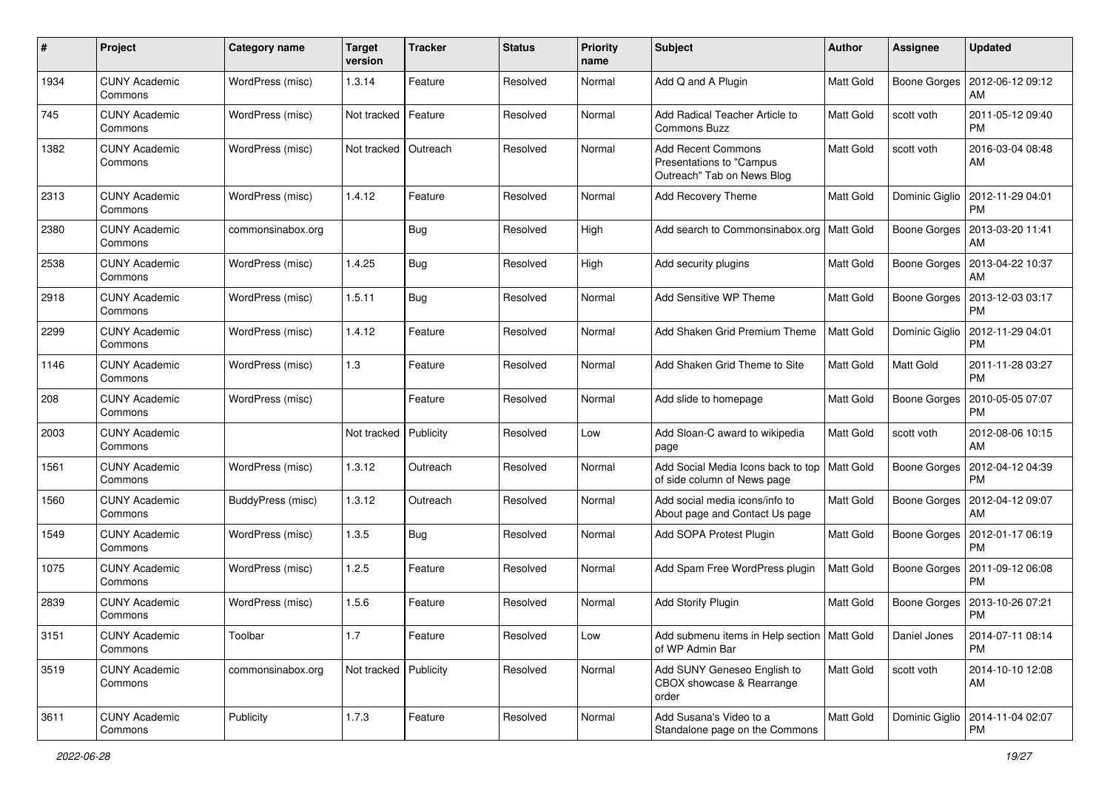| $\#$ | Project                         | Category name     | <b>Target</b><br>version | <b>Tracker</b> | <b>Status</b> | <b>Priority</b><br>name | Subject                                                                             | Author           | Assignee            | <b>Updated</b>                               |
|------|---------------------------------|-------------------|--------------------------|----------------|---------------|-------------------------|-------------------------------------------------------------------------------------|------------------|---------------------|----------------------------------------------|
| 1934 | <b>CUNY Academic</b><br>Commons | WordPress (misc)  | 1.3.14                   | Feature        | Resolved      | Normal                  | Add Q and A Plugin                                                                  | <b>Matt Gold</b> | Boone Gorges        | 2012-06-12 09:12<br>AM                       |
| 745  | <b>CUNY Academic</b><br>Commons | WordPress (misc)  | Not tracked   Feature    |                | Resolved      | Normal                  | Add Radical Teacher Article to<br><b>Commons Buzz</b>                               | Matt Gold        | scott voth          | 2011-05-12 09:40<br><b>PM</b>                |
| 1382 | <b>CUNY Academic</b><br>Commons | WordPress (misc)  | Not tracked   Outreach   |                | Resolved      | Normal                  | <b>Add Recent Commons</b><br>Presentations to "Campus<br>Outreach" Tab on News Blog | Matt Gold        | scott voth          | 2016-03-04 08:48<br>AM                       |
| 2313 | <b>CUNY Academic</b><br>Commons | WordPress (misc)  | 1.4.12                   | Feature        | Resolved      | Normal                  | Add Recovery Theme                                                                  | Matt Gold        | Dominic Giglio      | 2012-11-29 04:01<br><b>PM</b>                |
| 2380 | <b>CUNY Academic</b><br>Commons | commonsinabox.org |                          | <b>Bug</b>     | Resolved      | High                    | Add search to Commonsinabox.org                                                     | <b>Matt Gold</b> | <b>Boone Gorges</b> | 2013-03-20 11:41<br>AM                       |
| 2538 | <b>CUNY Academic</b><br>Commons | WordPress (misc)  | 1.4.25                   | Bug            | Resolved      | High                    | Add security plugins                                                                | <b>Matt Gold</b> | Boone Gorges        | 2013-04-22 10:37<br>AM                       |
| 2918 | <b>CUNY Academic</b><br>Commons | WordPress (misc)  | 1.5.11                   | Bug            | Resolved      | Normal                  | Add Sensitive WP Theme                                                              | Matt Gold        | Boone Gorges        | 2013-12-03 03:17<br><b>PM</b>                |
| 2299 | <b>CUNY Academic</b><br>Commons | WordPress (misc)  | 1.4.12                   | Feature        | Resolved      | Normal                  | Add Shaken Grid Premium Theme                                                       | Matt Gold        | Dominic Giglio      | 2012-11-29 04:01<br><b>PM</b>                |
| 1146 | <b>CUNY Academic</b><br>Commons | WordPress (misc)  | 1.3                      | Feature        | Resolved      | Normal                  | Add Shaken Grid Theme to Site                                                       | Matt Gold        | Matt Gold           | 2011-11-28 03:27<br><b>PM</b>                |
| 208  | <b>CUNY Academic</b><br>Commons | WordPress (misc)  |                          | Feature        | Resolved      | Normal                  | Add slide to homepage                                                               | Matt Gold        | <b>Boone Gorges</b> | 2010-05-05 07:07<br><b>PM</b>                |
| 2003 | <b>CUNY Academic</b><br>Commons |                   | Not tracked              | Publicity      | Resolved      | Low                     | Add Sloan-C award to wikipedia<br>page                                              | Matt Gold        | scott voth          | 2012-08-06 10:15<br>AM                       |
| 1561 | <b>CUNY Academic</b><br>Commons | WordPress (misc)  | 1.3.12                   | Outreach       | Resolved      | Normal                  | Add Social Media Icons back to top<br>of side column of News page                   | <b>Matt Gold</b> | <b>Boone Gorges</b> | 2012-04-12 04:39<br><b>PM</b>                |
| 1560 | <b>CUNY Academic</b><br>Commons | BuddyPress (misc) | 1.3.12                   | Outreach       | Resolved      | Normal                  | Add social media icons/info to<br>About page and Contact Us page                    | Matt Gold        | Boone Gorges        | 2012-04-12 09:07<br>AM                       |
| 1549 | <b>CUNY Academic</b><br>Commons | WordPress (misc)  | 1.3.5                    | Bug            | Resolved      | Normal                  | Add SOPA Protest Plugin                                                             | Matt Gold        |                     | Boone Gorges   2012-01-17 06:19<br><b>PM</b> |
| 1075 | <b>CUNY Academic</b><br>Commons | WordPress (misc)  | 1.2.5                    | Feature        | Resolved      | Normal                  | Add Spam Free WordPress plugin                                                      | <b>Matt Gold</b> | Boone Gorges        | 2011-09-12 06:08<br><b>PM</b>                |
| 2839 | <b>CUNY Academic</b><br>Commons | WordPress (misc)  | 1.5.6                    | Feature        | Resolved      | Normal                  | <b>Add Storify Plugin</b>                                                           | <b>Matt Gold</b> | <b>Boone Gorges</b> | 2013-10-26 07:21<br><b>PM</b>                |
| 3151 | <b>CUNY Academic</b><br>Commons | Toolbar           | $1.7$                    | Feature        | Resolved      | Low                     | Add submenu items in Help section   Matt Gold<br>of WP Admin Bar                    |                  | Daniel Jones        | 2014-07-11 08:14<br><b>PM</b>                |
| 3519 | <b>CUNY Academic</b><br>Commons | commonsinabox.org | Not tracked Publicity    |                | Resolved      | Normal                  | Add SUNY Geneseo English to<br>CBOX showcase & Rearrange<br>order                   | Matt Gold        | scott voth          | 2014-10-10 12:08<br>AM                       |
| 3611 | <b>CUNY Academic</b><br>Commons | Publicity         | 1.7.3                    | Feature        | Resolved      | Normal                  | Add Susana's Video to a<br>Standalone page on the Commons                           | Matt Gold        | Dominic Giglio      | 2014-11-04 02:07<br><b>PM</b>                |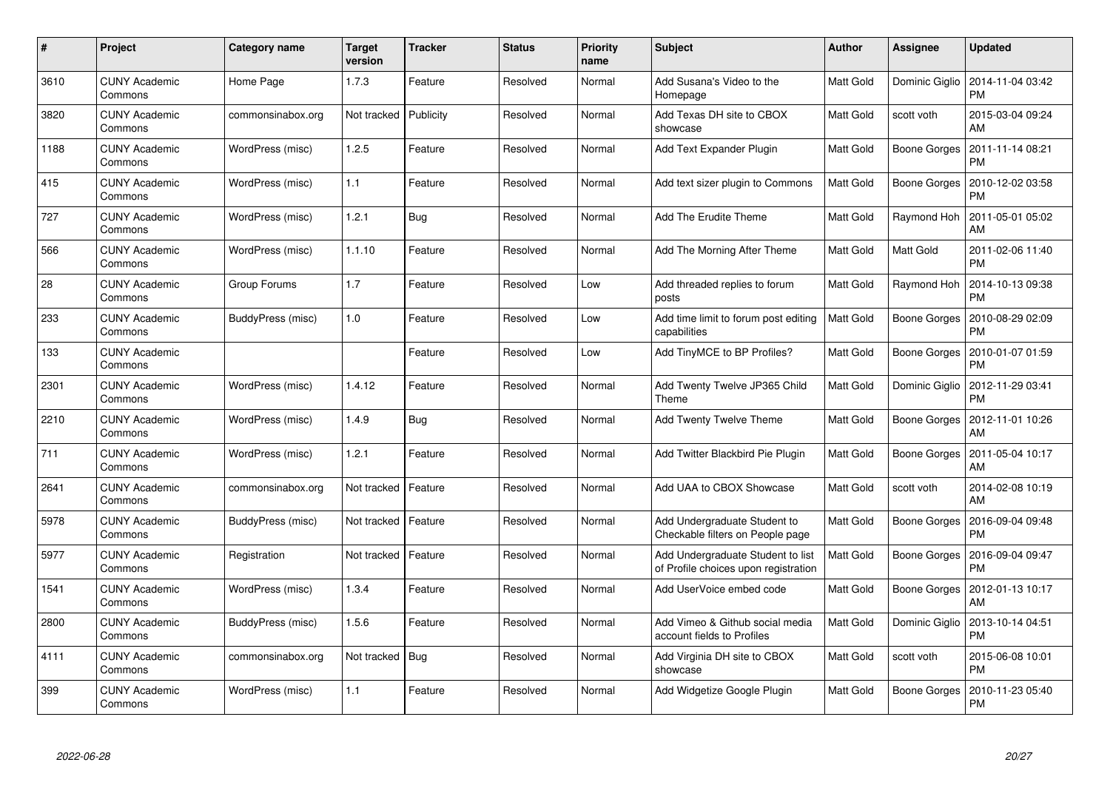| #    | Project                         | Category name     | <b>Target</b><br>version | <b>Tracker</b> | <b>Status</b> | <b>Priority</b><br>name | <b>Subject</b>                                                            | <b>Author</b>    | Assignee            | <b>Updated</b>                                 |
|------|---------------------------------|-------------------|--------------------------|----------------|---------------|-------------------------|---------------------------------------------------------------------------|------------------|---------------------|------------------------------------------------|
| 3610 | <b>CUNY Academic</b><br>Commons | Home Page         | 1.7.3                    | Feature        | Resolved      | Normal                  | Add Susana's Video to the<br>Homepage                                     | Matt Gold        |                     | Dominic Giglio   2014-11-04 03:42<br><b>PM</b> |
| 3820 | <b>CUNY Academic</b><br>Commons | commonsinabox.org | Not tracked              | Publicity      | Resolved      | Normal                  | Add Texas DH site to CBOX<br>showcase                                     | Matt Gold        | scott voth          | 2015-03-04 09:24<br>AM                         |
| 1188 | <b>CUNY Academic</b><br>Commons | WordPress (misc)  | 1.2.5                    | Feature        | Resolved      | Normal                  | Add Text Expander Plugin                                                  | Matt Gold        | <b>Boone Gorges</b> | 2011-11-14 08:21<br><b>PM</b>                  |
| 415  | <b>CUNY Academic</b><br>Commons | WordPress (misc)  | 1.1                      | Feature        | Resolved      | Normal                  | Add text sizer plugin to Commons                                          | Matt Gold        | Boone Gorges        | 2010-12-02 03:58<br><b>PM</b>                  |
| 727  | <b>CUNY Academic</b><br>Commons | WordPress (misc)  | 1.2.1                    | <b>Bug</b>     | Resolved      | Normal                  | Add The Erudite Theme                                                     | Matt Gold        | Raymond Hoh         | 2011-05-01 05:02<br>AM                         |
| 566  | <b>CUNY Academic</b><br>Commons | WordPress (misc)  | 1.1.10                   | Feature        | Resolved      | Normal                  | Add The Morning After Theme                                               | Matt Gold        | Matt Gold           | 2011-02-06 11:40<br><b>PM</b>                  |
| 28   | <b>CUNY Academic</b><br>Commons | Group Forums      | 1.7                      | Feature        | Resolved      | Low                     | Add threaded replies to forum<br>posts                                    | Matt Gold        | Raymond Hoh         | 2014-10-13 09:38<br><b>PM</b>                  |
| 233  | <b>CUNY Academic</b><br>Commons | BuddyPress (misc) | 1.0                      | Feature        | Resolved      | Low                     | Add time limit to forum post editing<br>capabilities                      | Matt Gold        | Boone Gorges        | 2010-08-29 02:09<br><b>PM</b>                  |
| 133  | <b>CUNY Academic</b><br>Commons |                   |                          | Feature        | Resolved      | Low                     | Add TinyMCE to BP Profiles?                                               | <b>Matt Gold</b> |                     | Boone Gorges   2010-01-07 01:59<br><b>PM</b>   |
| 2301 | <b>CUNY Academic</b><br>Commons | WordPress (misc)  | 1.4.12                   | Feature        | Resolved      | Normal                  | Add Twenty Twelve JP365 Child<br>Theme                                    | Matt Gold        | Dominic Giglio      | 2012-11-29 03:41<br><b>PM</b>                  |
| 2210 | <b>CUNY Academic</b><br>Commons | WordPress (misc)  | 1.4.9                    | <b>Bug</b>     | Resolved      | Normal                  | Add Twenty Twelve Theme                                                   | Matt Gold        | Boone Gorges        | 2012-11-01 10:26<br>AM                         |
| 711  | <b>CUNY Academic</b><br>Commons | WordPress (misc)  | 1.2.1                    | Feature        | Resolved      | Normal                  | Add Twitter Blackbird Pie Plugin                                          | Matt Gold        | Boone Gorges        | 2011-05-04 10:17<br>AM                         |
| 2641 | <b>CUNY Academic</b><br>Commons | commonsinabox.org | Not tracked              | Feature        | Resolved      | Normal                  | Add UAA to CBOX Showcase                                                  | Matt Gold        | scott voth          | 2014-02-08 10:19<br>AM                         |
| 5978 | <b>CUNY Academic</b><br>Commons | BuddyPress (misc) | Not tracked              | Feature        | Resolved      | Normal                  | Add Undergraduate Student to<br>Checkable filters on People page          | Matt Gold        | Boone Gorges        | 2016-09-04 09:48<br><b>PM</b>                  |
| 5977 | <b>CUNY Academic</b><br>Commons | Registration      | Not tracked              | Feature        | Resolved      | Normal                  | Add Undergraduate Student to list<br>of Profile choices upon registration | Matt Gold        | Boone Gorges        | 2016-09-04 09:47<br><b>PM</b>                  |
| 1541 | <b>CUNY Academic</b><br>Commons | WordPress (misc)  | 1.3.4                    | Feature        | Resolved      | Normal                  | Add UserVoice embed code                                                  | Matt Gold        |                     | Boone Gorges   2012-01-13 10:17<br>AM          |
| 2800 | <b>CUNY Academic</b><br>Commons | BuddyPress (misc) | 1.5.6                    | Feature        | Resolved      | Normal                  | Add Vimeo & Github social media<br>account fields to Profiles             | Matt Gold        | Dominic Giglio      | 2013-10-14 04:51<br><b>PM</b>                  |
| 4111 | <b>CUNY Academic</b><br>Commons | commonsinabox.org | Not tracked              | Bug            | Resolved      | Normal                  | Add Virginia DH site to CBOX<br>showcase                                  | Matt Gold        | scott voth          | 2015-06-08 10:01<br><b>PM</b>                  |
| 399  | CUNY Academic<br>Commons        | WordPress (misc)  | 1.1                      | Feature        | Resolved      | Normal                  | Add Widgetize Google Plugin                                               | Matt Gold        | Boone Gorges        | 2010-11-23 05:40<br><b>PM</b>                  |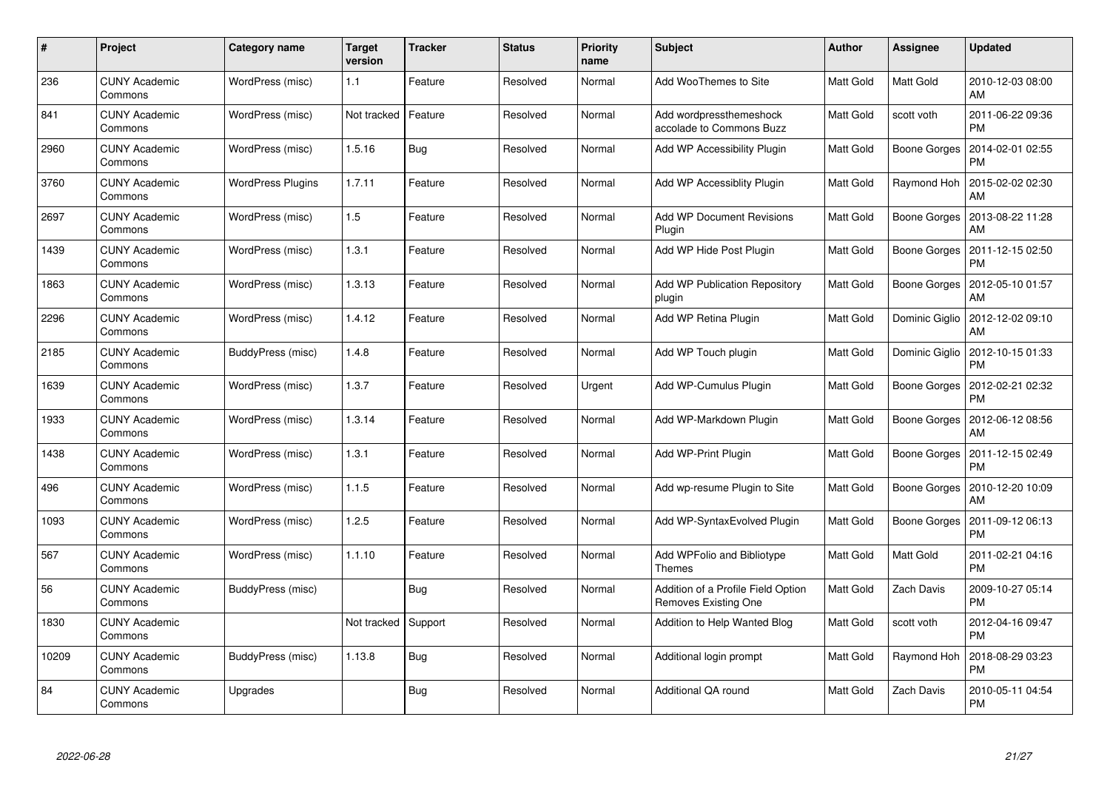| #     | Project                         | Category name     | <b>Target</b><br>version | <b>Tracker</b> | <b>Status</b> | <b>Priority</b><br>name | <b>Subject</b>                                             | <b>Author</b> | Assignee       | <b>Updated</b>                |
|-------|---------------------------------|-------------------|--------------------------|----------------|---------------|-------------------------|------------------------------------------------------------|---------------|----------------|-------------------------------|
| 236   | <b>CUNY Academic</b><br>Commons | WordPress (misc)  | 1.1                      | Feature        | Resolved      | Normal                  | Add WooThemes to Site                                      | Matt Gold     | Matt Gold      | 2010-12-03 08:00<br>AM        |
| 841   | <b>CUNY Academic</b><br>Commons | WordPress (misc)  | Not tracked              | Feature        | Resolved      | Normal                  | Add wordpressthemeshock<br>accolade to Commons Buzz        | Matt Gold     | scott voth     | 2011-06-22 09:36<br><b>PM</b> |
| 2960  | <b>CUNY Academic</b><br>Commons | WordPress (misc)  | 1.5.16                   | Bug            | Resolved      | Normal                  | Add WP Accessibility Plugin                                | Matt Gold     | Boone Gorges   | 2014-02-01 02:55<br><b>PM</b> |
| 3760  | <b>CUNY Academic</b><br>Commons | WordPress Plugins | 1.7.11                   | Feature        | Resolved      | Normal                  | Add WP Accessiblity Plugin                                 | Matt Gold     | Raymond Hoh    | 2015-02-02 02:30<br>AM        |
| 2697  | <b>CUNY Academic</b><br>Commons | WordPress (misc)  | 1.5                      | Feature        | Resolved      | Normal                  | <b>Add WP Document Revisions</b><br>Plugin                 | Matt Gold     | Boone Gorges   | 2013-08-22 11:28<br>AM        |
| 1439  | <b>CUNY Academic</b><br>Commons | WordPress (misc)  | 1.3.1                    | Feature        | Resolved      | Normal                  | Add WP Hide Post Plugin                                    | Matt Gold     | Boone Gorges   | 2011-12-15 02:50<br><b>PM</b> |
| 1863  | <b>CUNY Academic</b><br>Commons | WordPress (misc)  | 1.3.13                   | Feature        | Resolved      | Normal                  | Add WP Publication Repository<br>plugin                    | Matt Gold     | Boone Gorges   | 2012-05-10 01:57<br>AM        |
| 2296  | <b>CUNY Academic</b><br>Commons | WordPress (misc)  | 1.4.12                   | Feature        | Resolved      | Normal                  | Add WP Retina Plugin                                       | Matt Gold     | Dominic Giglio | 2012-12-02 09:10<br>AM        |
| 2185  | <b>CUNY Academic</b><br>Commons | BuddyPress (misc) | 1.4.8                    | Feature        | Resolved      | Normal                  | Add WP Touch plugin                                        | Matt Gold     | Dominic Giglio | 2012-10-15 01:33<br><b>PM</b> |
| 1639  | <b>CUNY Academic</b><br>Commons | WordPress (misc)  | 1.3.7                    | Feature        | Resolved      | Urgent                  | Add WP-Cumulus Plugin                                      | Matt Gold     | Boone Gorges   | 2012-02-21 02:32<br><b>PM</b> |
| 1933  | <b>CUNY Academic</b><br>Commons | WordPress (misc)  | 1.3.14                   | Feature        | Resolved      | Normal                  | Add WP-Markdown Plugin                                     | Matt Gold     | Boone Gorges   | 2012-06-12 08:56<br>AM        |
| 1438  | <b>CUNY Academic</b><br>Commons | WordPress (misc)  | 1.3.1                    | Feature        | Resolved      | Normal                  | Add WP-Print Plugin                                        | Matt Gold     | Boone Gorges   | 2011-12-15 02:49<br><b>PM</b> |
| 496   | <b>CUNY Academic</b><br>Commons | WordPress (misc)  | 1.1.5                    | Feature        | Resolved      | Normal                  | Add wp-resume Plugin to Site                               | Matt Gold     | Boone Gorges   | 2010-12-20 10:09<br>AM        |
| 1093  | <b>CUNY Academic</b><br>Commons | WordPress (misc)  | 1.2.5                    | Feature        | Resolved      | Normal                  | Add WP-SyntaxEvolved Plugin                                | Matt Gold     | Boone Gorges   | 2011-09-12 06:13<br><b>PM</b> |
| 567   | <b>CUNY Academic</b><br>Commons | WordPress (misc)  | 1.1.10                   | Feature        | Resolved      | Normal                  | Add WPFolio and Bibliotype<br><b>Themes</b>                | Matt Gold     | Matt Gold      | 2011-02-21 04:16<br><b>PM</b> |
| 56    | <b>CUNY Academic</b><br>Commons | BuddyPress (misc) |                          | Bug            | Resolved      | Normal                  | Addition of a Profile Field Option<br>Removes Existing One | Matt Gold     | Zach Davis     | 2009-10-27 05:14<br><b>PM</b> |
| 1830  | <b>CUNY Academic</b><br>Commons |                   | Not tracked              | Support        | Resolved      | Normal                  | Addition to Help Wanted Blog                               | Matt Gold     | scott voth     | 2012-04-16 09:47<br><b>PM</b> |
| 10209 | <b>CUNY Academic</b><br>Commons | BuddyPress (misc) | 1.13.8                   | <b>Bug</b>     | Resolved      | Normal                  | Additional login prompt                                    | Matt Gold     | Raymond Hoh    | 2018-08-29 03:23<br><b>PM</b> |
| 84    | CUNY Academic<br>Commons        | Upgrades          |                          | Bug            | Resolved      | Normal                  | Additional QA round                                        | Matt Gold     | Zach Davis     | 2010-05-11 04:54<br><b>PM</b> |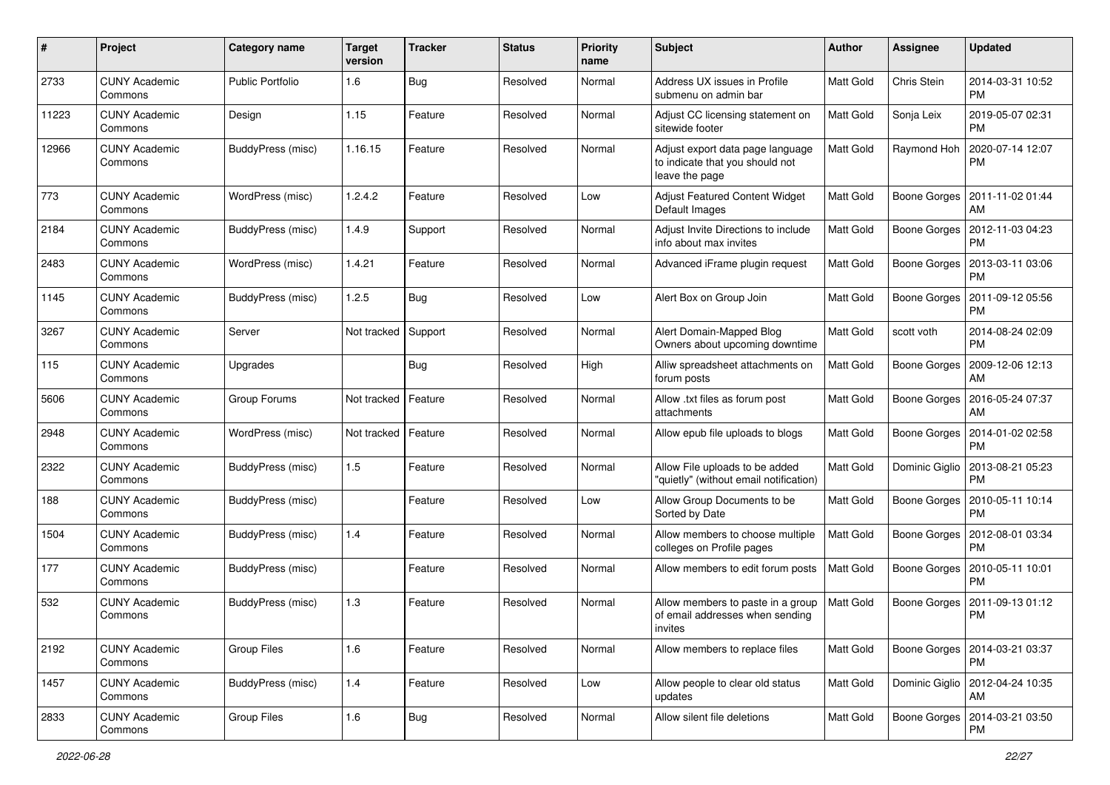| $\#$  | Project                         | Category name            | <b>Target</b><br>version | <b>Tracker</b> | <b>Status</b> | <b>Priority</b><br>name | Subject                                                                               | Author    | Assignee            | <b>Updated</b>                               |
|-------|---------------------------------|--------------------------|--------------------------|----------------|---------------|-------------------------|---------------------------------------------------------------------------------------|-----------|---------------------|----------------------------------------------|
| 2733  | <b>CUNY Academic</b><br>Commons | <b>Public Portfolio</b>  | 1.6                      | <b>Bug</b>     | Resolved      | Normal                  | <b>Address UX issues in Profile</b><br>submenu on admin bar                           | Matt Gold | Chris Stein         | 2014-03-31 10:52<br><b>PM</b>                |
| 11223 | <b>CUNY Academic</b><br>Commons | Design                   | 1.15                     | Feature        | Resolved      | Normal                  | Adjust CC licensing statement on<br>sitewide footer                                   | Matt Gold | Sonja Leix          | 2019-05-07 02:31<br><b>PM</b>                |
| 12966 | <b>CUNY Academic</b><br>Commons | BuddyPress (misc)        | 1.16.15                  | Feature        | Resolved      | Normal                  | Adjust export data page language<br>to indicate that you should not<br>leave the page | Matt Gold | Raymond Hoh         | 2020-07-14 12:07<br><b>PM</b>                |
| 773   | <b>CUNY Academic</b><br>Commons | WordPress (misc)         | 1.2.4.2                  | Feature        | Resolved      | Low                     | <b>Adjust Featured Content Widget</b><br>Default Images                               | Matt Gold | <b>Boone Gorges</b> | 2011-11-02 01:44<br>AM                       |
| 2184  | <b>CUNY Academic</b><br>Commons | BuddyPress (misc)        | 1.4.9                    | Support        | Resolved      | Normal                  | Adjust Invite Directions to include<br>info about max invites                         | Matt Gold | <b>Boone Gorges</b> | 2012-11-03 04:23<br><b>PM</b>                |
| 2483  | <b>CUNY Academic</b><br>Commons | WordPress (misc)         | 1.4.21                   | Feature        | Resolved      | Normal                  | Advanced iFrame plugin request                                                        | Matt Gold | Boone Gorges        | 2013-03-11 03:06<br><b>PM</b>                |
| 1145  | <b>CUNY Academic</b><br>Commons | BuddyPress (misc)        | 1.2.5                    | Bug            | Resolved      | Low                     | Alert Box on Group Join                                                               | Matt Gold | Boone Gorges        | 2011-09-12 05:56<br><b>PM</b>                |
| 3267  | <b>CUNY Academic</b><br>Commons | Server                   | Not tracked              | Support        | Resolved      | Normal                  | Alert Domain-Mapped Blog<br>Owners about upcoming downtime                            | Matt Gold | scott voth          | 2014-08-24 02:09<br><b>PM</b>                |
| 115   | <b>CUNY Academic</b><br>Commons | Upgrades                 |                          | <b>Bug</b>     | Resolved      | High                    | Alliw spreadsheet attachments on<br>forum posts                                       | Matt Gold | <b>Boone Gorges</b> | 2009-12-06 12:13<br>AM                       |
| 5606  | <b>CUNY Academic</b><br>Commons | Group Forums             | Not tracked   Feature    |                | Resolved      | Normal                  | Allow .txt files as forum post<br>attachments                                         | Matt Gold | Boone Gorges        | 2016-05-24 07:37<br>AM                       |
| 2948  | <b>CUNY Academic</b><br>Commons | WordPress (misc)         | Not tracked   Feature    |                | Resolved      | Normal                  | Allow epub file uploads to blogs                                                      | Matt Gold | Boone Gorges        | 2014-01-02 02:58<br><b>PM</b>                |
| 2322  | <b>CUNY Academic</b><br>Commons | BuddyPress (misc)        | 1.5                      | Feature        | Resolved      | Normal                  | Allow File uploads to be added<br>"quietly" (without email notification)              | Matt Gold | Dominic Giglio      | 2013-08-21 05:23<br><b>PM</b>                |
| 188   | <b>CUNY Academic</b><br>Commons | BuddyPress (misc)        |                          | Feature        | Resolved      | Low                     | Allow Group Documents to be<br>Sorted by Date                                         | Matt Gold | Boone Gorges        | 2010-05-11 10:14<br><b>PM</b>                |
| 1504  | <b>CUNY Academic</b><br>Commons | BuddyPress (misc)        | 1.4                      | Feature        | Resolved      | Normal                  | Allow members to choose multiple<br>colleges on Profile pages                         | Matt Gold |                     | Boone Gorges   2012-08-01 03:34<br><b>PM</b> |
| 177   | <b>CUNY Academic</b><br>Commons | BuddyPress (misc)        |                          | Feature        | Resolved      | Normal                  | Allow members to edit forum posts                                                     | Matt Gold | Boone Gorges        | 2010-05-11 10:01<br><b>PM</b>                |
| 532   | <b>CUNY Academic</b><br>Commons | BuddyPress (misc)        | 1.3                      | Feature        | Resolved      | Normal                  | Allow members to paste in a group<br>of email addresses when sending<br>invites       | Matt Gold | <b>Boone Gorges</b> | 2011-09-13 01:12<br><b>PM</b>                |
| 2192  | <b>CUNY Academic</b><br>Commons | Group Files              | 1.6                      | Feature        | Resolved      | Normal                  | Allow members to replace files                                                        | Matt Gold |                     | Boone Gorges   2014-03-21 03:37<br>PM        |
| 1457  | <b>CUNY Academic</b><br>Commons | <b>BuddyPress (misc)</b> | 1.4                      | Feature        | Resolved      | Low                     | Allow people to clear old status<br>updates                                           | Matt Gold |                     | Dominic Giglio   2012-04-24 10:35<br>AM      |
| 2833  | <b>CUNY Academic</b><br>Commons | Group Files              | $1.6$                    | <b>Bug</b>     | Resolved      | Normal                  | Allow silent file deletions                                                           | Matt Gold | Boone Gorges        | 2014-03-21 03:50<br>PM                       |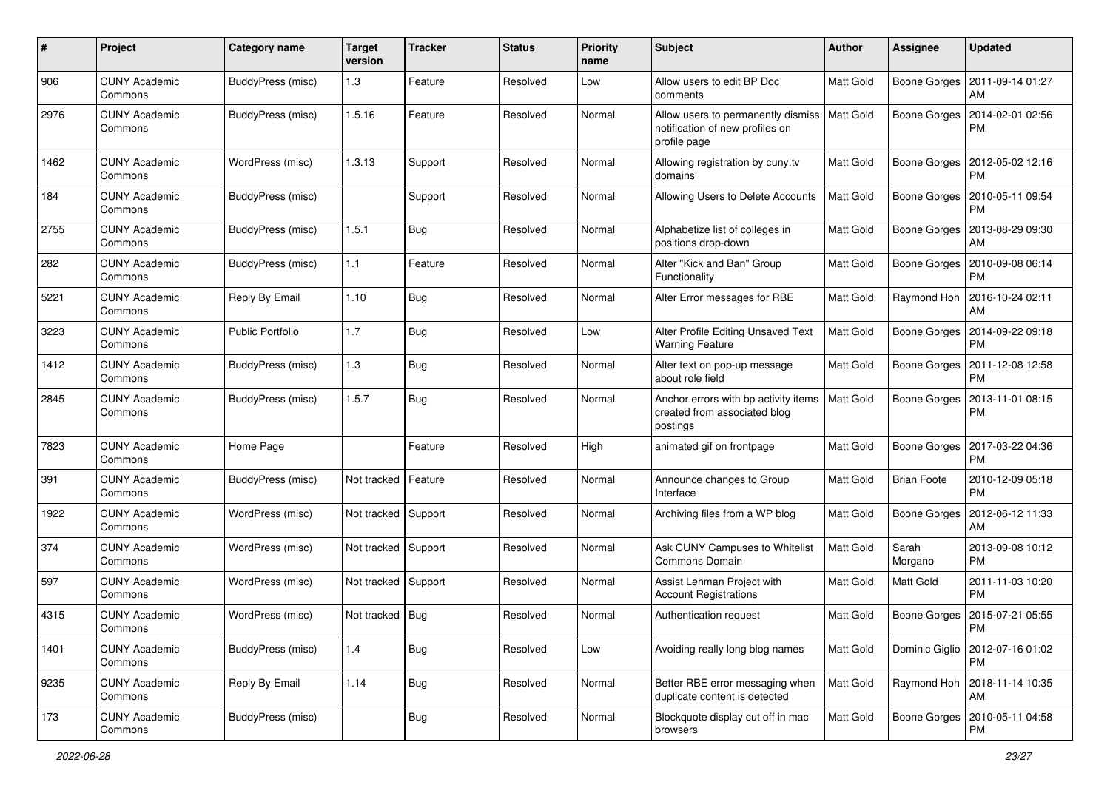| #    | Project                         | Category name            | <b>Target</b><br>version | <b>Tracker</b> | <b>Status</b> | <b>Priority</b><br>name | Subject                                                                               | Author           | <b>Assignee</b>     | <b>Updated</b>                               |
|------|---------------------------------|--------------------------|--------------------------|----------------|---------------|-------------------------|---------------------------------------------------------------------------------------|------------------|---------------------|----------------------------------------------|
| 906  | <b>CUNY Academic</b><br>Commons | <b>BuddyPress (misc)</b> | 1.3                      | Feature        | Resolved      | Low                     | Allow users to edit BP Doc<br>comments                                                | <b>Matt Gold</b> | Boone Gorges        | 2011-09-14 01:27<br>AM                       |
| 2976 | <b>CUNY Academic</b><br>Commons | BuddyPress (misc)        | 1.5.16                   | Feature        | Resolved      | Normal                  | Allow users to permanently dismiss<br>notification of new profiles on<br>profile page | <b>Matt Gold</b> |                     | Boone Gorges   2014-02-01 02:56<br><b>PM</b> |
| 1462 | <b>CUNY Academic</b><br>Commons | WordPress (misc)         | 1.3.13                   | Support        | Resolved      | Normal                  | Allowing registration by cuny.tv<br>domains                                           | Matt Gold        | Boone Gorges        | 2012-05-02 12:16<br><b>PM</b>                |
| 184  | <b>CUNY Academic</b><br>Commons | BuddyPress (misc)        |                          | Support        | Resolved      | Normal                  | Allowing Users to Delete Accounts                                                     | Matt Gold        | Boone Gorges        | 2010-05-11 09:54<br><b>PM</b>                |
| 2755 | <b>CUNY Academic</b><br>Commons | BuddyPress (misc)        | 1.5.1                    | <b>Bug</b>     | Resolved      | Normal                  | Alphabetize list of colleges in<br>positions drop-down                                | Matt Gold        | <b>Boone Gorges</b> | 2013-08-29 09:30<br>AM                       |
| 282  | <b>CUNY Academic</b><br>Commons | BuddyPress (misc)        | $1.1$                    | Feature        | Resolved      | Normal                  | Alter "Kick and Ban" Group<br>Functionality                                           | Matt Gold        | Boone Gorges        | 2010-09-08 06:14<br><b>PM</b>                |
| 5221 | <b>CUNY Academic</b><br>Commons | Reply By Email           | 1.10                     | Bug            | Resolved      | Normal                  | Alter Error messages for RBE                                                          | Matt Gold        | Raymond Hoh         | 2016-10-24 02:11<br>AM                       |
| 3223 | <b>CUNY Academic</b><br>Commons | <b>Public Portfolio</b>  | 1.7                      | Bug            | Resolved      | Low                     | Alter Profile Editing Unsaved Text<br><b>Warning Feature</b>                          | Matt Gold        | Boone Gorges        | 2014-09-22 09:18<br><b>PM</b>                |
| 1412 | <b>CUNY Academic</b><br>Commons | BuddyPress (misc)        | 1.3                      | <b>Bug</b>     | Resolved      | Normal                  | Alter text on pop-up message<br>about role field                                      | Matt Gold        | Boone Gorges        | 2011-12-08 12:58<br><b>PM</b>                |
| 2845 | <b>CUNY Academic</b><br>Commons | BuddyPress (misc)        | 1.5.7                    | Bug            | Resolved      | Normal                  | Anchor errors with bp activity items<br>created from associated blog<br>postings      | Matt Gold        | <b>Boone Gorges</b> | 2013-11-01 08:15<br><b>PM</b>                |
| 7823 | <b>CUNY Academic</b><br>Commons | Home Page                |                          | Feature        | Resolved      | High                    | animated gif on frontpage                                                             | Matt Gold        | Boone Gorges        | 2017-03-22 04:36<br><b>PM</b>                |
| 391  | <b>CUNY Academic</b><br>Commons | BuddyPress (misc)        | Not tracked   Feature    |                | Resolved      | Normal                  | Announce changes to Group<br>Interface                                                | Matt Gold        | <b>Brian Foote</b>  | 2010-12-09 05:18<br><b>PM</b>                |
| 1922 | <b>CUNY Academic</b><br>Commons | WordPress (misc)         | Not tracked Support      |                | Resolved      | Normal                  | Archiving files from a WP blog                                                        | Matt Gold        | <b>Boone Gorges</b> | 2012-06-12 11:33<br>AM                       |
| 374  | <b>CUNY Academic</b><br>Commons | WordPress (misc)         | Not tracked Support      |                | Resolved      | Normal                  | Ask CUNY Campuses to Whitelist<br>Commons Domain                                      | Matt Gold        | Sarah<br>Morgano    | 2013-09-08 10:12<br><b>PM</b>                |
| 597  | <b>CUNY Academic</b><br>Commons | WordPress (misc)         | Not tracked Support      |                | Resolved      | Normal                  | Assist Lehman Project with<br><b>Account Registrations</b>                            | Matt Gold        | Matt Gold           | 2011-11-03 10:20<br><b>PM</b>                |
| 4315 | <b>CUNY Academic</b><br>Commons | WordPress (misc)         | Not tracked   Bug        |                | Resolved      | Normal                  | Authentication request                                                                | Matt Gold        |                     | Boone Gorges   2015-07-21 05:55<br>PM        |
| 1401 | <b>CUNY Academic</b><br>Commons | BuddyPress (misc)        | $1.4$                    | Bug            | Resolved      | Low                     | Avoiding really long blog names                                                       | Matt Gold        | Dominic Giglio      | 2012-07-16 01:02<br><b>PM</b>                |
| 9235 | <b>CUNY Academic</b><br>Commons | Reply By Email           | 1.14                     | Bug            | Resolved      | Normal                  | Better RBE error messaging when<br>duplicate content is detected                      | Matt Gold        | Raymond Hoh         | 2018-11-14 10:35<br>AM                       |
| 173  | <b>CUNY Academic</b><br>Commons | BuddyPress (misc)        |                          | <b>Bug</b>     | Resolved      | Normal                  | Blockquote display cut off in mac<br>browsers                                         | Matt Gold        | Boone Gorges        | 2010-05-11 04:58<br><b>PM</b>                |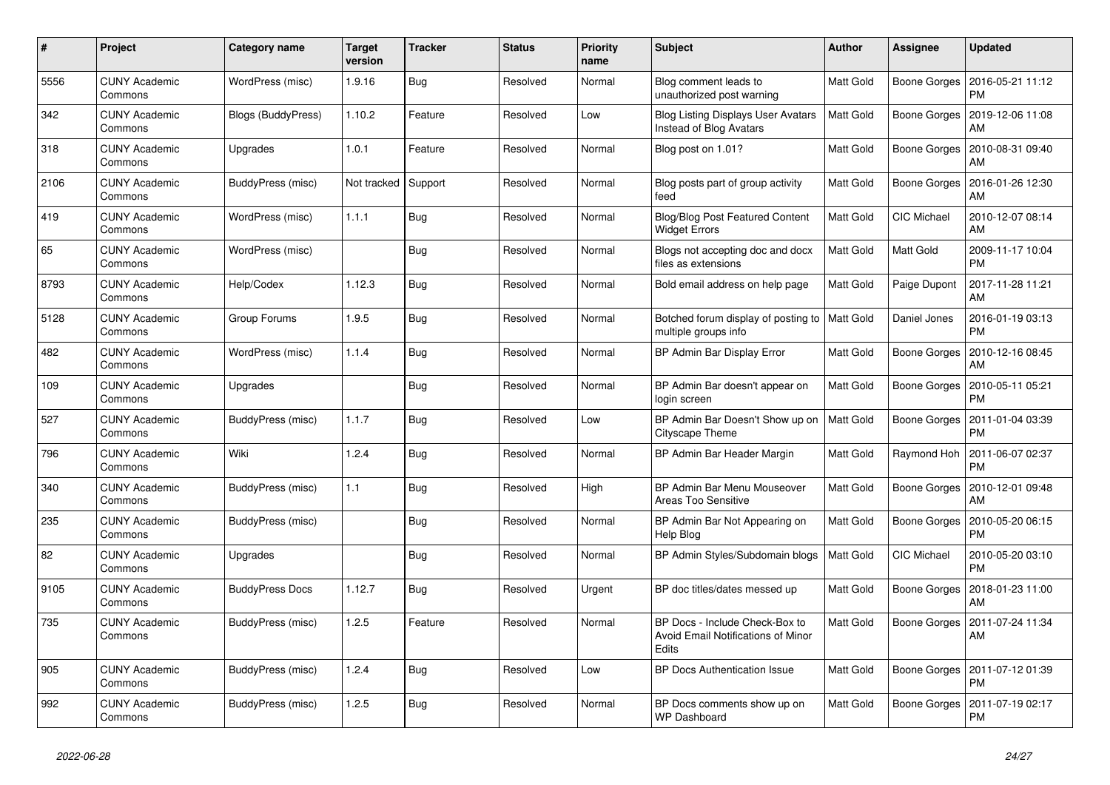| #    | Project                         | Category name           | <b>Target</b><br>version | <b>Tracker</b> | <b>Status</b> | <b>Priority</b><br>name | <b>Subject</b>                                                                | <b>Author</b> | <b>Assignee</b>     | <b>Updated</b>                               |
|------|---------------------------------|-------------------------|--------------------------|----------------|---------------|-------------------------|-------------------------------------------------------------------------------|---------------|---------------------|----------------------------------------------|
| 5556 | <b>CUNY Academic</b><br>Commons | <b>WordPress (misc)</b> | 1.9.16                   | <b>Bug</b>     | Resolved      | Normal                  | Blog comment leads to<br>unauthorized post warning                            | Matt Gold     |                     | Boone Gorges   2016-05-21 11:12<br><b>PM</b> |
| 342  | <b>CUNY Academic</b><br>Commons | Blogs (BuddyPress)      | 1.10.2                   | Feature        | Resolved      | Low                     | <b>Blog Listing Displays User Avatars</b><br>Instead of Blog Avatars          | Matt Gold     | <b>Boone Gorges</b> | 2019-12-06 11:08<br>AM                       |
| 318  | <b>CUNY Academic</b><br>Commons | Upgrades                | 1.0.1                    | Feature        | Resolved      | Normal                  | Blog post on 1.01?                                                            | Matt Gold     | Boone Gorges        | 2010-08-31 09:40<br>AM                       |
| 2106 | <b>CUNY Academic</b><br>Commons | BuddyPress (misc)       | Not tracked              | Support        | Resolved      | Normal                  | Blog posts part of group activity<br>feed                                     | Matt Gold     | Boone Gorges        | 2016-01-26 12:30<br>AM                       |
| 419  | <b>CUNY Academic</b><br>Commons | WordPress (misc)        | 1.1.1                    | <b>Bug</b>     | Resolved      | Normal                  | <b>Blog/Blog Post Featured Content</b><br><b>Widget Errors</b>                | Matt Gold     | CIC Michael         | 2010-12-07 08:14<br>AM                       |
| 65   | <b>CUNY Academic</b><br>Commons | WordPress (misc)        |                          | <b>Bug</b>     | Resolved      | Normal                  | Blogs not accepting doc and docx<br>files as extensions                       | Matt Gold     | Matt Gold           | 2009-11-17 10:04<br><b>PM</b>                |
| 8793 | <b>CUNY Academic</b><br>Commons | Help/Codex              | 1.12.3                   | Bug            | Resolved      | Normal                  | Bold email address on help page                                               | Matt Gold     | Paige Dupont        | 2017-11-28 11:21<br>AM                       |
| 5128 | <b>CUNY Academic</b><br>Commons | Group Forums            | 1.9.5                    | <b>Bug</b>     | Resolved      | Normal                  | Botched forum display of posting to   Matt Gold<br>multiple groups info       |               | Daniel Jones        | 2016-01-19 03:13<br><b>PM</b>                |
| 482  | <b>CUNY Academic</b><br>Commons | WordPress (misc)        | 1.1.4                    | <b>Bug</b>     | Resolved      | Normal                  | BP Admin Bar Display Error                                                    | Matt Gold     | <b>Boone Gorges</b> | 2010-12-16 08:45<br>AM                       |
| 109  | <b>CUNY Academic</b><br>Commons | Upgrades                |                          | Bug            | Resolved      | Normal                  | BP Admin Bar doesn't appear on<br>login screen                                | Matt Gold     | Boone Gorges        | 2010-05-11 05:21<br><b>PM</b>                |
| 527  | <b>CUNY Academic</b><br>Commons | BuddyPress (misc)       | 1.1.7                    | <b>Bug</b>     | Resolved      | Low                     | BP Admin Bar Doesn't Show up on<br>Cityscape Theme                            | Matt Gold     | Boone Gorges        | 2011-01-04 03:39<br><b>PM</b>                |
| 796  | <b>CUNY Academic</b><br>Commons | Wiki                    | 1.2.4                    | <b>Bug</b>     | Resolved      | Normal                  | BP Admin Bar Header Margin                                                    | Matt Gold     | Raymond Hoh         | 2011-06-07 02:37<br><b>PM</b>                |
| 340  | <b>CUNY Academic</b><br>Commons | BuddyPress (misc)       | 1.1                      | <b>Bug</b>     | Resolved      | High                    | BP Admin Bar Menu Mouseover<br>Areas Too Sensitive                            | Matt Gold     |                     | Boone Gorges   2010-12-01 09:48<br>AM        |
| 235  | <b>CUNY Academic</b><br>Commons | BuddyPress (misc)       |                          | Bug            | Resolved      | Normal                  | BP Admin Bar Not Appearing on<br>Help Blog                                    | Matt Gold     |                     | Boone Gorges   2010-05-20 06:15<br><b>PM</b> |
| 82   | <b>CUNY Academic</b><br>Commons | Upgrades                |                          | <b>Bug</b>     | Resolved      | Normal                  | BP Admin Styles/Subdomain blogs                                               | Matt Gold     | CIC Michael         | 2010-05-20 03:10<br><b>PM</b>                |
| 9105 | <b>CUNY Academic</b><br>Commons | <b>BuddyPress Docs</b>  | 1.12.7                   | <b>Bug</b>     | Resolved      | Urgent                  | BP doc titles/dates messed up                                                 | Matt Gold     | Boone Gorges        | 2018-01-23 11:00<br>AM                       |
| 735  | <b>CUNY Academic</b><br>Commons | BuddyPress (misc)       | 1.2.5                    | Feature        | Resolved      | Normal                  | BP Docs - Include Check-Box to<br>Avoid Email Notifications of Minor<br>Edits | Matt Gold     | Boone Gorges        | 2011-07-24 11:34<br>AM                       |
| 905  | <b>CUNY Academic</b><br>Commons | BuddyPress (misc)       | 1.2.4                    | Bug            | Resolved      | Low                     | BP Docs Authentication Issue                                                  | Matt Gold     |                     | Boone Gorges   2011-07-12 01:39<br><b>PM</b> |
| 992  | <b>CUNY Academic</b><br>Commons | BuddyPress (misc)       | 1.2.5                    | Bug            | Resolved      | Normal                  | BP Docs comments show up on<br>WP Dashboard                                   | Matt Gold     | Boone Gorges        | 2011-07-19 02:17<br><b>PM</b>                |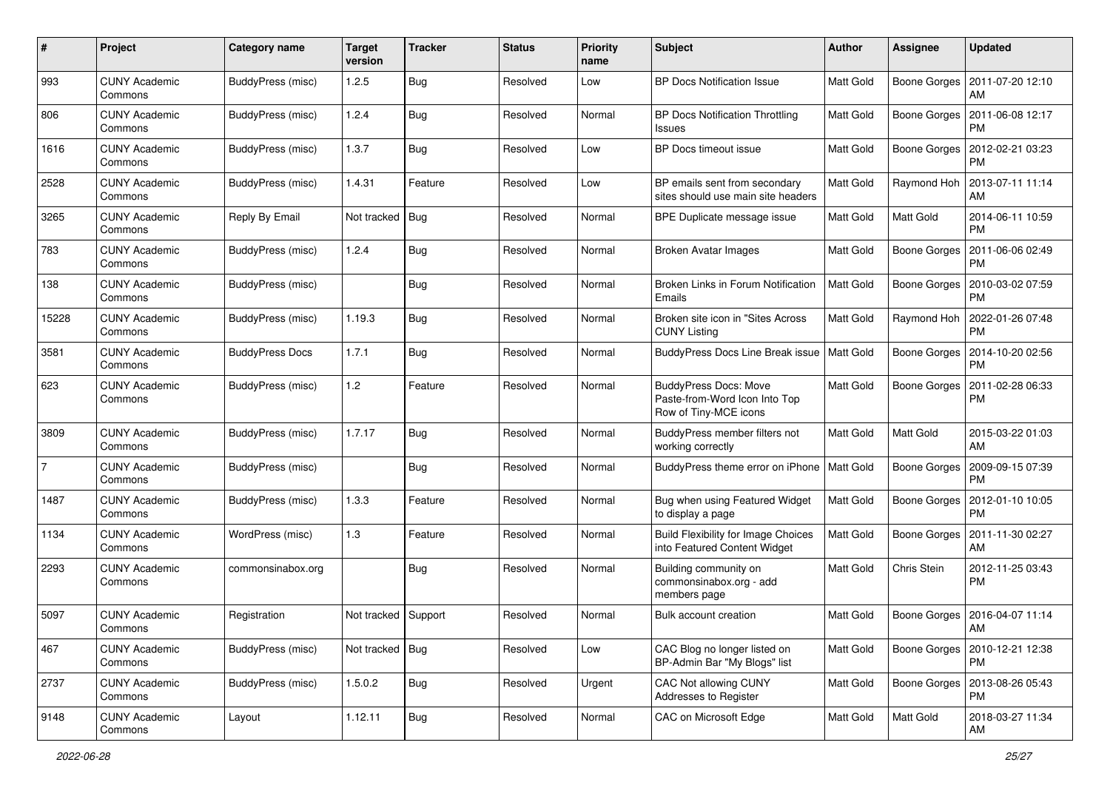| #              | Project                         | Category name            | <b>Target</b><br>version | <b>Tracker</b> | <b>Status</b> | <b>Priority</b><br>name | Subject                                                                                | Author           | <b>Assignee</b>     | <b>Updated</b>                               |
|----------------|---------------------------------|--------------------------|--------------------------|----------------|---------------|-------------------------|----------------------------------------------------------------------------------------|------------------|---------------------|----------------------------------------------|
| 993            | <b>CUNY Academic</b><br>Commons | <b>BuddyPress (misc)</b> | 1.2.5                    | <b>Bug</b>     | Resolved      | Low                     | <b>BP Docs Notification Issue</b>                                                      | Matt Gold        | Boone Gorges        | 2011-07-20 12:10<br>AM                       |
| 806            | <b>CUNY Academic</b><br>Commons | BuddyPress (misc)        | 1.2.4                    | <b>Bug</b>     | Resolved      | Normal                  | <b>BP Docs Notification Throttling</b><br>Issues                                       | Matt Gold        |                     | Boone Gorges   2011-06-08 12:17<br><b>PM</b> |
| 1616           | <b>CUNY Academic</b><br>Commons | BuddyPress (misc)        | 1.3.7                    | Bug            | Resolved      | Low                     | BP Docs timeout issue                                                                  | <b>Matt Gold</b> | Boone Gorges        | 2012-02-21 03:23<br><b>PM</b>                |
| 2528           | <b>CUNY Academic</b><br>Commons | BuddyPress (misc)        | 1.4.31                   | Feature        | Resolved      | Low                     | BP emails sent from secondary<br>sites should use main site headers                    | Matt Gold        | Raymond Hoh         | 2013-07-11 11:14<br>AM                       |
| 3265           | <b>CUNY Academic</b><br>Commons | Reply By Email           | Not tracked Bug          |                | Resolved      | Normal                  | BPE Duplicate message issue                                                            | Matt Gold        | Matt Gold           | 2014-06-11 10:59<br><b>PM</b>                |
| 783            | <b>CUNY Academic</b><br>Commons | BuddyPress (misc)        | 1.2.4                    | <b>Bug</b>     | Resolved      | Normal                  | <b>Broken Avatar Images</b>                                                            | Matt Gold        | Boone Gorges        | 2011-06-06 02:49<br><b>PM</b>                |
| 138            | <b>CUNY Academic</b><br>Commons | BuddyPress (misc)        |                          | Bug            | Resolved      | Normal                  | Broken Links in Forum Notification<br>Emails                                           | Matt Gold        | Boone Gorges        | 2010-03-02 07:59<br><b>PM</b>                |
| 15228          | <b>CUNY Academic</b><br>Commons | BuddyPress (misc)        | 1.19.3                   | <b>Bug</b>     | Resolved      | Normal                  | Broken site icon in "Sites Across"<br><b>CUNY Listing</b>                              | Matt Gold        | Raymond Hoh         | 2022-01-26 07:48<br><b>PM</b>                |
| 3581           | <b>CUNY Academic</b><br>Commons | <b>BuddyPress Docs</b>   | 1.7.1                    | <b>Bug</b>     | Resolved      | Normal                  | <b>BuddyPress Docs Line Break issue</b>                                                | <b>Matt Gold</b> | Boone Gorges        | 2014-10-20 02:56<br><b>PM</b>                |
| 623            | <b>CUNY Academic</b><br>Commons | BuddyPress (misc)        | 1.2                      | Feature        | Resolved      | Normal                  | <b>BuddyPress Docs: Move</b><br>Paste-from-Word Icon Into Top<br>Row of Tiny-MCE icons | Matt Gold        | <b>Boone Gorges</b> | 2011-02-28 06:33<br><b>PM</b>                |
| 3809           | <b>CUNY Academic</b><br>Commons | BuddyPress (misc)        | 1.7.17                   | <b>Bug</b>     | Resolved      | Normal                  | BuddyPress member filters not<br>working correctly                                     | Matt Gold        | Matt Gold           | 2015-03-22 01:03<br>AM                       |
| $\overline{7}$ | <b>CUNY Academic</b><br>Commons | BuddyPress (misc)        |                          | Bug            | Resolved      | Normal                  | BuddyPress theme error on iPhone                                                       | Matt Gold        | <b>Boone Gorges</b> | 2009-09-15 07:39<br><b>PM</b>                |
| 1487           | <b>CUNY Academic</b><br>Commons | BuddyPress (misc)        | 1.3.3                    | Feature        | Resolved      | Normal                  | Bug when using Featured Widget<br>to display a page                                    | Matt Gold        | Boone Gorges        | 2012-01-10 10:05<br><b>PM</b>                |
| 1134           | <b>CUNY Academic</b><br>Commons | WordPress (misc)         | 1.3                      | Feature        | Resolved      | Normal                  | <b>Build Flexibility for Image Choices</b><br>into Featured Content Widget             | Matt Gold        |                     | Boone Gorges   2011-11-30 02:27<br>AM        |
| 2293           | <b>CUNY Academic</b><br>Commons | commonsinabox.org        |                          | <b>Bug</b>     | Resolved      | Normal                  | Building community on<br>commonsinabox.org - add<br>members page                       | Matt Gold        | Chris Stein         | 2012-11-25 03:43<br><b>PM</b>                |
| 5097           | <b>CUNY Academic</b><br>Commons | Registration             | Not tracked Support      |                | Resolved      | Normal                  | <b>Bulk account creation</b>                                                           | Matt Gold        |                     | Boone Gorges   2016-04-07 11:14<br>AM        |
| 467            | <b>CUNY Academic</b><br>Commons | BuddyPress (misc)        | Not tracked   Bug        |                | Resolved      | Low                     | CAC Blog no longer listed on<br>BP-Admin Bar "My Blogs" list                           | Matt Gold        |                     | Boone Gorges   2010-12-21 12:38<br><b>PM</b> |
| 2737           | <b>CUNY Academic</b><br>Commons | BuddyPress (misc)        | 1.5.0.2                  | <b>Bug</b>     | Resolved      | Urgent                  | <b>CAC Not allowing CUNY</b><br>Addresses to Register                                  | Matt Gold        |                     | Boone Gorges   2013-08-26 05:43<br><b>PM</b> |
| 9148           | <b>CUNY Academic</b><br>Commons | Layout                   | 1.12.11                  | <b>Bug</b>     | Resolved      | Normal                  | CAC on Microsoft Edge                                                                  | Matt Gold        | Matt Gold           | 2018-03-27 11:34<br>AM                       |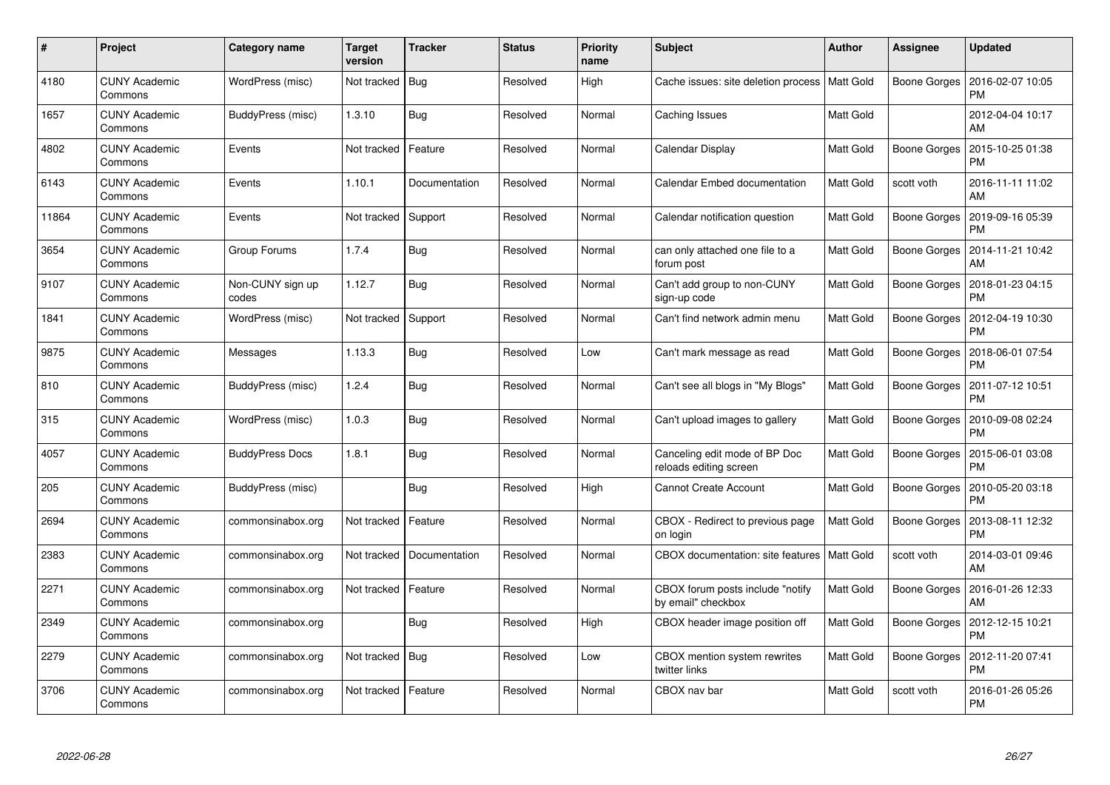| $\#$  | Project                         | Category name             | <b>Target</b><br>version | <b>Tracker</b> | <b>Status</b> | <b>Priority</b><br>name | <b>Subject</b>                                          | <b>Author</b>    | Assignee            | <b>Updated</b>                |
|-------|---------------------------------|---------------------------|--------------------------|----------------|---------------|-------------------------|---------------------------------------------------------|------------------|---------------------|-------------------------------|
| 4180  | <b>CUNY Academic</b><br>Commons | WordPress (misc)          | Not tracked              | Bug            | Resolved      | High                    | Cache issues: site deletion process   Matt Gold         |                  | Boone Gorges        | 2016-02-07 10:05<br><b>PM</b> |
| 1657  | <b>CUNY Academic</b><br>Commons | BuddyPress (misc)         | 1.3.10                   | Bug            | Resolved      | Normal                  | Caching Issues                                          | <b>Matt Gold</b> |                     | 2012-04-04 10:17<br>AM        |
| 4802  | <b>CUNY Academic</b><br>Commons | Events                    | Not tracked              | Feature        | Resolved      | Normal                  | Calendar Display                                        | Matt Gold        | <b>Boone Gorges</b> | 2015-10-25 01:38<br><b>PM</b> |
| 6143  | <b>CUNY Academic</b><br>Commons | Events                    | 1.10.1                   | Documentation  | Resolved      | Normal                  | Calendar Embed documentation                            | Matt Gold        | scott voth          | 2016-11-11 11:02<br>AM        |
| 11864 | <b>CUNY Academic</b><br>Commons | Events                    | Not tracked              | Support        | Resolved      | Normal                  | Calendar notification question                          | <b>Matt Gold</b> | Boone Gorges        | 2019-09-16 05:39<br><b>PM</b> |
| 3654  | <b>CUNY Academic</b><br>Commons | Group Forums              | 1.7.4                    | Bug            | Resolved      | Normal                  | can only attached one file to a<br>forum post           | Matt Gold        | Boone Gorges        | 2014-11-21 10:42<br>AM        |
| 9107  | <b>CUNY Academic</b><br>Commons | Non-CUNY sign up<br>codes | 1.12.7                   | <b>Bug</b>     | Resolved      | Normal                  | Can't add group to non-CUNY<br>sign-up code             | Matt Gold        | Boone Gorges        | 2018-01-23 04:15<br><b>PM</b> |
| 1841  | <b>CUNY Academic</b><br>Commons | WordPress (misc)          | Not tracked              | Support        | Resolved      | Normal                  | Can't find network admin menu                           | Matt Gold        | Boone Gorges        | 2012-04-19 10:30<br><b>PM</b> |
| 9875  | <b>CUNY Academic</b><br>Commons | Messages                  | 1.13.3                   | Bug            | Resolved      | Low                     | Can't mark message as read                              | <b>Matt Gold</b> | Boone Gorges        | 2018-06-01 07:54<br><b>PM</b> |
| 810   | <b>CUNY Academic</b><br>Commons | BuddyPress (misc)         | 1.2.4                    | Bug            | Resolved      | Normal                  | Can't see all blogs in "My Blogs"                       | Matt Gold        | Boone Gorges        | 2011-07-12 10:51<br><b>PM</b> |
| 315   | <b>CUNY Academic</b><br>Commons | WordPress (misc)          | 1.0.3                    | Bug            | Resolved      | Normal                  | Can't upload images to gallery                          | Matt Gold        | <b>Boone Gorges</b> | 2010-09-08 02:24<br><b>PM</b> |
| 4057  | <b>CUNY Academic</b><br>Commons | <b>BuddyPress Docs</b>    | 1.8.1                    | Bug            | Resolved      | Normal                  | Canceling edit mode of BP Doc<br>reloads editing screen | <b>Matt Gold</b> | Boone Gorges        | 2015-06-01 03:08<br><b>PM</b> |
| 205   | <b>CUNY Academic</b><br>Commons | BuddyPress (misc)         |                          | Bug            | Resolved      | High                    | <b>Cannot Create Account</b>                            | Matt Gold        | Boone Gorges        | 2010-05-20 03:18<br><b>PM</b> |
| 2694  | <b>CUNY Academic</b><br>Commons | commonsinabox.org         | Not tracked              | Feature        | Resolved      | Normal                  | CBOX - Redirect to previous page<br>on login            | <b>Matt Gold</b> | <b>Boone Gorges</b> | 2013-08-11 12:32<br><b>PM</b> |
| 2383  | <b>CUNY Academic</b><br>Commons | commonsinabox.org         | Not tracked              | Documentation  | Resolved      | Normal                  | CBOX documentation: site features                       | <b>Matt Gold</b> | scott voth          | 2014-03-01 09:46<br>AM        |
| 2271  | <b>CUNY Academic</b><br>Commons | commonsinabox.org         | Not tracked              | Feature        | Resolved      | Normal                  | CBOX forum posts include "notify<br>by email" checkbox  | <b>Matt Gold</b> | <b>Boone Gorges</b> | 2016-01-26 12:33<br>AM        |
| 2349  | <b>CUNY Academic</b><br>Commons | commonsinabox.org         |                          | Bug            | Resolved      | High                    | CBOX header image position off                          | Matt Gold        | Boone Gorges        | 2012-12-15 10:21<br><b>PM</b> |
| 2279  | <b>CUNY Academic</b><br>Commons | commonsinabox.org         | Not tracked              | Bug            | Resolved      | Low                     | CBOX mention system rewrites<br>twitter links           | Matt Gold        | <b>Boone Gorges</b> | 2012-11-20 07:41<br><b>PM</b> |
| 3706  | CUNY Academic<br>Commons        | commonsinabox.org         | Not tracked              | Feature        | Resolved      | Normal                  | CBOX nav bar                                            | Matt Gold        | scott voth          | 2016-01-26 05:26<br>PM        |